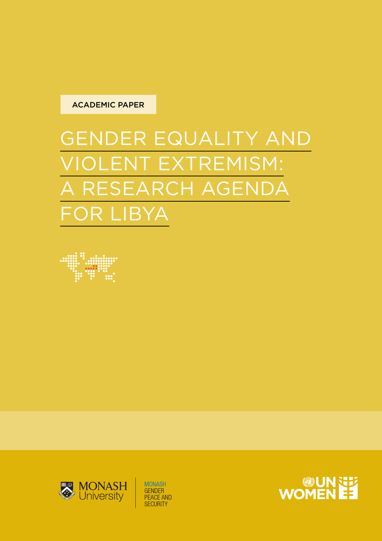

# GENDER EQUALITY AND VIOLENT EXTREMISM: A RESEARCH AGENDA FOR LIBYA





**MONASH GENDER** PEACE AND<br>SECURITY

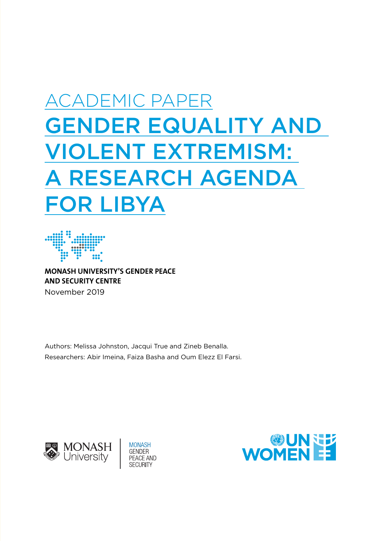# ACADEMIC PAPER GENDER EQUALITY AND VIOLENT EXTREMISM: RESEARCH AGENDA FOR LIBYA



**MONASH UNIVERSITY'S GENDER PEACE AND SECURITY CENTRE**  November 2019

Authors: Melissa Johnston, Jacqui True and Zineb Benalla. Researchers: Abir Imeina, Faiza Basha and Oum Elezz El Farsi.





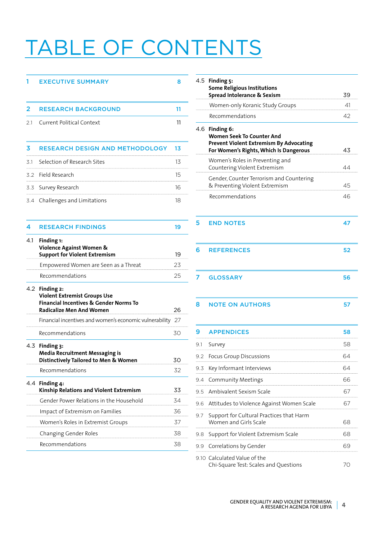# TABLE OF CONTENTS

#### 1 EXECUTIVE SUMMARY 8

| 2   | <b>RESEARCH BACKGROUND</b>                                                           | 11 |
|-----|--------------------------------------------------------------------------------------|----|
| 2.1 | <b>Current Political Context</b>                                                     | 11 |
|     |                                                                                      |    |
| 3   | RESEARCH DESIGN AND METHODOLOGY                                                      | 13 |
| 3.1 | Selection of Research Sites                                                          | 13 |
|     | 3.2 Field Research                                                                   | 15 |
|     | 3.3 Survey Research                                                                  | 16 |
|     | 3.4 Challenges and Limitations                                                       | 18 |
|     |                                                                                      |    |
| 4   | <b>RESEARCH FINDINGS</b>                                                             | 19 |
| 4.1 | Finding 1:<br>Violence Against Women &                                               |    |
|     | <b>Support for Violent Extremism</b>                                                 | 19 |
|     | Empowered Women are Seen as a Threat                                                 | 23 |
|     | Recommendations                                                                      | 25 |
| 4.2 | Finding 2:<br><b>Violent Extremist Groups Use</b>                                    |    |
|     | <b>Financial Incentives &amp; Gender Norms To</b><br><b>Radicalize Men And Women</b> | 26 |
|     |                                                                                      |    |

| Financial incentives and women's economic vulnerability 27                                           |    |
|------------------------------------------------------------------------------------------------------|----|
| Recommendations                                                                                      | 30 |
| $4.3$ Finding $3:$<br><b>Media Recruitment Messaging is</b><br>Distinctively Tailored to Men & Women | 30 |
| Recommendations                                                                                      | 32 |
| 4.4 Finding 4:<br>Kinship Relations and Violent Extremism                                            | 33 |
| Gender Power Relations in the Household                                                              | 34 |
| Impact of Extremism on Families                                                                      | 36 |
| Women's Roles in Extremist Groups                                                                    | 37 |
| Changing Gender Roles                                                                                | 38 |
| Recommendations                                                                                      | 38 |

|     | 4.5 Finding 5:<br><b>Some Religious Institutions</b><br>Spread Intolerance & Sexism                                                     | 39 |
|-----|-----------------------------------------------------------------------------------------------------------------------------------------|----|
|     | Women-only Koranic Study Groups                                                                                                         | 41 |
|     | Recommendations                                                                                                                         | 42 |
|     | 4.6 Finding 6:<br>Women Seek To Counter And<br><b>Prevent Violent Extremism By Advocating</b><br>For Women's Rights, Which Is Dangerous | 43 |
|     | Women's Roles in Preventing and<br>Countering Violent Extremism                                                                         | 44 |
|     | Gender, Counter Terrorism and Countering<br>& Preventing Violent Extremism                                                              | 45 |
|     | Recommendations                                                                                                                         | 46 |
| 5   | <b>END NOTES</b>                                                                                                                        | 47 |
| 6   | <b>REFERENCES</b>                                                                                                                       | 52 |
| 7   | <b>GLOSSARY</b>                                                                                                                         | 56 |
| 8   | <b>NOTE ON AUTHORS</b>                                                                                                                  | 57 |
| 9   | <b>APPENDICES</b>                                                                                                                       | 58 |
| 9.1 | Survey                                                                                                                                  | 58 |
| 9.2 | Focus Group Discussions                                                                                                                 | 64 |
| 9.3 | Key Informant Interviews                                                                                                                | 64 |
| 9.4 | Community Meetings                                                                                                                      | 66 |
| 9.5 | Ambivalent Sexism Scale                                                                                                                 | 67 |
| 9.6 | Attitudes to Violence Against Women Scale                                                                                               | 67 |
| 9.7 | Support for Cultural Practices that Harm<br>Women and Girls Scale                                                                       | 68 |
| 9.8 | Support for Violent Extremism Scale                                                                                                     | 68 |
| 9.9 | Correlations by Gender                                                                                                                  | 69 |

9.10 Calculated Value of the Chi-Square Test: Scales and Questions 70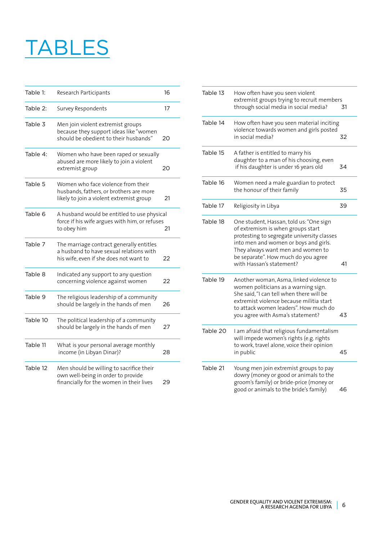# **TABLES**

| Table 1:<br>Research Participants |                                                                                                                               | 16 |
|-----------------------------------|-------------------------------------------------------------------------------------------------------------------------------|----|
| Table 2:                          | Survey Respondents                                                                                                            | 17 |
| Table 3                           | Men join violent extremist groups<br>because they support ideas like "women<br>should be obedient to their husbands"          | 20 |
| Table 4:                          | Women who have been raped or sexually<br>abused are more likely to join a violent<br>extremist group                          | 20 |
| Table 5                           | Women who face violence from their<br>husbands, fathers, or brothers are more<br>likely to join a violent extremist group     | 21 |
| Table 6                           | A husband would be entitled to use physical<br>force if his wife argues with him, or refuses<br>to obey him                   | 21 |
| Table 7                           | The marriage contract generally entitles<br>a husband to have sexual relations with<br>his wife, even if she does not want to | 22 |
| Table 8                           | Indicated any support to any question<br>concerning violence against women                                                    | 22 |
| Table 9                           | The religious leadership of a community<br>should be largely in the hands of men                                              | 26 |
| Table 10                          | The political leadership of a community<br>should be largely in the hands of men                                              | 27 |
| Table 11                          | What is your personal average monthly<br>income (in Libyan Dinar)?                                                            | 28 |
| Table 12                          | Men should be willing to sacrifice their<br>own well-being in order to provide<br>financially for the women in their lives    | 29 |

| Table 13 | How often have you seen violent<br>extremist groups trying to recruit members<br>through social media in social media?                                                                                                                                                      | 31 |
|----------|-----------------------------------------------------------------------------------------------------------------------------------------------------------------------------------------------------------------------------------------------------------------------------|----|
| Table 14 | How often have you seen material inciting<br>violence towards women and girls posted<br>in social media?                                                                                                                                                                    | 32 |
| Table 15 | A father is entitled to marry his<br>daughter to a man of his choosing, even<br>if his daughter is under 16 years old                                                                                                                                                       | 34 |
| Table 16 | Women need a male guardian to protect<br>the honour of their family                                                                                                                                                                                                         | 35 |
| Table 17 | Religiosity in Libya                                                                                                                                                                                                                                                        | 39 |
| Table 18 | One student, Hassan, told us: "One sign<br>of extremism is when groups start<br>protesting to segregate university classes<br>into men and women or boys and girls.<br>They always want men and women to<br>be separate". How much do you agree<br>with Hassan's statement? | 41 |
| Table 19 | Another woman, Asma, linked violence to<br>women politicians as a warning sign.<br>She said, "I can tell when there will be<br>extremist violence because militia start<br>to attack women leaders". How much do<br>you agree with Asma's statement?                        | 43 |
| Table 20 | I am afraid that religious fundamentalism<br>will impede women's rights (e.g. rights<br>to work, travel alone, voice their opinion<br>in public                                                                                                                             | 45 |
| Table 21 | Young men join extremist groups to pay<br>dowry (money or good or animals to the<br>groom's family) or bride-price (money or<br>good or animals to the bride's family)                                                                                                      | 46 |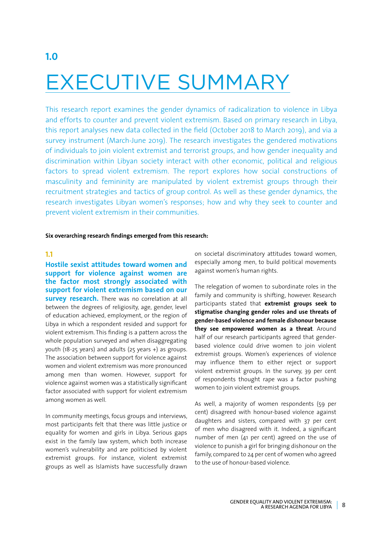# EXECUTIVE SUMMARY

This research report examines the gender dynamics of radicalization to violence in Libya and efforts to counter and prevent violent extremism. Based on primary research in Libya, this report analyses new data collected in the field (October 2018 to March 2019), and via a survey instrument (March-June 2019). The research investigates the gendered motivations of individuals to join violent extremist and terrorist groups, and how gender inequality and discrimination within Libyan society interact with other economic, political and religious factors to spread violent extremism. The report explores how social constructions of masculinity and femininity are manipulated by violent extremist groups through their recruitment strategies and tactics of group control. As well as these gender dynamics, the research investigates Libyan women's responses; how and why they seek to counter and prevent violent extremism in their communities.

#### **Six overarching research findings emerged from this research:**

#### **1.1**

**1.0**

**Hostile sexist attitudes toward women and support for violence against women are the factor most strongly associated with support for violent extremism based on our survey research.** There was no correlation at all between the degrees of religiosity, age, gender, level of education achieved, employment, or the region of Libya in which a respondent resided and support for violent extremism. This finding is a pattern across the whole population surveyed and when disaggregating youth (18-25 years) and adults (25 years +) as groups. The association between support for violence against women and violent extremism was more pronounced among men than women. However, support for violence against women was a statistically significant factor associated with support for violent extremism among women as well.

In community meetings, focus groups and interviews, most participants felt that there was little justice or equality for women and girls in Libya. Serious gaps exist in the family law system, which both increase women's vulnerability and are politicised by violent extremist groups. For instance, violent extremist groups as well as Islamists have successfully drawn on societal discriminatory attitudes toward women, especially among men, to build political movements against women's human rights.

The relegation of women to subordinate roles in the family and community is shifting, however. Research participants stated that **extremist groups seek to stigmatise changing gender roles and use threats of gender-based violence and female dishonour because they see empowered women as a threat**. Around half of our research participants agreed that genderbased violence could drive women to join violent extremist groups. Women's experiences of violence may influence them to either reject or support violent extremist groups. In the survey, 39 per cent of respondents thought rape was a factor pushing women to join violent extremist groups.

As well, a majority of women respondents (59 per cent) disagreed with honour-based violence against daughters and sisters, compared with 37 per cent of men who disagreed with it. Indeed, a significant number of men (41 per cent) agreed on the use of violence to punish a girl for bringing dishonour on the family, compared to 24 per cent of women who agreed to the use of honour-based violence.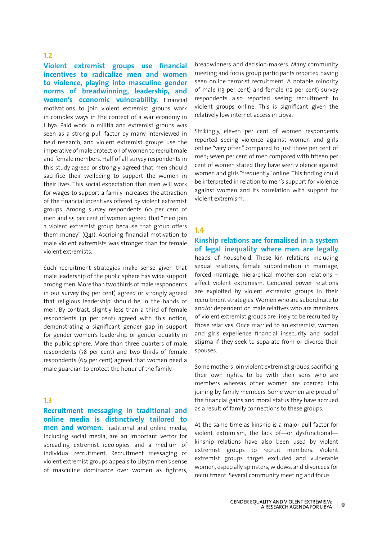#### **1.2**

**Violent extremist groups use financial incentives to radicalize men and women to violence, playing into masculine gender norms of breadwinning, leadership, and women's economic vulnerability.** Financial motivations to join violent extremist groups work in complex ways in the context of a war economy in Libya. Paid work in militia and extremist groups was seen as a strong pull factor by many interviewed in field research, and violent extremist groups use the imperative of male protection of women to recruit male and female members. Half of all survey respondents in this study agreed or strongly agreed that men should sacrifice their wellbeing to support the women in their lives. This social expectation that men will work for wages to support a family increases the attraction of the financial incentives offered by violent extremist groups. Among survey respondents 60 per cent of men and 55 per cent of women agreed that "men join a violent extremist group because that group offers them money" (Q41). Ascribing financial motivation to male violent extremists was stronger than for female violent extremists.

Such recruitment strategies make sense given that male leadership of the public sphere has wide support among men. More than two thirds of male respondents in our survey (69 per cent) agreed or strongly agreed that religious leadership should be in the hands of men. By contrast, slightly less than a third of female respondents (31 per cent) agreed with this notion, demonstrating a significant gender gap in support for gender women's leadership or gender equality in the public sphere. More than three quarters of male respondents (78 per cent) and two thirds of female respondents (69 per cent) agreed that women need a male guardian to protect the honur of the family.

#### **1.3**

**Recruitment messaging in traditional and online media is distinctively tailored to men and women.** Traditional and online media, including social media, are an important vector for spreading extremist ideologies, and a medium of individual recruitment. Recruitment messaging of violent extremist groups appeals to Libyan men's sense of masculine dominance over women as fighters, breadwinners and decision-makers. Many community meeting and focus group participants reported having seen online terrorist recruitment. A notable minority of male (13 per cent) and female (12 per cent) survey respondents also reported seeing recruitment to violent groups online. This is significant given the relatively low internet access in Libya.

Strikingly, eleven per cent of women respondents reported seeing violence against women and girls online "very often" compared to just three per cent of men; seven per cent of men compared with fifteen per cent of women stated they have seen violence against women and girls "frequently" online. This finding could be interpreted in relation to men's support for violence against women and its correlation with support for violent extremism.

#### **1.4**

**Kinship relations are formalised in a system of legal inequality where men are legally** heads of household. These kin relations including sexual relations, female subordination in marriage, forced marriage, hierarchical mother-son relations – affect violent extremism. Gendered power relations are exploited by violent extremist groups in their recruitment strategies. Women who are subordinate to and/or dependent on male relatives who are members of violent extremist groups are likely to be recruited by those relatives. Once married to an extremist, women and girls experience financial insecurity and social stigma if they seek to separate from or divorce their spouses.

Some mothers join violent extremist groups, sacrificing their own rights, to be with their sons who are members whereas other women are coerced into joining by family members. Some women are proud of the financial gains and moral status they have accrued as a result of family connections to these groups.

At the same time as kinship is a major pull factor for violent extremism, the lack of—or dysfunctional kinship relations have also been used by violent extremist groups to recruit members. Violent extremist groups target excluded and vulnerable women, especially spinsters, widows, and divorcees for recruitment. Several community meeting and focus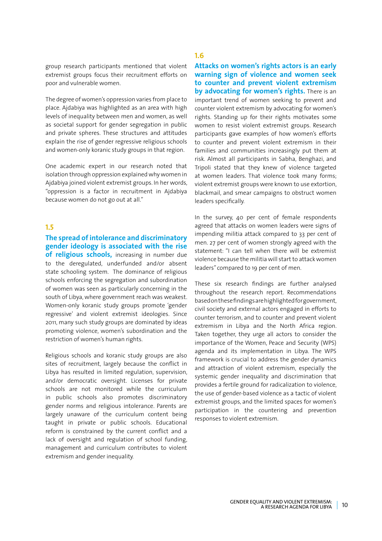group research participants mentioned that violent extremist groups focus their recruitment efforts on poor and vulnerable women.

The degree of women's oppression varies from place to place. Ajdabiya was highlighted as an area with high levels of inequality between men and women, as well as societal support for gender segregation in public and private spheres. These structures and attitudes explain the rise of gender regressive religious schools and women-only koranic study groups in that region.

One academic expert in our research noted that isolation through oppression explained why women in Ajdabiya joined violent extremist groups. In her words, "oppression is a factor in recruitment in Ajdabiya because women do not go out at all."

#### **1.5**

**The spread of intolerance and discriminatory gender ideology is associated with the rise of religious schools,** increasing in number due to the deregulated, underfunded and/or absent state schooling system. The dominance of religious schools enforcing the segregation and subordination of women was seen as particularly concerning in the south of Libya, where government reach was weakest. Women-only koranic study groups promote 'gender regressive' and violent extremist ideologies. Since 2011, many such study groups are dominated by ideas promoting violence, women's subordination and the restriction of women's human rights.

Religious schools and koranic study groups are also sites of recruitment, largely because the conflict in Libya has resulted in limited regulation, supervision, and/or democratic oversight. Licenses for private schools are not monitored while the curriculum in public schools also promotes discriminatory gender norms and religious intolerance. Parents are largely unaware of the curriculum content being taught in private or public schools. Educational reform is constrained by the current conflict and a lack of oversight and regulation of school funding, management and curriculum contributes to violent extremism and gender inequality.

#### **1.6**

**Attacks on women's rights actors is an early warning sign of violence and women seek to counter and prevent violent extremism by advocating for women's rights.** There is an important trend of women seeking to prevent and counter violent extremism by advocating for women's rights. Standing up for their rights motivates some women to resist violent extremist groups. Research participants gave examples of how women's efforts to counter and prevent violent extremism in their families and communities increasingly put them at risk. Almost all participants in Sabha, Benghazi, and Tripoli stated that they knew of violence targeted at women leaders. That violence took many forms; violent extremist groups were known to use extortion, blackmail, and smear campaigns to obstruct women leaders specifically.

In the survey, 40 per cent of female respondents agreed that attacks on women leaders were signs of impending militia attack compared to 33 per cent of men. 27 per cent of women strongly agreed with the statement: "I can tell when there will be extremist violence because the militia will start to attack women leaders" compared to 19 per cent of men.

These six research findings are further analysed throughout the research report. Recommendations based on these findings are highlighted for government, civil society and external actors engaged in efforts to counter terrorism, and to counter and prevent violent extremism in Libya and the North Africa region. Taken together, they urge all actors to consider the importance of the Women, Peace and Security (WPS) agenda and its implementation in Libya. The WPS framework is crucial to address the gender dynamics and attraction of violent extremism, especially the systemic gender inequality and discrimination that provides a fertile ground for radicalization to violence, the use of gender-based violence as a tactic of violent extremist groups, and the limited spaces for women's participation in the countering and prevention responses to violent extremism.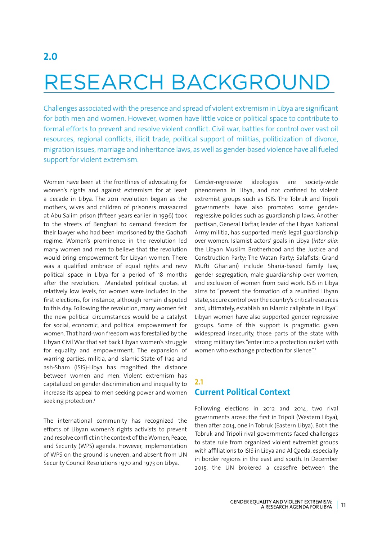# RESEARCH BACKGROUND

Challenges associated with the presence and spread of violent extremism in Libya are significant for both men and women. However, women have little voice or political space to contribute to formal efforts to prevent and resolve violent conflict. Civil war, battles for control over vast oil resources, regional conflicts, illicit trade, political support of militias, politicization of divorce, migration issues, marriage and inheritance laws, as well as gender-based violence have all fueled support for violent extremism.

Women have been at the frontlines of advocating for women's rights and against extremism for at least a decade in Libya. The 2011 revolution began as the mothers, wives and children of prisoners massacred at Abu Salim prison (fifteen years earlier in 1996) took to the streets of Benghazi to demand freedom for their lawyer who had been imprisoned by the Gadhafi regime. Women's prominence in the revolution led many women and men to believe that the revolution would bring empowerment for Libyan women. There was a qualified embrace of equal rights and new political space in Libya for a period of 18 months after the revolution. Mandated political quotas, at relatively low levels, for women were included in the first elections, for instance, although remain disputed to this day. Following the revolution, many women felt the new political circumstances would be a catalyst for social, economic, and political empowerment for women. That hard-won freedom was forestalled by the Libyan Civil War that set back Libyan women's struggle for equality and empowerment. The expansion of warring parties, militia, and Islamic State of Iraq and ash-Sham (ISIS)-Libya has magnified the distance between women and men. Violent extremism has capitalized on gender discrimination and inequality to increase its appeal to men seeking power and women seeking protection.<sup>1</sup>

The international community has recognized the efforts of Libyan women's rights activists to prevent and resolve conflict in the context of the Women, Peace, and Security (WPS) agenda. However, implementation of WPS on the ground is uneven, and absent from UN Security Council Resolutions 1970 and 1973 on Libya.

Gender-regressive ideologies are society-wide phenomena in Libya, and not confined to violent extremist groups such as ISIS. The Tobruk and Tripoli governments have also promoted some genderregressive policies such as guardianship laws. Another partisan, General Haftar, leader of the Libyan National Army militia, has supported men's legal guardianship over women. Islamist actors' goals in Libya (*inter alia*: the Libyan Muslim Brotherhood and the Justice and Construction Party; The Watan Party; Salafists; Grand Mufti Ghariani) include Sharia-based family law, gender segregation, male guardianship over women, and exclusion of women from paid work. ISIS in Libya aims to "prevent the formation of a reunified Libyan state, secure control over the country's critical resources and, ultimately, establish an Islamic caliphate in Libya". Libyan women have also supported gender regressive groups. Some of this support is pragmatic: given widespread insecurity, those parts of the state with strong military ties "enter into a protection racket with women who exchange protection for silence".<sup>2</sup>

### **2.1 Current Political Context**

Following elections in 2012 and 2014, two rival governments arose: the first in Tripoli (Western Libya), then after 2014, one in Tobruk (Eastern Libya). Both the Tobruk and Tripoli rival governments faced challenges to state rule from organized violent extremist groups with affiliations to ISIS in Libya and Al Qaeda, especially in border regions in the east and south. In December 2015, the UN brokered a ceasefire between the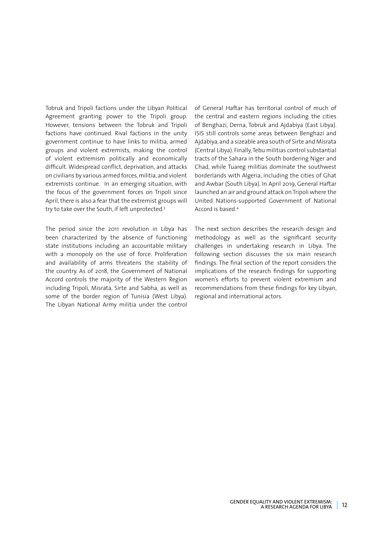Tobruk and Tripoli factions under the Libyan Political Agreement granting power to the Tripoli group. However, tensions between the Tobruk and Tripoli factions have continued. Rival factions in the unity government continue to have links to militia, armed groups and violent extremists, making the control of violent extremism politically and economically difficult. Widespread conflict, deprivation, and attacks on civilians by various armed forces, militia, and violent extremists continue. In an emerging situation, with the focus of the government forces on Tripoli since April, there is also a fear that the extremist groups will try to take over the South, if left unprotected.3

The period since the 2011 revolution in Libya has been characterized by the absence of functioning state institutions including an accountable military with a monopoly on the use of force. Proliferation and availability of arms threatens the stability of the country. As of 2018, the Government of National Accord controls the majority of the Western Region including Tripoli, Misrata, Sirte and Sabha, as well as some of the border region of Tunisia (West Libya). The Libyan National Army militia under the control of General Haftar has territorial control of much of the central and eastern regions including the cities of Benghazi, Derna, Tobruk and Ajdabiya (East Libya). ISIS still controls some areas between Benghazi and Ajdabiya, and a sizeable area south of Sirte and Misrata (Central Libya). Finally, Tebu militias control substantial tracts of the Sahara in the South bordering Niger and Chad, while Tuareg militias dominate the southwest borderlands with Algeria, including the cities of Ghat and Awbar (South Libya). In April 2019, General Haftar launched an air and ground attack on Tripoli where the United Nations-supported Government of National Accord is based.4

The next section describes the research design and methodology as well as the significant security challenges in undertaking research in Libya. The following section discusses the six main research findings. The final section of the report considers the implications of the research findings for supporting women's efforts to prevent violent extremism and recommendations from these findings for key Libyan, regional and international actors.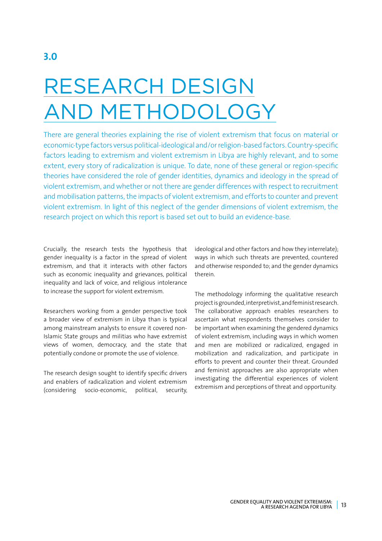# RESEARCH DESIGN AND METHODOLOGY

There are general theories explaining the rise of violent extremism that focus on material or economic-type factors versus political-ideological and/or religion-based factors. Country-specific factors leading to extremism and violent extremism in Libya are highly relevant, and to some extent, every story of radicalization is unique. To date, none of these general or region-specific theories have considered the role of gender identities, dynamics and ideology in the spread of violent extremism, and whether or not there are gender differences with respect to recruitment and mobilisation patterns, the impacts of violent extremism, and efforts to counter and prevent violent extremism. In light of this neglect of the gender dimensions of violent extremism, the research project on which this report is based set out to build an evidence-base.

Crucially, the research tests the hypothesis that gender inequality is a factor in the spread of violent extremism, and that it interacts with other factors such as economic inequality and grievances, political inequality and lack of voice, and religious intolerance to increase the support for violent extremism.

Researchers working from a gender perspective took a broader view of extremism in Libya than is typical among mainstream analysts to ensure it covered non-Islamic State groups and militias who have extremist views of women, democracy, and the state that potentially condone or promote the use of violence.

The research design sought to identify specific drivers and enablers of radicalization and violent extremism (considering socio-economic, political, security, ideological and other factors and how they interrelate); ways in which such threats are prevented, countered and otherwise responded to; and the gender dynamics therein.

The methodology informing the qualitative research project is grounded, interpretivist, and feminist research. The collaborative approach enables researchers to ascertain what respondents themselves consider to be important when examining the gendered dynamics of violent extremism, including ways in which women and men are mobilized or radicalized, engaged in mobilization and radicalization, and participate in efforts to prevent and counter their threat. Grounded and feminist approaches are also appropriate when investigating the differential experiences of violent extremism and perceptions of threat and opportunity.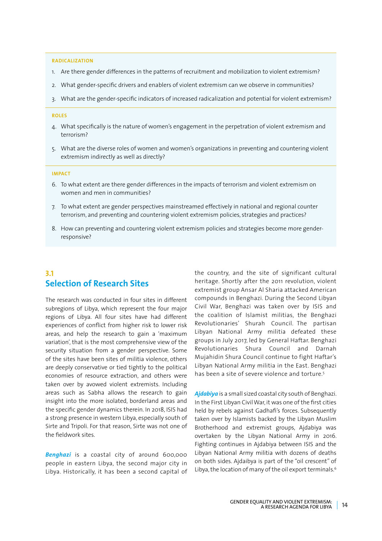#### **RADICALIZATION**

- 1. Are there gender differences in the patterns of recruitment and mobilization to violent extremism?
- 2. What gender-specific drivers and enablers of violent extremism can we observe in communities?
- 3. What are the gender-specific indicators of increased radicalization and potential for violent extremism?

#### **ROLES**

- 4. What specifically is the nature of women's engagement in the perpetration of violent extremism and terrorism?
- 5. What are the diverse roles of women and women's organizations in preventing and countering violent extremism indirectly as well as directly?

#### **IMPACT**

- 6. To what extent are there gender differences in the impacts of terrorism and violent extremism on women and men in communities?
- 7. To what extent are gender perspectives mainstreamed effectively in national and regional counter terrorism, and preventing and countering violent extremism policies, strategies and practices?
- 8. How can preventing and countering violent extremism policies and strategies become more genderresponsive?

## **3.1 Selection of Research Sites**

The research was conducted in four sites in different subregions of Libya, which represent the four major regions of Libya. All four sites have had different experiences of conflict from higher risk to lower risk areas, and help the research to gain a 'maximum variation', that is the most comprehensive view of the security situation from a gender perspective. Some of the sites have been sites of militia violence, others are deeply conservative or tied tightly to the political economies of resource extraction, and others were taken over by avowed violent extremists. Including areas such as Sabha allows the research to gain insight into the more isolated, borderland areas and the specific gender dynamics therein. In 2018, ISIS had a strong presence in western Libya, especially south of Sirte and Tripoli. For that reason, Sirte was not one of the fieldwork sites.

*Benghazi* is a coastal city of around 600,000 people in eastern Libya, the second major city in Libya. Historically, it has been a second capital of the country, and the site of significant cultural heritage. Shortly after the 2011 revolution, violent extremist group Ansar Al Sharia attacked American compounds in Benghazi. During the Second Libyan Civil War, Benghazi was taken over by ISIS and the coalition of Islamist militias, the Benghazi Revolutionaries' Shurah Council. The partisan Libyan National Army militia defeated these groups in July 2017, led by General Haftar. Benghazi Revolutionaries Shura Council and Darnah Mujahidin Shura Council continue to fight Haftar's Libyan National Army militia in the East. Benghazi has been a site of severe violence and torture.<sup>5</sup>

*Ajdabiya* is a small sized coastal city south of Benghazi. In the First Libyan Civil War, it was one of the first cities held by rebels against Gadhafi's forces. Subsequently taken over by Islamists backed by the Libyan Muslim Brotherhood and extremist groups, Ajdabiya was overtaken by the Libyan National Army in 2016. Fighting continues in Ajdabiya between ISIS and the Libyan National Army militia with dozens of deaths on both sides. Ajdaibya is part of the "oil crescent" of Libya, the location of many of the oil export terminals.<sup>6</sup>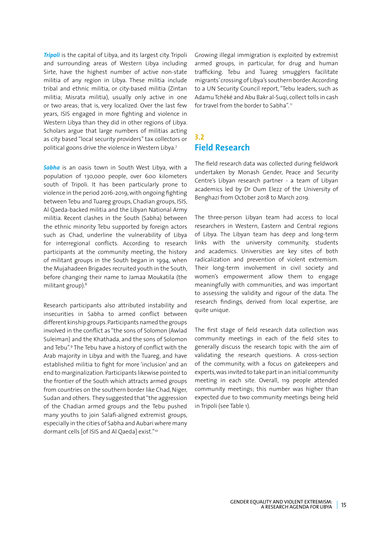*Tripoli* is the capital of Libya, and its largest city. Tripoli and surrounding areas of Western Libya including Sirte, have the highest number of active non-state militia of any region in Libya. These militia include tribal and ethnic militia, or city-based militia (Zintan militia; Misrata militia), usually only active in one or two areas; that is, very localized. Over the last few years, ISIS engaged in more fighting and violence in Western Libya than they did in other regions of Libya. Scholars argue that large numbers of militias acting as city based "local security providers" tax collectors or political goons drive the violence in Western Libya.7

*Sabha* is an oasis town in South West Libya, with a population of 130,000 people, over 600 kilometers south of Tripoli. It has been particularly prone to violence in the period 2016-2019, with ongoing fighting between Tebu and Tuareg groups, Chadian groups, ISIS, Al Qaeda-backed militia and the Libyan National Army militia. Recent clashes in the South (Sabha) between the ethnic minority Tebu supported by foreign actors such as Chad, underline the vulnerability of Libya for interregional conflicts. According to research participants at the community meeting, the history of militant groups in the South began in 1994, when the Mujahadeen Brigades recruited youth in the South, before changing their name to Jamaa Moukatila (the militant group).8

Research participants also attributed instability and insecurities in Sabha to armed conflict between different kinship groups. Participants named the groups involved in the conflict as "the sons of Solomon (Awlad Suleiman) and the Khathada, and the sons of Solomon and Tebu".9 The Tebu have a history of conflict with the Arab majority in Libya and with the Tuareg, and have established militia to fight for more 'inclusion' and an end to marginalization. Participants likewise pointed to the frontier of the South which attracts armed groups from countries on the southern border like Chad, Niger, Sudan and others. They suggested that "the aggression of the Chadian armed groups and the Tebu pushed many youths to join Salafi-aligned extremist groups, especially in the cities of Sabha and Aubari where many dormant cells [of ISIS and Al Qaeda] exist."10

Growing illegal immigration is exploited by extremist armed groups, in particular, for drug and human trafficking. Tebu and Tuareg smugglers facilitate migrants' crossing of Libya's southern border. According to a UN Security Council report, "Tebu leaders, such as Adamu Tchéké and Abu Bakr al-Suqi, collect tolls in cash for travel from the border to Sabha".<sup>11</sup>

### **3.2 Field Research**

The field research data was collected during fieldwork undertaken by Monash Gender, Peace and Security Centre's Libyan research partner - a team of Libyan academics led by Dr Oum Elezz of the University of Benghazi from October 2018 to March 2019.

The three-person Libyan team had access to local researchers in Western, Eastern and Central regions of Libya. The Libyan team has deep and long-term links with the university community, students and academics. Universities are key sites of both radicalization and prevention of violent extremism. Their long-term involvement in civil society and women's empowerment allow them to engage meaningfully with communities, and was important to assessing the validity and rigour of the data. The research findings, derived from local expertise, are quite unique.

The first stage of field research data collection was community meetings in each of the field sites to generally discuss the research topic with the aim of validating the research questions. A cross-section of the community, with a focus on gatekeepers and experts, was invited to take part in an initial community meeting in each site. Overall, 119 people attended community meetings; this number was higher than expected due to two community meetings being held in Tripoli (see Table 1).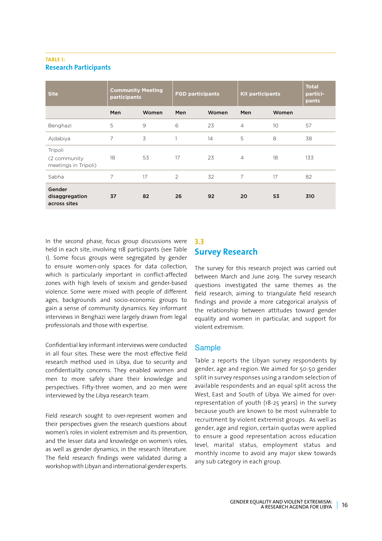#### **TABLE 1: Research Participants**

| <b>Site</b>                                      | <b>Community Meeting</b><br>participants |       | <b>FGD participants</b> |       | <b>KII participants</b> |       | <b>Total</b><br>partici-<br>pants |
|--------------------------------------------------|------------------------------------------|-------|-------------------------|-------|-------------------------|-------|-----------------------------------|
|                                                  | Men                                      | Women | Men                     | Women | Men                     | Women |                                   |
| Benghazi                                         | 5                                        | 9     | 6                       | 23    | $\overline{4}$          | 10    | 57                                |
| Ajdabiya                                         | 7                                        | 3     | 1                       | 14    | 5                       | 8     | 38                                |
| Tripoli<br>(2 community)<br>meetings in Tripoli) | 18                                       | 53    | 17                      | 23    | $\overline{4}$          | 18    | 133                               |
| Sabha                                            | 7                                        | 17    | 2                       | 32    | 7                       | 17    | 82                                |
| Gender<br>disaggregation<br>across sites         | 37                                       | 82    | 26                      | 92    | 20                      | 53    | 310                               |

In the second phase, focus group discussions were held in each site, involving 118 participants (see Table 1). Some focus groups were segregated by gender to ensure women-only spaces for data collection, which is particularly important in conflict-affected zones with high levels of sexism and gender-based violence. Some were mixed with people of different ages, backgrounds and socio-economic groups to gain a sense of community dynamics. Key informant interviews in Benghazi were largely drawn from legal professionals and those with expertise.

Confidential key informant interviews were conducted in all four sites. These were the most effective field research method used in Libya, due to security and confidentiality concerns. They enabled women and men to more safely share their knowledge and perspectives. Fifty-three women, and 20 men were interviewed by the Libya research team.

Field research sought to over-represent women and their perspectives given the research questions about women's roles in violent extremism and its prevention, and the lesser data and knowledge on women's roles, as well as gender dynamics, in the research literature. The field research findings were validated during a workshop with Libyan and international gender experts.

# **3.3 Survey Research**

The survey for this research project was carried out between March and June 2019. The survey research questions investigated the same themes as the field research, aiming to triangulate field research findings and provide a more categorical analysis of the relationship between attitudes toward gender equality and women in particular, and support for violent extremism.

### **Sample**

Table 2 reports the Libyan survey respondents by gender, age and region. We aimed for 50:50 gender split in survey responses using a random selection of available respondents and an equal split across the West, East and South of Libya. We aimed for overrepresentation of youth (18-25 years) in the survey because youth are known to be most vulnerable to recruitment by violent extremist groups. As well as gender, age and region, certain quotas were applied to ensure a good representation across education level, marital status, employment status and monthly income to avoid any major skew towards any sub category in each group.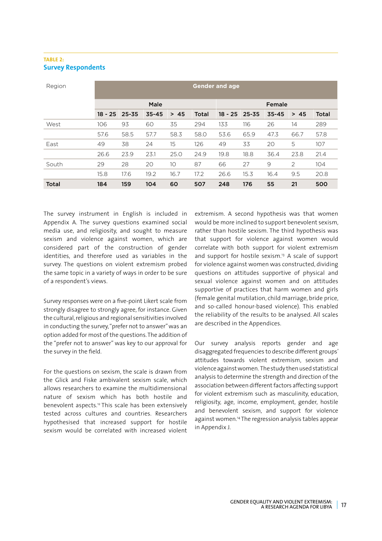#### **TABLE 2: Survey Respondents**

| Region       | <b>Gender and age</b> |           |           |      |              |           |           |           |      |              |
|--------------|-----------------------|-----------|-----------|------|--------------|-----------|-----------|-----------|------|--------------|
|              |                       |           | Male      |      |              |           |           | Female    |      |              |
|              | $18 - 25$             | $25 - 35$ | $35 - 45$ | > 45 | <b>Total</b> | $18 - 25$ | $25 - 35$ | $35 - 45$ | > 45 | <b>Total</b> |
| West         | 106                   | 93        | 60        | 35   | 294          | 133       | 116       | 26        | 14   | 289          |
|              | 57.6                  | 58.5      | 57.7      | 58.3 | 58.0         | 53.6      | 65.9      | 47.3      | 66.7 | 57.8         |
| East         | 49                    | 38        | 24        | 15   | 126          | 49        | 33        | 20        | 5    | 107          |
|              | 26.6                  | 23.9      | 23.1      | 25.0 | 24.9         | 19.8      | 18.8      | 36.4      | 23.8 | 21.4         |
| South        | 29                    | 28        | 20        | 10   | 87           | 66        | 27        | 9         | 2    | 104          |
|              | 15.8                  | 17.6      | 19.2      | 16.7 | 17.2         | 26.6      | 15.3      | 16.4      | 9.5  | 20.8         |
| <b>Total</b> | 184                   | 159       | 104       | 60   | 507          | 248       | 176       | 55        | 21   | 500          |

The survey instrument in English is included in Appendix A. The survey questions examined social media use, and religiosity, and sought to measure sexism and violence against women, which are considered part of the construction of gender identities, and therefore used as variables in the survey. The questions on violent extremism probed the same topic in a variety of ways in order to be sure of a respondent's views.

Survey responses were on a five-point Likert scale from strongly disagree to strongly agree, for instance. Given the cultural, religious and regional sensitivities involved in conducting the survey, "prefer not to answer" was an option added for most of the questions. The addition of the "prefer not to answer" was key to our approval for the survey in the field.

For the questions on sexism, the scale is drawn from the Glick and Fiske ambivalent sexism scale, which allows researchers to examine the multidimensional nature of sexism which has both hostile and benevolent aspects.12 This scale has been extensively tested across cultures and countries. Researchers hypothesised that increased support for hostile sexism would be correlated with increased violent

extremism. A second hypothesis was that women would be more inclined to support benevolent sexism, rather than hostile sexism. The third hypothesis was that support for violence against women would correlate with both support for violent extremism and support for hostile sexism.<sup>13</sup> A scale of support for violence against women was constructed, dividing questions on attitudes supportive of physical and sexual violence against women and on attitudes supportive of practices that harm women and girls (female genital mutilation, child marriage, bride price, and so-called honour-based violence). This enabled the reliability of the results to be analysed. All scales are described in the Appendices.

Our survey analysis reports gender and age disaggregated frequencies to describe different groups' attitudes towards violent extremism, sexism and violence against women. The study then used statistical analysis to determine the strength and direction of the association between different factors affecting support for violent extremism such as masculinity, education, religiosity, age, income, employment, gender, hostile and benevolent sexism, and support for violence against women.14 The regression analysis tables appear in Appendix J.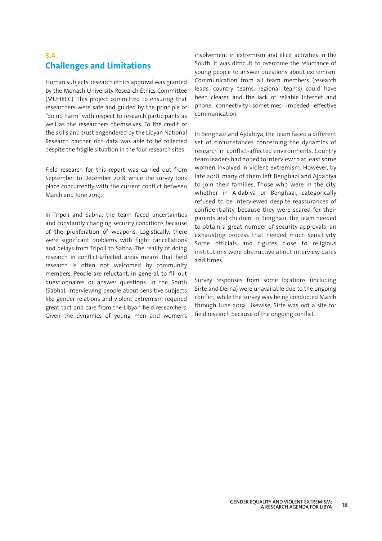# **3.4 Challenges and Limitations**

Human subjects' research ethics approval was granted by the Monash University Research Ethics Committee (MUHREC). This project committed to ensuring that researchers were safe and guided by the principle of "do no harm" with respect to research participants as well as the researchers themselves. To the credit of the skills and trust engendered by the Libyan National Research partner, rich data was able to be collected despite the fragile situation in the four research sites.

Field research for this report was carried out from September to December 2018, while the survey took place concurrently with the current conflict between March and June 2019.

In Tripoli and Sabha, the team faced uncertainties and constantly changing security conditions because of the proliferation of weapons. Logistically, there were significant problems with flight cancellations and delays from Tripoli to Sabha. The reality of doing research in conflict-affected areas means that field research is often not welcomed by community members. People are reluctant, in general, to fill out questionnaires or answer questions. In the South (Sabha), interviewing people about sensitive subjects like gender relations and violent extremism required great tact and care from the Libyan field researchers. Given the dynamics of young men and women's

involvement in extremism and illicit activities in the South, it was difficult to overcome the reluctance of young people to answer questions about extremism. Communication from all team members (research leads, country teams, regional teams) could have been clearer, and the lack of reliable internet and phone connectivity sometimes impeded effective communication.

In Benghazi and Ajdabiya, the team faced a different set of circumstances concerning the dynamics of research in conflict-affected environments. Country team leaders had hoped to interview to at least some women involved in violent extremism. However, by late 2018, many of them left Benghazi and Ajdabiya to join their families. Those who were in the city, whether in Ajdabiya or Benghazi, categorically refused to be interviewed despite reassurances of confidentiality, because they were scared for their parents and children. In Benghazi, the team needed to obtain a great number of security approvals; an exhausting process that needed much sensitivity. Some officials and figures close to religious institutions were obstructive about interview dates and times.

Survey responses from some locations (including Sirte and Derna) were unavailable due to the ongoing conflict, while the survey was being conducted March through June 2019. Likewise, Sirte was not a site for field research because of the ongoing conflict.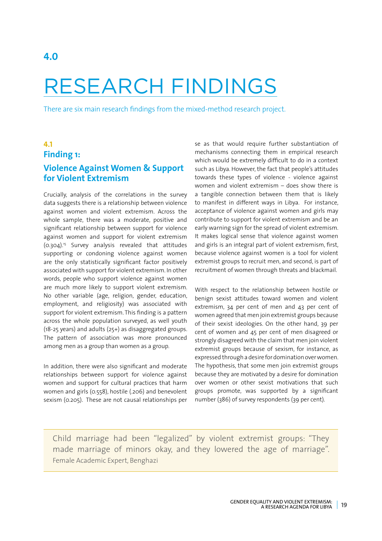# RESEARCH FINDINGS

There are six main research findings from the mixed-method research project.

# **4.1 Finding 1: Violence Against Women & Support for Violent Extremism**

Crucially, analysis of the correlations in the survey data suggests there is a relationship between violence against women and violent extremism. Across the whole sample, there was a moderate, positive and significant relationship between support for violence against women and support for violent extremism  $(0.304).$ <sup>15</sup> Survey analysis revealed that attitudes supporting or condoning violence against women are the only statistically significant factor positively associated with support for violent extremism. In other words, people who support violence against women are much more likely to support violent extremism. No other variable (age, religion, gender, education, employment, and religiosity) was associated with support for violent extremism. This finding is a pattern across the whole population surveyed, as well youth (18-25 years) and adults (25+) as disaggregated groups. The pattern of association was more pronounced among men as a group than women as a group.

In addition, there were also significant and moderate relationships between support for violence against women and support for cultural practices that harm women and girls (0.558), hostile (.206) and benevolent sexism (0.205). These are not causal relationships per se as that would require further substantiation of mechanisms connecting them in empirical research which would be extremely difficult to do in a context such as Libya. However, the fact that people's attitudes towards these types of violence - violence against women and violent extremism – does show there is a tangible connection between them that is likely to manifest in different ways in Libya. For instance, acceptance of violence against women and girls may contribute to support for violent extremism and be an early warning sign for the spread of violent extremism. It makes logical sense that violence against women and girls is an integral part of violent extremism, first, because violence against women is a tool for violent extremist groups to recruit men, and second, is part of recruitment of women through threats and blackmail.

With respect to the relationship between hostile or benign sexist attitudes toward women and violent extremism, 34 per cent of men and 43 per cent of women agreed that men join extremist groups because of their sexist ideologies. On the other hand, 39 per cent of women and 45 per cent of men disagreed or strongly disagreed with the claim that men join violent extremist groups because of sexism, for instance, as expressed through a desire for domination over women. The hypothesis, that some men join extremist groups because they are motivated by a desire for domination over women or other sexist motivations that such groups promote, was supported by a significant number (386) of survey respondents (39 per cent).

Child marriage had been "legalized" by violent extremist groups: "They made marriage of minors okay, and they lowered the age of marriage". Female Academic Expert, Benghazi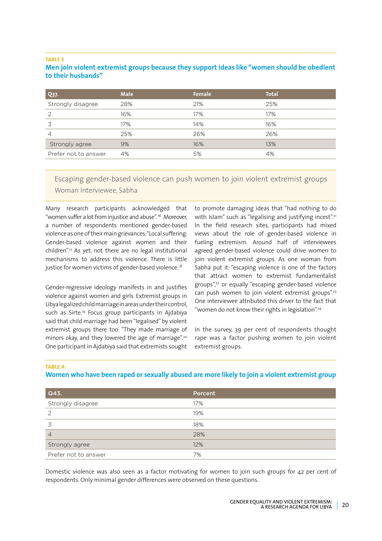#### **TABLE 3**

#### **Men join violent extremist groups because they support ideas like "women should be obedient to their husbands"**

| <b>Q37.</b>          | <b>Male</b> | Female | <b>Total</b> |
|----------------------|-------------|--------|--------------|
| Strongly disagree    | 28%         | 21%    | 25%          |
| 2                    | 16%         | 17%    | 17%          |
| 3                    | 17%         | 14%    | 16%          |
| 4                    | 25%         | 26%    | 26%          |
| Strongly agree       | 9%          | 16%    | 13%          |
| Prefer not to answer | 4%          | 5%     | 4%           |

Escaping gender-based violence can push women to join violent extremist groups Woman Interviewee, Sabha

Many research participants acknowledged that "women suffer a lot from injustice and abuse".<sup>16</sup> Moreover, a number of respondents mentioned gender-based violence as one of their main grievances: "Local suffering: Gender-based violence against women and their children".17 As yet, not there are no legal institutional mechanisms to address this violence. There is little justice for women victims of gender-based violence.<sup>18</sup>

Gender-regressive ideology manifests in and justifies violence against women and girls. Extremist groups in Libya legalized child marriage in areas under their control, such as Sirte.<sup>19</sup> Focus group participants in Ajdabiya said that child marriage had been "legalised" by violent extremist groups there too: "They made marriage of minors okay, and they lowered the age of marriage".<sup>20</sup> One participant in Ajdabiya said that extremists sought to promote damaging ideas that "had nothing to do with Islam" such as "legalising and justifying incest".<sup>21</sup> In the field research sites, participants had mixed views about the role of gender-based violence in fueling extremism. Around half of interviewees agreed gender-based violence could drive women to join violent extremist groups. As one woman from Sabha put it: "escaping violence is one of the factors that attract women to extremist fundamentalist groups",22 or equally "escaping gender-based violence can push women to join violent extremist groups".<sup>23</sup> One interviewee attributed this driver to the fact that "women do not know their rights in legislation".<sup>24</sup>

In the survey, 39 per cent of respondents thought rape was a factor pushing women to join violent extremist groups.

#### **TABLE 4:**

#### **Women who have been raped or sexually abused are more likely to join a violent extremist group**

| Q43.                 | Percent |
|----------------------|---------|
| Strongly disagree    | 17%     |
| 2                    | 19%     |
|                      | 18%     |
| 4                    | 28%     |
| Strongly agree       | 12%     |
| Prefer not to answer | 7%      |

Domestic violence was also seen as a factor motivating for women to join such groups for 42 per cent of respondents. Only minimal gender differences were observed on these questions.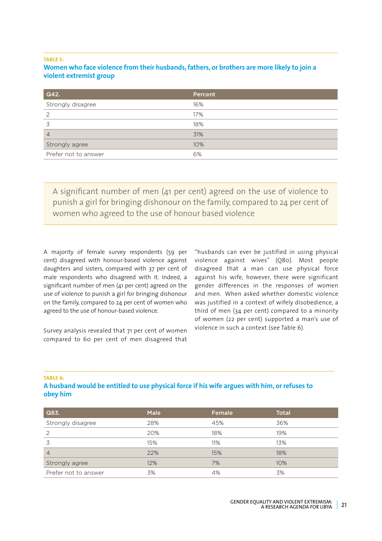#### **TABLE 5:**

#### **Women who face violence from their husbands,fathers, or brothers are more likely to join a violent extremist group**

| Q42.                 | Percent |
|----------------------|---------|
| Strongly disagree    | 16%     |
| 2                    | 17%     |
| 3                    | 18%     |
| $\overline{4}$       | 31%     |
| Strongly agree       | 10%     |
| Prefer not to answer | 6%      |

A significant number of men (41 per cent) agreed on the use of violence to punish a girl for bringing dishonour on the family, compared to 24 per cent of women who agreed to the use of honour based violence

A majority of female survey respondents (59 per cent) disagreed with honour-based violence against daughters and sisters, compared with 37 per cent of male respondents who disagreed with it. Indeed, a significant number of men (41 per cent) agreed on the use of violence to punish a girl for bringing dishonour on the family, compared to 24 per cent of women who agreed to the use of honour-based violence.

Survey analysis revealed that 71 per cent of women compared to 60 per cent of men disagreed that

"husbands can ever be justified in using physical violence against wives" (Q80). Most people disagreed that a man can use physical force against his wife, however, there were significant gender differences in the responses of women and men. When asked whether domestic violence was justified in a context of wifely disobedience, a third of men (34 per cent) compared to a minority of women (22 per cent) supported a man's use of violence in such a context (see Table 6).

#### **TABLE 6:**

#### **A husband would be entitled to use physical force if his wife argues with him, or refuses to obey him**

| Q83.                 | <b>Male</b> | Female | <b>Total</b> |
|----------------------|-------------|--------|--------------|
| Strongly disagree    | 28%         | 45%    | 36%          |
| 2                    | 20%         | 18%    | 19%          |
| 3                    | 15%         | 11%    | 13%          |
| $\overline{4}$       | 22%         | 15%    | 18%          |
| Strongly agree       | 12%         | 7%     | 10%          |
| Prefer not to answer | 3%          | 4%     | 3%           |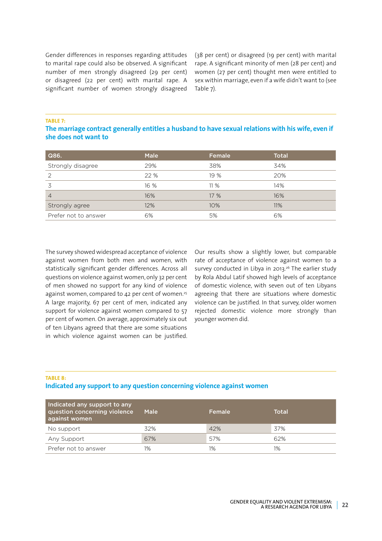Gender differences in responses regarding attitudes to marital rape could also be observed. A significant number of men strongly disagreed (29 per cent) or disagreed (22 per cent) with marital rape. A significant number of women strongly disagreed (38 per cent) or disagreed (19 per cent) with marital rape. A significant minority of men (28 per cent) and women (27 per cent) thought men were entitled to sex within marriage, even if a wife didn't want to (see Table 7).

**TABLE 7:** 

#### **The marriage contract generally entitles a husband to have sexual relations with his wife, even if she does not want to**

| Q86.                 | <b>Male</b> | Female | <b>Total</b> |
|----------------------|-------------|--------|--------------|
| Strongly disagree    | 29%         | 38%    | 34%          |
| っ                    | 22 %        | 19 %   | 20%          |
|                      | 16 %        | 11%    | 14%          |
| 4                    | 16%         | 17 %   | 16%          |
| Strongly agree       | 12%         | 10%    | 11%          |
| Prefer not to answer | 6%          | 5%     | 6%           |

The survey showed widespread acceptance of violence against women from both men and women, with statistically significant gender differences. Across all questions on violence against women, only 32 per cent of men showed no support for any kind of violence against women, compared to  $42$  per cent of women.<sup>25</sup> A large majority, 67 per cent of men, indicated any support for violence against women compared to 57 per cent of women. On average, approximately six out of ten Libyans agreed that there are some situations in which violence against women can be justified.

Our results show a slightly lower, but comparable rate of acceptance of violence against women to a survey conducted in Libya in 2013.26 The earlier study by Rola Abdul Latif showed high levels of acceptance of domestic violence, with seven out of ten Libyans agreeing that there are situations where domestic violence can be justified. In that survey, older women rejected domestic violence more strongly than younger women did.

#### **TABLE 8: Indicated any support to any question concerning violence against women**

| Indicated any support to any<br>question concerning violence<br>against women | Male | Female | Total |
|-------------------------------------------------------------------------------|------|--------|-------|
| No support                                                                    | 32%  | 42%    | 37%   |
| Any Support                                                                   | 67%  | 57%    | 62%   |
| Prefer not to answer                                                          | 1%   | 1%     | 1%    |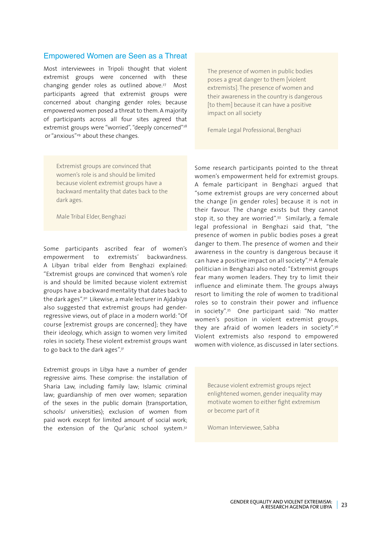#### Empowered Women are Seen as a Threat

Most interviewees in Tripoli thought that violent extremist groups were concerned with these changing gender roles as outlined above. $27$  Most participants agreed that extremist groups were concerned about changing gender roles; because empowered women posed a threat to them. A majority of participants across all four sites agreed that extremist groups were "worried", "deeply concerned"<sup>28</sup> or "anxious"<sup>29</sup> about these changes.

The presence of women in public bodies poses a great danger to them [violent extremists]. The presence of women and their awareness in the country is dangerous [to them] because it can have a positive impact on all society

Female Legal Professional, Benghazi

Extremist groups are convinced that women's role is and should be limited because violent extremist groups have a backward mentality that dates back to the dark ages.

Male Tribal Elder, Benghazi

Some participants ascribed fear of women's empowerment to extremists' backwardness. A Libyan tribal elder from Benghazi explained: "Extremist groups are convinced that women's role is and should be limited because violent extremist groups have a backward mentality that dates back to the dark ages".<sup>30</sup> Likewise, a male lecturer in Ajdabiya also suggested that extremist groups had genderregressive views, out of place in a modern world: "Of course [extremist groups are concerned]; they have their ideology, which assign to women very limited roles in society. These violent extremist groups want to go back to the dark ages".31

Extremist groups in Libya have a number of gender regressive aims. These comprise: the installation of Sharia Law, including family law; Islamic criminal law; guardianship of men over women; separation of the sexes in the public domain (transportation, schools/ universities); exclusion of women from paid work except for limited amount of social work; the extension of the Our'anic school system.<sup>32</sup>

Some research participants pointed to the threat women's empowerment held for extremist groups. A female participant in Benghazi argued that "some extremist groups are very concerned about the change [in gender roles] because it is not in their favour. The change exists but they cannot stop it, so they are worried".<sup>33</sup> Similarly, a female legal professional in Benghazi said that, "the presence of women in public bodies poses a great danger to them. The presence of women and their awareness in the country is dangerous because it can have a positive impact on all society".34 A female politician in Benghazi also noted: "Extremist groups fear many women leaders. They try to limit their influence and eliminate them. The groups always resort to limiting the role of women to traditional roles so to constrain their power and influence in society".35 One participant said: "No matter women's position in violent extremist groups, they are afraid of women leaders in society".<sup>36</sup> Violent extremists also respond to empowered women with violence, as discussed in later sections.

Because violent extremist groups reject enlightened women, gender inequality may motivate women to either fight extremism or become part of it

Woman Interviewee, Sabha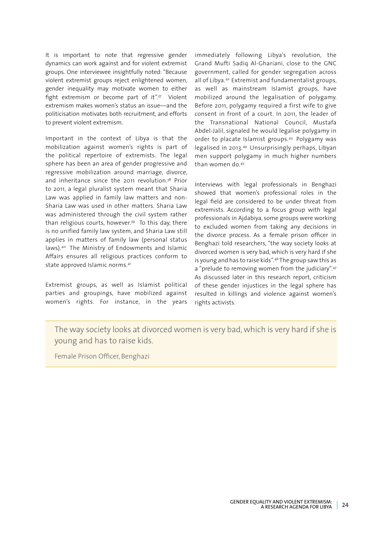It is important to note that regressive gender dynamics can work against and for violent extremist groups. One interviewee insightfully noted: "Because violent extremist groups reject enlightened women, gender inequality may motivate women to either fight extremism or become part of it".<sup>37</sup> Violent extremism makes women's status an issue—and the politicisation motivates both recruitment, and efforts to prevent violent extremism.

Important in the context of Libya is that the mobilization against women's rights is part of the political repertoire of extremists. The legal sphere has been an area of gender progressive and regressive mobilization around marriage, divorce, and inheritance since the 2011 revolution.<sup>38</sup> Prior to 2011, a legal pluralist system meant that Sharia Law was applied in family law matters and non-Sharia Law was used in other matters. Sharia Law was administered through the civil system rather than religious courts, however.39 To this day, there is no unified family law system, and Sharia Law still applies in matters of family law (personal status laws).40 The Ministry of Endowments and Islamic Affairs ensures all religious practices conform to state approved Islamic norms.41

Extremist groups, as well as Islamist political parties and groupings, have mobilized against women's rights. For instance, in the years

immediately following Libya's revolution, the Grand Mufti Sadiq Al-Ghariani, close to the GNC government, called for gender segregation across all of Libya.42 Extremist and fundamentalist groups, as well as mainstream Islamist groups, have mobilized around the legalisation of polygamy. Before 2011, polygamy required a first wife to give consent in front of a court. In 2011, the leader of the Transnational National Council, Mustafa Abdel-Jalil, signaled he would legalise polygamy in order to placate Islamist groups.43 Polygamy was legalised in 2013.44 Unsurprisingly perhaps, Libyan men support polygamy in much higher numbers than women do.45

Interviews with legal professionals in Benghazi showed that women's professional roles in the legal field are considered to be under threat from extremists. According to a focus group with legal professionals in Ajdabiya, some groups were working to excluded women from taking any decisions in the divorce process. As a female prison officer in Benghazi told researchers, "the way society looks at divorced women is very bad, which is very hard if she is young and has to raise kids".46 The group saw this as a "prelude to removing women from the judiciary".47 As discussed later in this research report, criticism of these gender injustices in the legal sphere has resulted in killings and violence against women's rights activists.

The way society looks at divorced women is very bad, which is very hard if she is young and has to raise kids.

Female Prison Officer, Benghazi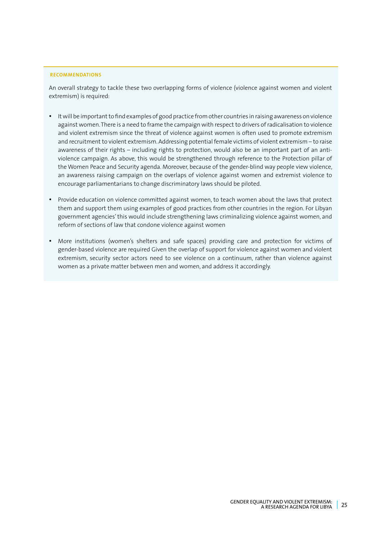#### **RECOMMENDATIONS**

An overall strategy to tackle these two overlapping forms of violence (violence against women and violent extremism) is required:

- • It will be important to find examples of good practice from other countries in raising awareness on violence against women. There is a need to frame the campaign with respect to drivers of radicalisation to violence and violent extremism since the threat of violence against women is often used to promote extremism and recruitment to violent extremism. Addressing potential female victims of violent extremism – to raise awareness of their rights – including rights to protection, would also be an important part of an antiviolence campaign. As above, this would be strengthened through reference to the Protection pillar of the Women Peace and Security agenda. Moreover, because of the gender-blind way people view violence, an awareness raising campaign on the overlaps of violence against women and extremist violence to encourage parliamentarians to change discriminatory laws should be piloted.
- Provide education on violence committed against women, to teach women about the laws that protect them and support them using examples of good practices from other countries in the region. For Libyan government agencies' this would include strengthening laws criminalizing violence against women, and reform of sections of law that condone violence against women
- • More institutions (women's shelters and safe spaces) providing care and protection for victims of gender-based violence are required Given the overlap of support for violence against women and violent extremism, security sector actors need to see violence on a continuum, rather than violence against women as a private matter between men and women, and address it accordingly.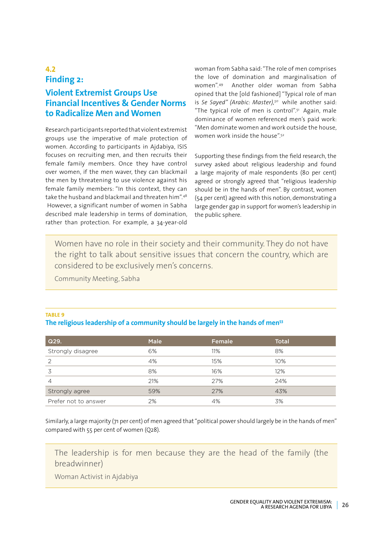## **4.2 Finding 2:**

# **Violent Extremist Groups Use Financial Incentives & Gender Norms to Radicalize Men and Women**

Research participants reported that violent extremist groups use the imperative of male protection of women. According to participants in Ajdabiya, ISIS focuses on recruiting men, and then recruits their female family members. Once they have control over women, if the men waver, they can blackmail the men by threatening to use violence against his female family members: "In this context, they can take the husband and blackmail and threaten him".48 However, a significant number of women in Sabha described male leadership in terms of domination, rather than protection. For example, a 34-year-old

woman from Sabha said: "The role of men comprises the love of domination and marginalisation of women".49 Another older woman from Sabha opined that the [old fashioned] "Typical role of man is *Se Sayed" (Arabic: Master),50* while another said: "The typical role of men is control".<sup>51</sup> Again, male dominance of women referenced men's paid work: "Men dominate women and work outside the house, women work inside the house".52

Supporting these findings from the field research, the survey asked about religious leadership and found a large majority of male respondents (80 per cent) agreed or strongly agreed that "religious leadership should be in the hands of men". By contrast, women (54 per cent) agreed with this notion, demonstrating a large gender gap in support for women's leadership in the public sphere.

Women have no role in their society and their community. They do not have the right to talk about sensitive issues that concern the country, which are considered to be exclusively men's concerns.

Community Meeting, Sabha

#### **TABLE 9 The religious leadership of a community should be largely in the hands of men53**

| Q29.                 | <b>Male</b> | Female | <b>Total</b> |
|----------------------|-------------|--------|--------------|
| Strongly disagree    | 6%          | 11%    | 8%           |
| 2                    | 4%          | 15%    | 10%          |
|                      | 8%          | 16%    | 12%          |
| 4                    | 21%         | 27%    | 24%          |
| Strongly agree       | 59%         | 27%    | 43%          |
| Prefer not to answer | 2%          | 4%     | 3%           |

Similarly, a large majority (71 per cent) of men agreed that "political power should largely be in the hands of men" compared with 55 per cent of women (Q28).

The leadership is for men because they are the head of the family (the breadwinner)

Woman Activist in Ajdabiya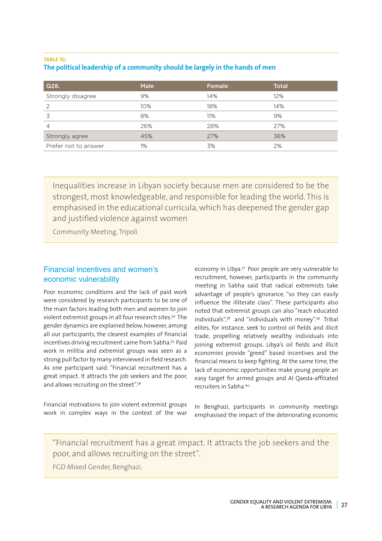#### **TABLE 10: The political leadership of a community should be largely in the hands of men**

| Q28.                 | <b>Male</b> | Female | <b>Total</b> |
|----------------------|-------------|--------|--------------|
| Strongly disagree    | 9%          | 14%    | 12%          |
| 2                    | 10%         | 18%    | 14%          |
| 3                    | 8%          | 11%    | 9%           |
| $\overline{4}$       | 26%         | 28%    | 27%          |
| Strongly agree       | 45%         | 27%    | 36%          |
| Prefer not to answer | 1%          | 3%     | 2%           |

Inequalities increase in Libyan society because men are considered to be the strongest, most knowledgeable, and responsible for leading the world. This is emphasised in the educational curricula, which has deepened the gender gap and justified violence against women

Community Meeting, Tripoli

### Financial incentives and women's economic vulnerability

Poor economic conditions and the lack of paid work were considered by research participants to be one of the main factors leading both men and women to join violent extremist groups in all four research sites.54 The gender dynamics are explained below, however, among all our participants, the clearest examples of financial incentives driving recruitment came from Sabha.55 Paid work in militia and extremist groups was seen as a strong pull factor by many interviewed in field research. As one participant said: "Financial recruitment has a great impact. It attracts the job seekers and the poor, and allows recruiting on the street".56

Financial motivations to join violent extremist groups work in complex ways in the context of the war

economy in Libya.57 Poor people are very vulnerable to recruitment, however, participants in the community meeting in Sabha said that radical extremists take advantage of people's ignorance, "so they can easily influence the illiterate class". These participants also noted that extremist groups can also "reach educated individuals",58 and "individuals with money".59 Tribal elites, for instance, seek to control oil fields and illicit trade, propelling relatively wealthy individuals into joining extremist groups. Libya's oil fields and illicit economies provide "greed" based incentives and the financial means to keep fighting. At the same time, the lack of economic opportunities make young people an easy target for armed groups and Al Qaeda-affiliated recruiters in Sabha<sup>60</sup>

In Benghazi, participants in community meetings emphasised the impact of the deteriorating economic

"Financial recruitment has a great impact. It attracts the job seekers and the poor, and allows recruiting on the street".

FGD Mixed Gender, Benghazi.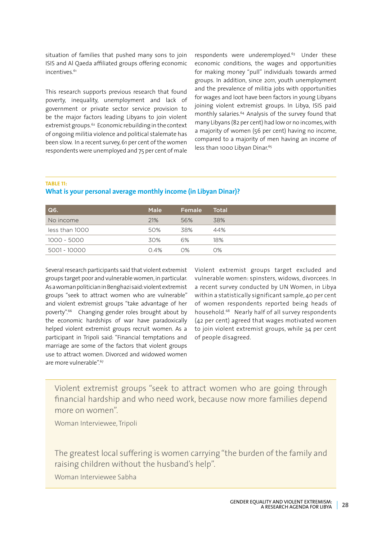situation of families that pushed many sons to join ISIS and Al Qaeda affiliated groups offering economic incentives.<sup>61</sup>

This research supports previous research that found poverty, inequality, unemployment and lack of government or private sector service provision to be the major factors leading Libyans to join violent extremist groups.62 Economic rebuilding in the context of ongoing militia violence and political stalemate has been slow. In a recent survey, 61 per cent of the women respondents were unemployed and 75 per cent of male

respondents were underemployed.<sup>63</sup> Under these economic conditions, the wages and opportunities for making money "pull" individuals towards armed groups. In addition, since 2011, youth unemployment and the prevalence of militia jobs with opportunities for wages and loot have been factors in young Libyans joining violent extremist groups. In Libya, ISIS paid monthly salaries.<sup>64</sup> Analysis of the survey found that many Libyans (82 per cent) had low or no incomes, with a majority of women (56 per cent) having no income, compared to a majority of men having an income of less than 1000 Libyan Dinar.<sup>65</sup>

**TABLE 11:** 

### **What is your personal average monthly income (in Libyan Dinar)?**

| Q6.            | <b>Male</b> | Female | Total |
|----------------|-------------|--------|-------|
| No income      | 21%         | 56%    | 38%   |
| less than 1000 | 50%         | 38%    | 44%   |
| 1000 - 5000    | 30%         | 6%     | 18%   |
| 5001 - 10000   | 0.4%        | $O\%$  | $O\%$ |

Several research participants said that violent extremist groups target poor and vulnerable women, in particular. As a woman politician in Benghazi said: violent extremist groups "seek to attract women who are vulnerable" and violent extremist groups "take advantage of her poverty".66 Changing gender roles brought about by the economic hardships of war have paradoxically helped violent extremist groups recruit women. As a participant in Tripoli said: "Financial temptations and marriage are some of the factors that violent groups use to attract women. Divorced and widowed women are more vulnerable".67

Violent extremist groups target excluded and vulnerable women: spinsters, widows, divorcees. In a recent survey conducted by UN Women, in Libya within a statistically significant sample, 40 per cent of women respondents reported being heads of household.68 Nearly half of all survey respondents (42 per cent) agreed that wages motivated women to join violent extremist groups, while 34 per cent of people disagreed.

Violent extremist groups "seek to attract women who are going through financial hardship and who need work, because now more families depend more on women".

Woman Interviewee, Tripoli

The greatest local suffering is women carrying "the burden of the family and raising children without the husband's help".

Woman Interviewee Sabha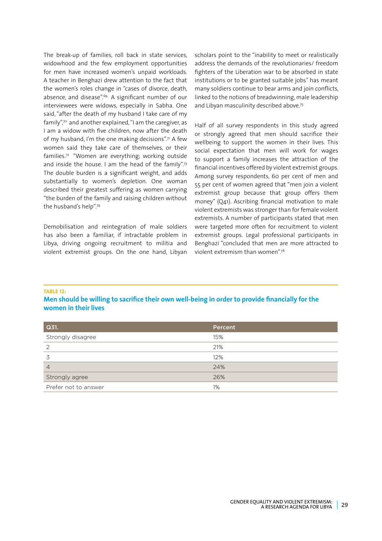The break-up of families, roll back in state services, widowhood and the few employment opportunities for men have increased women's unpaid workloads. A teacher in Benghazi drew attention to the fact that the women's roles change in "cases of divorce, death, absence, and disease".69 A significant number of our interviewees were widows, especially in Sabha. One said, "after the death of my husband I take care of my family",70 and another explained, "I am the caregiver, as I am a widow with five children, now after the death of my husband, I'm the one making decisions".<sup>71</sup> A few women said they take care of themselves, or their families.72 "Women are everything; working outside and inside the house. I am the head of the family".<sup>73</sup> The double burden is a significant weight, and adds substantially to women's depletion. One woman described their greatest suffering as women carrying "the burden of the family and raising children without the husband's help".74

Demobilisation and reintegration of male soldiers has also been a familiar, if intractable problem in Libya, driving ongoing recruitment to militia and violent extremist groups. On the one hand, Libyan scholars point to the "inability to meet or realistically address the demands of the revolutionaries/ freedom fighters of the Liberation war to be absorbed in state institutions or to be granted suitable jobs" has meant many soldiers continue to bear arms and join conflicts, linked to the notions of breadwinning, male leadership and Libyan masculinity described above.75

Half of all survey respondents in this study agreed or strongly agreed that men should sacrifice their wellbeing to support the women in their lives. This social expectation that men will work for wages to support a family increases the attraction of the financial incentives offered by violent extremist groups. Among survey respondents, 60 per cent of men and 55 per cent of women agreed that "men join a violent extremist group because that group offers them money" (Q41). Ascribing financial motivation to male violent extremists was stronger than for female violent extremists. A number of participants stated that men were targeted more often for recruitment to violent extremist groups. Legal professional participants in Benghazi "concluded that men are more attracted to violent extremism than women".76

#### **TABLE 12:**

**Men should be willing to sacrifice their own well-being in order to provide financially for the women in their lives**

| Q31.                 | Percent |
|----------------------|---------|
| Strongly disagree    | 15%     |
| 2                    | 21%     |
|                      | 12%     |
| $\overline{4}$       | 24%     |
| Strongly agree       | 26%     |
| Prefer not to answer | 1%      |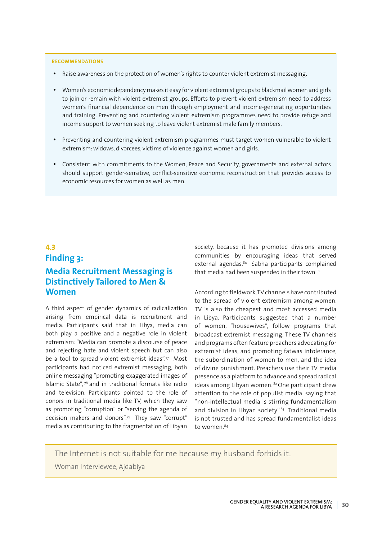#### **RECOMMENDATIONS**

- Raise awareness on the protection of women's rights to counter violent extremist messaging.
- • Women's economic dependency makes it easy for violent extremist groups to blackmail women and girls to join or remain with violent extremist groups. Efforts to prevent violent extremism need to address women's financial dependence on men through employment and income-generating opportunities and training. Preventing and countering violent extremism programmes need to provide refuge and income support to women seeking to leave violent extremist male family members.
- • Preventing and countering violent extremism programmes must target women vulnerable to violent extremism: widows, divorcees, victims of violence against women and girls.
- Consistent with commitments to the Women, Peace and Security, governments and external actors should support gender-sensitive, conflict-sensitive economic reconstruction that provides access to economic resources for women as well as men.

# **4.3 Finding 3: Media Recruitment Messaging is Distinctively Tailored to Men & Women**

A third aspect of gender dynamics of radicalization arising from empirical data is recruitment and media. Participants said that in Libya, media can both play a positive and a negative role in violent extremism: "Media can promote a discourse of peace and rejecting hate and violent speech but can also be a tool to spread violent extremist ideas".<sup>77</sup> Most participants had noticed extremist messaging, both online messaging "promoting exaggerated images of Islamic State", 78 and in traditional formats like radio and television. Participants pointed to the role of donors in traditional media like TV, which they saw as promoting "corruption" or "serving the agenda of decision makers and donors".79 They saw "corrupt" media as contributing to the fragmentation of Libyan

society, because it has promoted divisions among communities by encouraging ideas that served external agendas.<sup>80</sup> Sabha participants complained that media had been suspended in their town.<sup>81</sup>

According to fieldwork, TV channels have contributed to the spread of violent extremism among women. TV is also the cheapest and most accessed media in Libya. Participants suggested that a number of women, "housewives", follow programs that broadcast extremist messaging. These TV channels and programs often feature preachers advocating for extremist ideas, and promoting fatwas intolerance, the subordination of women to men, and the idea of divine punishment. Preachers use their TV media presence as a platform to advance and spread radical ideas among Libyan women. <sup>82</sup> One participant drew attention to the role of populist media, saying that "non-intellectual media is stirring fundamentalism and division in Libyan society".<sup>83</sup> Traditional media is not trusted and has spread fundamentalist ideas to women.<sup>84</sup>

The Internet is not suitable for me because my husband forbids it.

Woman Interviewee, Ajdabiya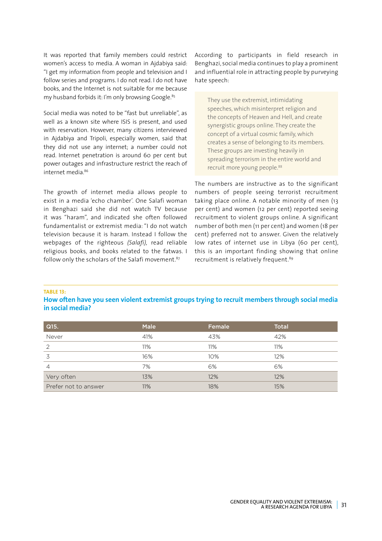It was reported that family members could restrict women's access to media. A woman in Ajdabiya said: "I get my information from people and television and I follow series and programs. I do not read. I do not have books, and the Internet is not suitable for me because my husband forbids it: I'm only browsing Google.<sup>85</sup>

Social media was noted to be "fast but unreliable", as well as a known site where ISIS is present, and used with reservation. However, many citizens interviewed in Ajdabiya and Tripoli, especially women, said that they did not use any internet; a number could not read. Internet penetration is around 60 per cent but power outages and infrastructure restrict the reach of internet media.86

The growth of internet media allows people to exist in a media 'echo chamber'. One Salafi woman in Benghazi said she did not watch TV because it was "haram", and indicated she often followed fundamentalist or extremist media: "I do not watch television because it is haram. Instead I follow the webpages of the righteous *(Salafi),* read reliable religious books, and books related to the fatwas. I follow only the scholars of the Salafi movement.<sup>87</sup>

According to participants in field research in Benghazi, social media continues to play a prominent and influential role in attracting people by purveying hate speech:

They use the extremist, intimidating speeches, which misinterpret religion and the concepts of Heaven and Hell, and create synergistic groups online. They create the concept of a virtual cosmic family, which creates a sense of belonging to its members. These groups are investing heavily in spreading terrorism in the entire world and recruit more young people.<sup>88</sup>

The numbers are instructive as to the significant numbers of people seeing terrorist recruitment taking place online. A notable minority of men (13 per cent) and women (12 per cent) reported seeing recruitment to violent groups online. A significant number of both men (11 per cent) and women (18 per cent) preferred not to answer. Given the relatively low rates of internet use in Libya (60 per cent), this is an important finding showing that online recruitment is relatively frequent.<sup>89</sup>

#### **TABLE 13:**

**How often have you seen violent extremist groups trying to recruit members through social media in social media?**

| $\vert$ Q15.         | <b>Male</b> | Female | <b>Total</b> |
|----------------------|-------------|--------|--------------|
| Never                | 41%         | 43%    | 42%          |
| 2                    | 11%         | 11%    | 11%          |
| 3                    | 16%         | 10%    | 12%          |
| $\overline{4}$       | 7%          | 6%     | 6%           |
| Very often           | 13%         | 12%    | 12%          |
| Prefer not to answer | 11%         | 18%    | 15%          |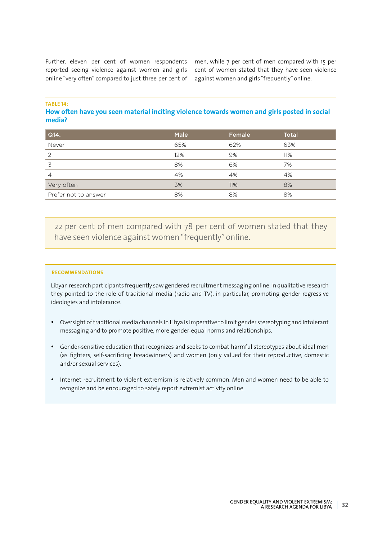Further, eleven per cent of women respondents reported seeing violence against women and girls online "very often" compared to just three per cent of

men, while 7 per cent of men compared with 15 per cent of women stated that they have seen violence against women and girls "frequently" online.

**TABLE 14:** 

#### **How often have you seen material inciting violence towards women and girls posted in social media?**

| Q14.                 | <b>Male</b> | Female | <b>Total</b> |
|----------------------|-------------|--------|--------------|
| Never                | 65%         | 62%    | 63%          |
| 2                    | 12%         | 9%     | 11%          |
| 3                    | 8%          | 6%     | 7%           |
| 4                    | 4%          | 4%     | 4%           |
| Very often           | 3%          | 11%    | 8%           |
| Prefer not to answer | 8%          | 8%     | 8%           |

22 per cent of men compared with 78 per cent of women stated that they have seen violence against women "frequently" online.

#### **RECOMMENDATIONS**

Libyan research participants frequently saw gendered recruitment messaging online. In qualitative research they pointed to the role of traditional media (radio and TV), in particular, promoting gender regressive ideologies and intolerance.

- • Oversight of traditional media channels in Libya is imperative to limit gender stereotyping and intolerant messaging and to promote positive, more gender-equal norms and relationships.
- • Gender-sensitive education that recognizes and seeks to combat harmful stereotypes about ideal men (as fighters, self-sacrificing breadwinners) and women (only valued for their reproductive, domestic and/or sexual services).
- Internet recruitment to violent extremism is relatively common. Men and women need to be able to recognize and be encouraged to safely report extremist activity online.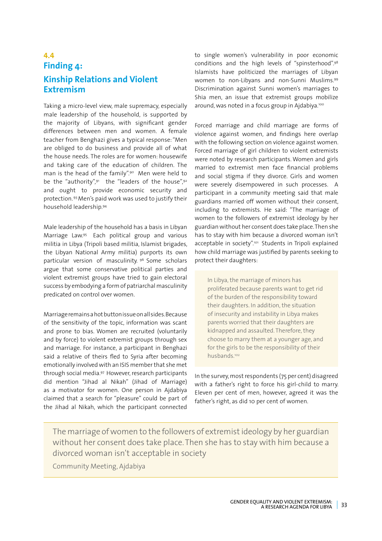# **4.4 Finding 4: Kinship Relations and Violent Extremism**

Taking a micro-level view, male supremacy, especially male leadership of the household, is supported by the majority of Libyans, with significant gender differences between men and women. A female teacher from Benghazi gives a typical response: "Men are obliged to do business and provide all of what the house needs. The roles are for women: housewife and taking care of the education of children. The man is the head of the family".<sup>90</sup> Men were held to be the "authority",  $91$  the "leaders of the house",  $92$ and ought to provide economic security and protection. 93 Men's paid work was used to justify their household leadership.94

Male leadership of the household has a basis in Libyan Marriage Law.95 Each political group and various militia in Libya (Tripoli based militia, Islamist brigades, the Libyan National Army militia) purports its own particular version of masculinity. 96 Some scholars argue that some conservative political parties and violent extremist groups have tried to gain electoral success by embodying a form of patriarchal masculinity predicated on control over women.

Marriage remains a hot button issue on all sides. Because of the sensitivity of the topic, information was scant and prone to bias. Women are recruited (voluntarily and by force) to violent extremist groups through sex and marriage. For instance, a participant in Benghazi said a relative of theirs fled to Syria after becoming emotionally involved with an ISIS member that she met through social media.97 However, research participants did mention "Jihad al Nikah" (Jihad of Marriage) as a motivator for women. One person in Ajdabiya claimed that a search for "pleasure" could be part of the Jihad al Nikah, which the participant connected

to single women's vulnerability in poor economic conditions and the high levels of "spinsterhood".98 Islamists have politicized the marriages of Libyan women to non-Libyans and non-Sunni Muslims.99 Discrimination against Sunni women's marriages to Shia men, an issue that extremist groups mobilize around, was noted in a focus group in Ajdabiya.<sup>100</sup>

Forced marriage and child marriage are forms of violence against women, and findings here overlap with the following section on violence against women. Forced marriage of girl children to violent extremists were noted by research participants. Women and girls married to extremist men face financial problems and social stigma if they divorce. Girls and women were severely disempowered in such processes. A participant in a community meeting said that male guardians married off women without their consent, including to extremists. He said: "The marriage of women to the followers of extremist ideology by her guardian without her consent does take place. Then she has to stay with him because a divorced woman isn't acceptable in society".<sup>101</sup> Students in Tripoli explained how child marriage was justified by parents seeking to protect their daughters:

In Libya, the marriage of minors has proliferated because parents want to get rid of the burden of the responsibility toward their daughters. In addition, the situation of insecurity and instability in Libya makes parents worried that their daughters are kidnapped and assaulted. Therefore, they choose to marry them at a younger age, and for the girls to be the responsibility of their husbands.102

In the survey, most respondents (75 per cent) disagreed with a father's right to force his girl-child to marry. Eleven per cent of men, however, agreed it was the father's right, as did 10 per cent of women.

The marriage of women to the followers of extremist ideology by her guardian without her consent does take place. Then she has to stay with him because a divorced woman isn't acceptable in society

Community Meeting, Ajdabiya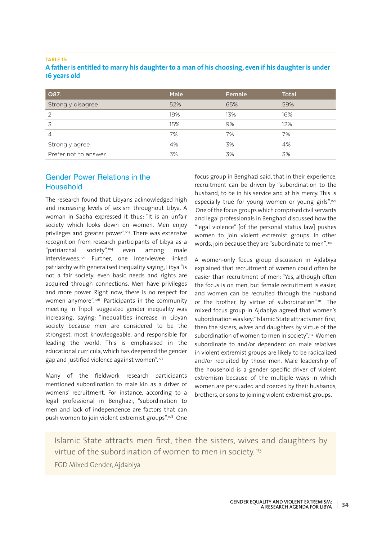#### **TABLE 15:**

| A father is entitled to marry his daughter to a man of his choosing, even if his daughter is under |  |  |
|----------------------------------------------------------------------------------------------------|--|--|
| 16 years old                                                                                       |  |  |

| Q87.                 | <b>Male</b> | Female | <b>Total</b> |
|----------------------|-------------|--------|--------------|
| Strongly disagree    | 52%         | 65%    | 59%          |
| っ                    | 19%         | 13%    | 16%          |
|                      | 15%         | 9%     | 12%          |
| 4                    | 7%          | 7%     | 7%           |
| Strongly agree       | 4%          | 3%     | 4%           |
| Prefer not to answer | 3%          | 3%     | 3%           |

### Gender Power Relations in the Household

The research found that Libyans acknowledged high and increasing levels of sexism throughout Libya. A woman in Sabha expressed it thus: "It is an unfair society which looks down on women. Men enjoy privileges and greater power".<sup>103</sup> There was extensive recognition from research participants of Libya as a "patriarchal society",104 even among male interviewees.105 Further, one interviewee linked patriarchy with generalised inequality saying, Libya "is not a fair society; even basic needs and rights are acquired through connections. Men have privileges and more power. Right now, there is no respect for women anymore".106 Participants in the community meeting in Tripoli suggested gender inequality was increasing, saying: "Inequalities increase in Libyan society because men are considered to be the strongest, most knowledgeable, and responsible for leading the world. This is emphasised in the educational curricula, which has deepened the gender gap and justified violence against women".107

Many of the fieldwork research participants mentioned subordination to male kin as a driver of womens' recruitment. For instance, according to a legal professional in Benghazi, "subordination to men and lack of independence are factors that can push women to join violent extremist groups".<sup>108</sup> One focus group in Benghazi said, that in their experience, recruitment can be driven by "subordination to the husband; to be in his service and at his mercy. This is especially true for young women or young girls".<sup>109</sup> One of the focus groups which comprised civil servants and legal professionals in Benghazi discussed how the "legal violence" [of the personal status law] pushes women to join violent extremist groups. In other words, join because they are "subordinate to men". 110

A women-only focus group discussion in Ajdabiya explained that recruitment of women could often be easier than recruitment of men: "Yes, although often the focus is on men, but female recruitment is easier, and women can be recruited through the husband or the brother, by virtue of subordination".<sup>111</sup> The mixed focus group in Ajdabiya agreed that women's subordination was key: "Islamic State attracts men first, then the sisters, wives and daughters by virtue of the subordination of women to men in society".<sup>112</sup> Women subordinate to and/or dependent on male relatives in violent extremist groups are likely to be radicalized and/or recruited by those men. Male leadership of the household is a gender specific driver of violent extremism because of the multiple ways in which women are persuaded and coerced by their husbands, brothers, or sons to joining violent extremist groups.

Islamic State attracts men first, then the sisters, wives and daughters by virtue of the subordination of women to men in society. 113

FGD Mixed Gender, Ajdabiya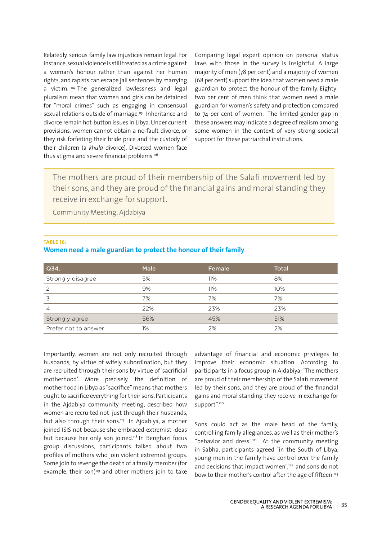Relatedly, serious family law injustices remain legal. For instance, sexual violence is still treated as a crime against a woman's honour rather than against her human rights, and rapists can escape jail sentences by marrying a victim.<sup>114</sup> The generalized lawlessness and legal pluralism mean that women and girls can be detained for "moral crimes" such as engaging in consensual sexual relations outside of marriage.<sup>115</sup> Inheritance and divorce remain hot-button issues in Libya. Under current provisions, women cannot obtain a no-fault divorce, or they risk forfeiting their bride price and the custody of their children (a *khula* divorce). Divorced women face thus stigma and severe financial problems.<sup>116</sup>

Comparing legal expert opinion on personal status laws with those in the survey is insightful. A large majority of men (78 per cent) and a majority of women (68 per cent) support the idea that women need a male guardian to protect the honour of the family. Eightytwo per cent of men think that women need a male guardian for women's safety and protection compared to 74 per cent of women. The limited gender gap in these answers may indicate a degree of realism among some women in the context of very strong societal support for these patriarchal institutions.

The mothers are proud of their membership of the Salafi movement led by their sons, and they are proud of the financial gains and moral standing they receive in exchange for support.

Community Meeting, Ajdabiya

#### **TABLE 16:**

#### **Women need a male guardian to protect the honour of their family**

| Q34.                 | <b>Male</b> | Female | <b>Total</b> |
|----------------------|-------------|--------|--------------|
| Strongly disagree    | 5%          | 11%    | 8%           |
| 2                    | 9%          | 11%    | 10%          |
| 3                    | 7%          | 7%     | 7%           |
| 4                    | 22%         | 23%    | 23%          |
| Strongly agree       | 56%         | 45%    | 51%          |
| Prefer not to answer | $1\%$       | 2%     | 2%           |

Importantly, women are not only recruited through husbands, by virtue of wifely subordination, but they are recruited through their sons by virtue of 'sacrificial motherhood'. More precisely, the definition of motherhood in Libya as "sacrifice" means that mothers ought to sacrifice everything for their sons. Participants in the Ajdabiya community meeting, described how women are recruited not just through their husbands, but also through their sons.<sup>117</sup> In Ajdabiya, a mother joined ISIS not because she embraced extremist ideas but because her only son joined.<sup>118</sup> In Benghazi focus group discussions, participants talked about two profiles of mothers who join violent extremist groups. Some join to revenge the death of a family member (for example, their son)<sup>119</sup> and other mothers join to take

advantage of financial and economic privileges to improve their economic situation. According to participants in a focus group in Ajdabiya: "The mothers are proud of their membership of the Salafi movement led by their sons, and they are proud of the financial gains and moral standing they receive in exchange for support".<sup>120</sup>

Sons could act as the male head of the family, controlling family allegiances, as well as their mother's "behavior and dress".121 At the community meeting in Sabha, participants agreed "in the South of Libya, young men in the family have control over the family and decisions that impact women",<sup>122</sup> and sons do not bow to their mother's control after the age of fifteen.<sup>123</sup>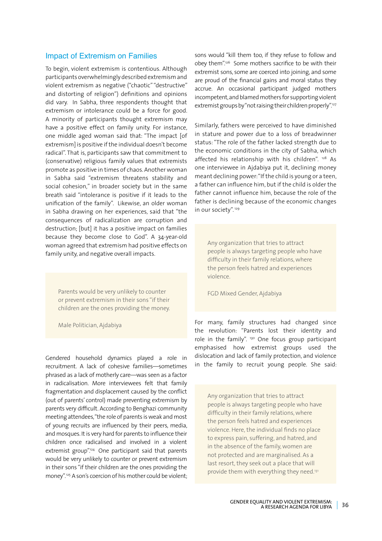#### Impact of Extremism on Families

To begin, violent extremism is contentious. Although participants overwhelmingly described extremism and violent extremism as negative ("chaotic" "destructive" and distorting of religion") definitions and opinions did vary. In Sabha, three respondents thought that extremism or intolerance could be a force for good. A minority of participants thought extremism may have a positive effect on family unity. For instance, one middle aged woman said that: "The impact [of extremism] is positive if the individual doesn't become radical". That is, participants saw that commitment to (conservative) religious family values that extremists promote as positive in times of chaos. Another woman in Sabha said "extremism threatens stability and social cohesion," in broader society but in the same breath said "intolerance is positive if it leads to the unification of the family". Likewise, an older woman in Sabha drawing on her experiences, said that "the consequences of radicalization are corruption and destruction; [but] it has a positive impact on families because they become close to God". A 34-year-old woman agreed that extremism had positive effects on family unity, and negative overall impacts.

Parents would be very unlikely to counter or prevent extremism in their sons "if their children are the ones providing the money.

Male Politician, Ajdabiya

Gendered household dynamics played a role in recruitment. A lack of cohesive families—sometimes phrased as a lack of motherly care—was seen as a factor in radicalisation. More interviewees felt that family fragmentation and displacement caused by the conflict (out of parents' control) made preventing extremism by parents very difficult. According to Benghazi community meeting attendees, "the role of parents is weak and most of young recruits are influenced by their peers, media, and mosques. It is very hard for parents to influence their children once radicalised and involved in a violent extremist group".<sup>124</sup> One participant said that parents would be very unlikely to counter or prevent extremism in their sons "if their children are the ones providing the money".<sup>125</sup> A son's coercion of his mother could be violent; sons would "kill them too, if they refuse to follow and obey them".126 Some mothers sacrifice to be with their extremist sons, some are coerced into joining, and some are proud of the financial gains and moral status they accrue. An occasional participant judged mothers incompetent, and blamed mothers for supporting violent extremist groups by "not raising their children properly".<sup>127</sup>

Similarly, fathers were perceived to have diminished in stature and power due to a loss of breadwinner status: "The role of the father lacked strength due to the economic conditions in the city of Sabha, which affected his relationship with his children". <sup>128</sup> As one interviewee in Ajdabiya put it, declining money meant declining power: "If the child is young or a teen, a father can influence him, but if the child is older the father cannot influence him, because the role of the father is declining because of the economic changes in our society". 129

Any organization that tries to attract people is always targeting people who have difficulty in their family relations, where the person feels hatred and experiences violence.

FGD Mixed Gender, Ajdabiya

For many, family structures had changed since the revolution: "Parents lost their identity and role in the family".  $130$  One focus group participant emphasised how extremist groups used the dislocation and lack of family protection, and violence in the family to recruit young people. She said:

Any organization that tries to attract people is always targeting people who have difficulty in their family relations, where the person feels hatred and experiences violence. Here, the individual finds no place to express pain, suffering, and hatred, and in the absence of the family, women are not protected and are marginalised. As a last resort, they seek out a place that will provide them with everything they need.<sup>131</sup>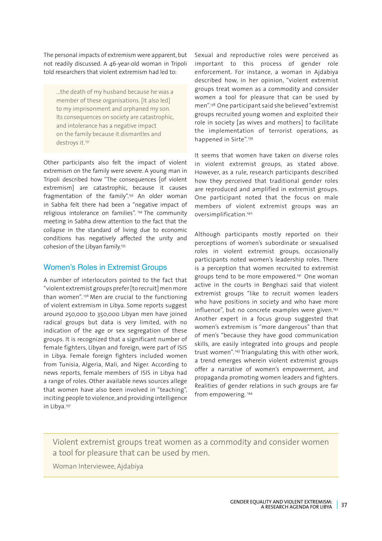The personal impacts of extremism were apparent, but not readily discussed. A 46-year-old woman in Tripoli told researchers that violent extremism had led to:

…the death of my husband because he was a member of these organisations. [It also led] to my imprisonment and orphaned my son. Its consequences on society are catastrophic, and intolerance has a negative impact on the family because it dismantles and destroys it.<sup>132</sup>

Other participants also felt the impact of violent extremism on the family were severe. A young man in Tripoli described how "The consequences [of violent extremism] are catastrophic, because it causes fragmentation of the family".133 An older woman in Sabha felt there had been a "negative impact of religious intolerance on families".<sup>134</sup> The community meeting in Sabha drew attention to the fact that the collapse in the standard of living due to economic conditions has negatively affected the unity and cohesion of the Libyan family.<sup>135</sup>

#### Women's Roles in Extremist Groups

A number of interlocutors pointed to the fact that "violent extremist groups prefer [to recruit] men more than women".<sup>136</sup> Men are crucial to the functioning of violent extremism in Libya. Some reports suggest around 250,000 to 350,000 Libyan men have joined radical groups but data is very limited, with no indication of the age or sex segregation of these groups. It is recognized that a significant number of female fighters, Libyan and foreign, were part of ISIS in Libya. Female foreign fighters included women from Tunisia, Algeria, Mali, and Niger. According to news reports, female members of ISIS in Libya had a range of roles. Other available news sources allege that women have also been involved in "teaching", inciting people to violence, and providing intelligence in Libya.137

Sexual and reproductive roles were perceived as important to this process of gender role enforcement. For instance, a woman in Ajdabiya described how, in her opinion, "violent extremist groups treat women as a commodity and consider women a tool for pleasure that can be used by men".138 One participant said she believed "extremist groups recruited young women and exploited their role in society [as wives and mothers] to facilitate the implementation of terrorist operations, as happened in Sirte".<sup>139</sup>

It seems that women have taken on diverse roles in violent extremist groups, as stated above. However, as a rule, research participants described how they perceived that traditional gender roles are reproduced and amplified in extremist groups. One participant noted that the focus on male members of violent extremist groups was an oversimplification.140

Although participants mostly reported on their perceptions of women's subordinate or sexualised roles in violent extremist groups, occasionally participants noted women's leadership roles. There is a perception that women recruited to extremist groups tend to be more empowered.141 One woman active in the courts in Benghazi said that violent extremist groups "like to recruit women leaders who have positions in society and who have more influence", but no concrete examples were given.<sup>142</sup> Another expert in a focus group suggested that women's extremism is "more dangerous" than that of men's "because they have good communication skills, are easily integrated into groups and people trust women". 143 Triangulating this with other work, a trend emerges wherein violent extremist groups offer a narrative of women's empowerment, and propaganda promoting women leaders and fighters. Realities of gender relations in such groups are far from empowering.<sup>144</sup>

Violent extremist groups treat women as a commodity and consider women a tool for pleasure that can be used by men.

Woman Interviewee, Ajdabiya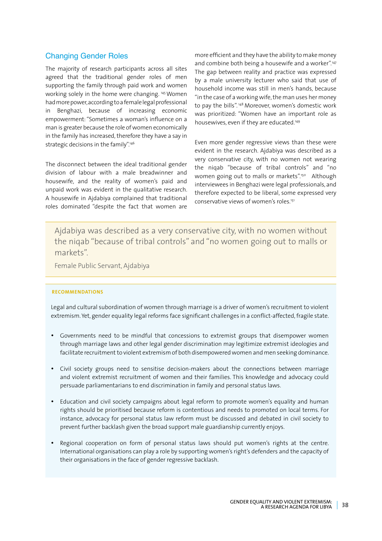#### Changing Gender Roles

The majority of research participants across all sites agreed that the traditional gender roles of men supporting the family through paid work and women working solely in the home were changing. 145 Women had more power, according to a female legal professional in Benghazi, because of increasing economic empowerment: "Sometimes a woman's influence on a man is greater because the role of women economically in the family has increased, therefore they have a say in strategic decisions in the family".<sup>146</sup>

The disconnect between the ideal traditional gender division of labour with a male breadwinner and housewife, and the reality of women's paid and unpaid work was evident in the qualitative research. A housewife in Ajdabiya complained that traditional roles dominated "despite the fact that women are

more efficient and they have the ability to make money and combine both being a housewife and a worker".147 The gap between reality and practice was expressed by a male university lecturer who said that use of household income was still in men's hands, because "in the case of a working wife, the man uses her money to pay the bills". 148 Moreover, women's domestic work was prioritized: "Women have an important role as housewives, even if they are educated.<sup>149</sup>

Even more gender regressive views than these were evident in the research. Ajdabiya was described as a very conservative city, with no women not wearing the niqab "because of tribal controls" and "no women going out to malls or markets".<sup>150</sup> Although interviewees in Benghazi were legal professionals, and therefore expected to be liberal, some expressed very conservative views of women's roles.151

Ajdabiya was described as a very conservative city, with no women without the niqab "because of tribal controls" and "no women going out to malls or markets".

Female Public Servant, Ajdabiya

#### **RECOMMENDATIONS**

Legal and cultural subordination of women through marriage is a driver of women's recruitment to violent extremism. Yet, gender equality legal reforms face significant challenges in a conflict-affected, fragile state.

- • Governments need to be mindful that concessions to extremist groups that disempower women through marriage laws and other legal gender discrimination may legitimize extremist ideologies and facilitate recruitment to violent extremism of both disempowered women and men seeking dominance.
- • Civil society groups need to sensitise decision-makers about the connections between marriage and violent extremist recruitment of women and their families. This knowledge and advocacy could persuade parliamentarians to end discrimination in family and personal status laws.
- Education and civil society campaigns about legal reform to promote women's equality and human rights should be prioritised because reform is contentious and needs to promoted on local terms. For instance, advocacy for personal status law reform must be discussed and debated in civil society to prevent further backlash given the broad support male guardianship currently enjoys.
- Regional cooperation on form of personal status laws should put women's rights at the centre. International organisations can play a role by supporting women's right's defenders and the capacity of their organisations in the face of gender regressive backlash.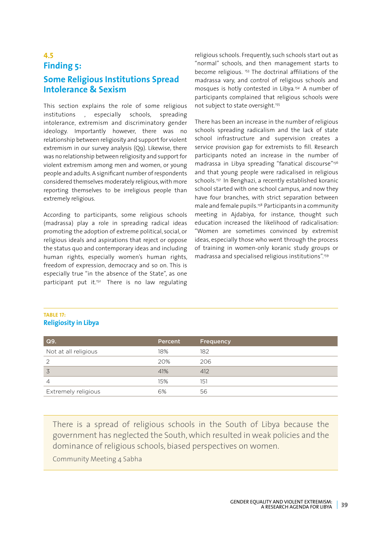#### **4.5 Finding 5: Some Religious Institutions Spread Intolerance & Sexism**

This section explains the role of some religious institutions , especially schools, spreading intolerance, extremism and discriminatory gender ideology. Importantly however, there was no relationship between religiosity and support for violent extremism in our survey analysis (Q9). Likewise, there was no relationship between religiosity and support for violent extremism among men and women, or young people and adults. A significant number of respondents considered themselves moderately religious, with more reporting themselves to be irreligious people than extremely religious.

According to participants, some religious schools (madrassa) play a role in spreading radical ideas promoting the adoption of extreme political, social, or religious ideals and aspirations that reject or oppose the status quo and contemporary ideas and including human rights, especially women's human rights, freedom of expression, democracy and so on. This is especially true "in the absence of the State", as one participant put it.<sup>152</sup> There is no law regulating

religious schools. Frequently, such schools start out as "normal" schools, and then management starts to become religious. 153 The doctrinal affiliations of the madrassa vary, and control of religious schools and mosques is hotly contested in Libya*. <sup>154</sup>* A number of participants complained that religious schools were not subject to state oversight.<sup>155</sup>

There has been an increase in the number of religious schools spreading radicalism and the lack of state school infrastructure and supervision creates a service provision gap for extremists to fill. Research participants noted an increase in the number of madrassa in Libya spreading "fanatical discourse"156 and that young people were radicalised in religious schools.<sup>157</sup> In Benghazi, a recently established koranic school started with one school campus, and now they have four branches, with strict separation between male and female pupils.<sup>158</sup> Participants in a community meeting in Ajdabiya, for instance, thought such education increased the likelihood of radicalisation: "Women are sometimes convinced by extremist ideas, especially those who went through the process of training in women-only koranic study groups or madrassa and specialised religious institutions".159

#### **TABLE 17: Religiosity in Libya**

| Percent | <b>Frequency</b> |
|---------|------------------|
| 18%     | 182              |
| 20%     | 206              |
| 41%     | 412              |
| 15%     | 151              |
| 6%      | 56               |
|         |                  |

There is a spread of religious schools in the South of Libya because the government has neglected the South, which resulted in weak policies and the dominance of religious schools, biased perspectives on women.

Community Meeting 4 Sabha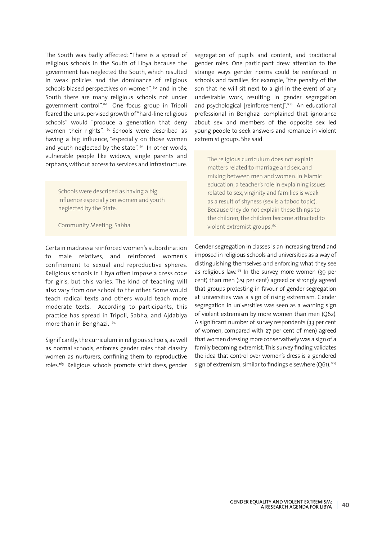The South was badly affected: "There is a spread of religious schools in the South of Libya because the government has neglected the South, which resulted in weak policies and the dominance of religious schools biased perspectives on women".<sup>160</sup> and in the South there are many religious schools not under government control".161 One focus group in Tripoli feared the unsupervised growth of "hard-line religious schools" would "produce a generation that deny women their rights".<sup>162</sup> Schools were described as having a big influence, "especially on those women and youth neglected by the state".<sup>163</sup> In other words, vulnerable people like widows, single parents and orphans, without access to services and infrastructure.

Schools were described as having a big influence especially on women and youth neglected by the State.

Community Meeting, Sabha

Certain madrassa reinforced women's subordination to male relatives, and reinforced women's confinement to sexual and reproductive spheres. Religious schools in Libya often impose a dress code for girls, but this varies. The kind of teaching will also vary from one school to the other. Some would teach radical texts and others would teach more moderate texts. According to participants, this practice has spread in Tripoli, Sabha, and Ajdabiya more than in Benghazi. 164

Significantly, the curriculum in religious schools, as well as normal schools, enforces gender roles that classify women as nurturers, confining them to reproductive roles.165 Religious schools promote strict dress, gender

segregation of pupils and content, and traditional gender roles. One participant drew attention to the strange ways gender norms could be reinforced in schools and families, for example, "the penalty of the son that he will sit next to a girl in the event of any undesirable work, resulting in gender segregation and psychological [reinforcement]".<sup>166</sup> An educational professional in Benghazi complained that ignorance about sex and members of the opposite sex led young people to seek answers and romance in violent extremist groups. She said:

The religious curriculum does not explain matters related to marriage and sex, and mixing between men and women. In Islamic education, a teacher's role in explaining issues related to sex, virginity and families is weak as a result of shyness (sex is a taboo topic). Because they do not explain these things to the children, the children become attracted to violent extremist groups.167

Gender-segregation in classes is an increasing trend and imposed in religious schools and universities as a way of distinguishing themselves and enforcing what they see as religious law.168 In the survey, more women (39 per cent) than men (29 per cent) agreed or strongly agreed that groups protesting in favour of gender segregation at universities was a sign of rising extremism. Gender segregation in universities was seen as a warning sign of violent extremism by more women than men (Q62). A significant number of survey respondents (33 per cent of women, compared with 27 per cent of men) agreed that women dressing more conservatively was a sign of a family becoming extremist. This survey finding validates the idea that control over women's dress is a gendered sign of extremism, similar to findings elsewhere (O61).<sup>169</sup>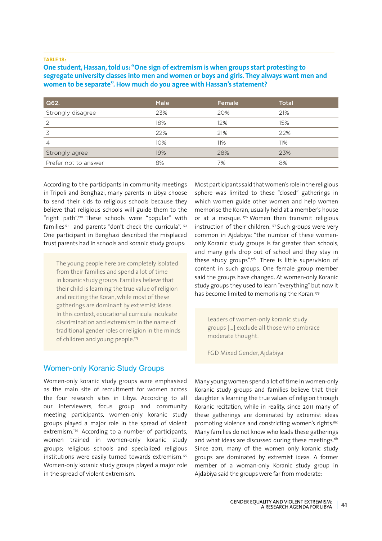#### **TABLE 18:**

**One student,Hassan,told us:"One sign of extremism is when groups start protesting to segregate university classes into men and women or boys and girls.They always want men and women to be separate".How much do you agree with Hassan's statement?**

| Q62.                 | <b>Male</b> | Female | <b>Total</b> |
|----------------------|-------------|--------|--------------|
| Strongly disagree    | 23%         | 20%    | 21%          |
| 2                    | 18%         | 12%    | 15%          |
| 3                    | 22%         | 21%    | 22%          |
| 4                    | 10%         | 11%    | 11%          |
| Strongly agree       | 19%         | 28%    | 23%          |
| Prefer not to answer | 8%          | 7%     | 8%           |

According to the participants in community meetings in Tripoli and Benghazi, many parents in Libya choose to send their kids to religious schools because they believe that religious schools will guide them to the "right path".170 These schools were "popular" with families<sup>171</sup> and parents "don't check the curricula".<sup>172</sup> One participant in Benghazi described the misplaced trust parents had in schools and koranic study groups:

The young people here are completely isolated from their families and spend a lot of time in koranic study groups. Families believe that their child is learning the true value of religion and reciting the Koran, while most of these gatherings are dominant by extremist ideas. In this context, educational curricula inculcate discrimination and extremism in the name of traditional gender roles or religion in the minds of children and young people.173

Women-only Koranic Study Groups

Women-only koranic study groups were emphasised as the main site of recruitment for women across the four research sites in Libya. According to all our interviewers, focus group and community meeting participants, women-only koranic study groups played a major role in the spread of violent extremism.<sup>174</sup> According to a number of participants, women trained in women-only koranic study groups; religious schools and specialized religious institutions were easily turned towards extremism.175 Women-only koranic study groups played a major role in the spread of violent extremism.

Most participants said that women's role in the religious sphere was limited to these "closed" gatherings in which women guide other women and help women memorise the Koran, usually held at a member's house or at a mosque.<sup> $176$ </sup> Women then transmit religious instruction of their children.<sup>177</sup> Such groups were very common in Ajdabiya: "the number of these womenonly Koranic study groups is far greater than schools, and many girls drop out of school and they stay in these study groups".178 There is little supervision of content in such groups. One female group member said the groups have changed. At women-only Koranic study groups they used to learn "everything" but now it has become limited to memorising the Koran.<sup>179</sup>

Leaders of women-only koranic study groups […] exclude all those who embrace moderate thought.

FGD Mixed Gender, Ajdabiya

Many young women spend a lot of time in women-only Koranic study groups and families believe that their daughter is learning the true values of religion through Koranic recitation, while in reality, since 2011 many of these gatherings are dominated by extremist ideas promoting violence and constricting women's rights.<sup>180</sup> Many families do not know who leads these gatherings and what ideas are discussed during these meetings. $181$ Since 2011, many of the women only koranic study groups are dominated by extremist ideas. A former member of a woman-only Koranic study group in Ajdabiya said the groups were far from moderate: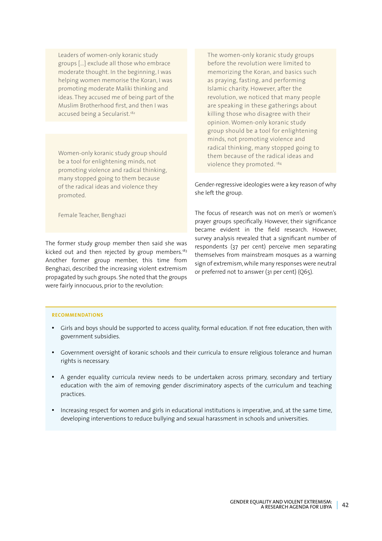Leaders of women-only koranic study groups […] exclude all those who embrace moderate thought. In the beginning, I was helping women memorise the Koran, I was promoting moderate Maliki thinking and ideas. They accused me of being part of the Muslim Brotherhood first, and then I was accused being a Secularist.<sup>182</sup>

Women-only koranic study group should be a tool for enlightening minds, not promoting violence and radical thinking, many stopped going to them because of the radical ideas and violence they promoted.

Female Teacher, Benghazi

The former study group member then said she was kicked out and then rejected by group members.<sup>183</sup> Another former group member, this time from Benghazi, described the increasing violent extremism propagated by such groups. She noted that the groups were fairly innocuous, prior to the revolution:

The women-only koranic study groups before the revolution were limited to memorizing the Koran, and basics such as praying, fasting, and performing Islamic charity. However, after the revolution, we noticed that many people are speaking in these gatherings about killing those who disagree with their opinion. Women-only koranic study group should be a tool for enlightening minds, not promoting violence and radical thinking, many stopped going to them because of the radical ideas and violence they promoted. 184

Gender-regressive ideologies were a key reason of why she left the group.

The focus of research was not on men's or women's prayer groups specifically. However, their significance became evident in the field research. However, survey analysis revealed that a significant number of respondents (37 per cent) perceive men separating themselves from mainstream mosques as a warning sign of extremism, while many responses were neutral or preferred not to answer (31 per cent) (Q65).

#### **RECOMMENDATIONS**

- • Girls and boys should be supported to access quality, formal education. If not free education, then with government subsidies.
- • Government oversight of koranic schools and their curricula to ensure religious tolerance and human rights is necessary.
- A gender equality curricula review needs to be undertaken across primary, secondary and tertiary education with the aim of removing gender discriminatory aspects of the curriculum and teaching practices.
- Increasing respect for women and girls in educational institutions is imperative, and, at the same time, developing interventions to reduce bullying and sexual harassment in schools and universities.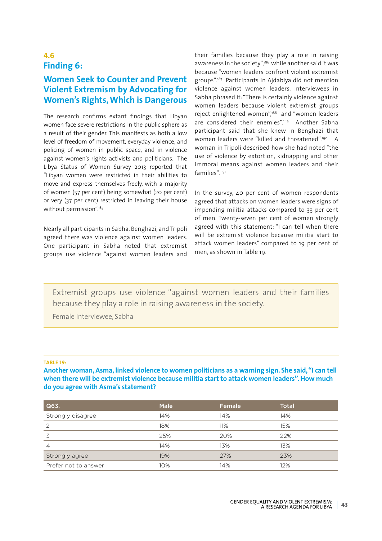#### **4.6 Finding 6:**

#### **Women Seek to Counter and Prevent Violent Extremism by Advocating for Women's Rights,Which is Dangerous**

The research confirms extant findings that Libyan women face severe restrictions in the public sphere as a result of their gender. This manifests as both a low level of freedom of movement, everyday violence, and policing of women in public space, and in violence against women's rights activists and politicians. The Libya Status of Women Survey 2013 reported that "Libyan women were restricted in their abilities to move and express themselves freely, with a majority of women (57 per cent) being somewhat (20 per cent) or very (37 per cent) restricted in leaving their house without permission".185

Nearly all participants in Sabha, Benghazi, and Tripoli agreed there was violence against women leaders. One participant in Sabha noted that extremist groups use violence "against women leaders and

their families because they play a role in raising awareness in the society",<sup>186</sup> while another said it was because "women leaders confront violent extremist groups".187 Participants in Ajdabiya did not mention violence against women leaders. Interviewees in Sabha phrased it: "There is certainly violence against women leaders because violent extremist groups reject enlightened women",188 and "women leaders are considered their enemies".<sup>189</sup> Another Sabha participant said that she knew in Benghazi that women leaders were "killed and threatened".<sup>190</sup> A woman in Tripoli described how she had noted "the use of violence by extortion, kidnapping and other immoral means against women leaders and their families". 191

In the survey, 40 per cent of women respondents agreed that attacks on women leaders were signs of impending militia attacks compared to 33 per cent of men. Twenty-seven per cent of women strongly agreed with this statement: "I can tell when there will be extremist violence because militia start to attack women leaders" compared to 19 per cent of men, as shown in Table 19.

Extremist groups use violence "against women leaders and their families because they play a role in raising awareness in the society.

Female Interviewee, Sabha

#### **TABLE 19:**

**Another woman,Asma, linked violence to women politicians as a warning sign. She said,"I can tell when there will be extremist violence because militia start to attack women leaders".How much do you agree with Asma's statement?**

| Q63.                 | <b>Male</b> | Female | <b>Total</b> |
|----------------------|-------------|--------|--------------|
| Strongly disagree    | 14%         | 14%    | 14%          |
| 2                    | 18%         | 11%    | 15%          |
| 3                    | 25%         | 20%    | 22%          |
| $\overline{4}$       | 14%         | 13%    | 13%          |
| Strongly agree       | 19%         | 27%    | 23%          |
| Prefer not to answer | 10%         | 14%    | 12%          |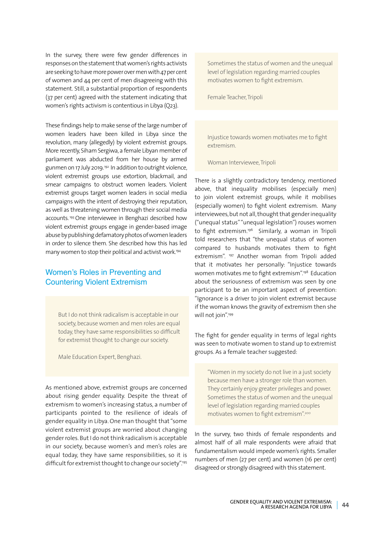In the survey, there were few gender differences in responses on the statement that women's rights activists are seeking to have more power over men with 47 per cent of women and 44 per cent of men disagreeing with this statement. Still, a substantial proportion of respondents (37 per cent) agreed with the statement indicating that women's rights activism is contentious in Libya (Q23).

These findings help to make sense of the large number of women leaders have been killed in Libya since the revolution, many (allegedly) by violent extremist groups. More recently, Siham Sergiwa, a female Libyan member of parliament was abducted from her house by armed gunmen on 17 July 2019.192 In addition to outright violence, violent extremist groups use extortion, blackmail, and smear campaigns to obstruct women leaders. Violent extremist groups target women leaders in social media campaigns with the intent of destroying their reputation, as well as threatening women through their social media accounts. 193 One interviewee in Benghazi described how violent extremist groups engage in gender-based image abuse by publishing defamatory photos of women leaders in order to silence them. She described how this has led many women to stop their political and activist work.194

#### Women's Roles in Preventing and Countering Violent Extremism

But I do not think radicalism is acceptable in our society, because women and men roles are equal today, they have same responsibilities so difficult for extremist thought to change our society.

Male Education Expert, Benghazi.

As mentioned above, extremist groups are concerned about rising gender equality. Despite the threat of extremism to women's increasing status, a number of participants pointed to the resilience of ideals of gender equality in Libya. One man thought that "some violent extremist groups are worried about changing gender roles. But I do not think radicalism is acceptable in our society, because women's and men's roles are equal today, they have same responsibilities, so it is difficult for extremist thought to change our society".195 Sometimes the status of women and the unequal level of legislation regarding married couples motivates women to fight extremism.

Female Teacher, Tripoli

Injustice towards women motivates me to fight extremism.

Woman Interviewee, Tripoli

There is a slightly contradictory tendency, mentioned above, that inequality mobilises (especially men) to join violent extremist groups, while it mobilises (especially women) to fight violent extremism. Many interviewees, but not all, thought that gender inequality ("unequal status" "unequal legislation") rouses women to fight extremism.<sup>196</sup> Similarly, a woman in Tripoli told researchers that "the unequal status of women compared to husbands motivates them to fight extremism". <sup>197</sup> Another woman from Tripoli added that it motivates her personally: "Injustice towards women motivates me to fight extremism".198 Education about the seriousness of extremism was seen by one participant to be an important aspect of prevention: "Ignorance is a driver to join violent extremist because if the woman knows the gravity of extremism then she will not join".199

The fight for gender equality in terms of legal rights was seen to motivate women to stand up to extremist groups. As a female teacher suggested:

"Women in my society do not live in a just society because men have a stronger role than women. They certainly enjoy greater privileges and power. Sometimes the status of women and the unequal level of legislation regarding married couples motivates women to fight extremism".200

In the survey, two thirds of female respondents and almost half of all male respondents were afraid that fundamentalism would impede women's rights. Smaller numbers of men (27 per cent) and women (16 per cent) disagreed or strongly disagreed with this statement.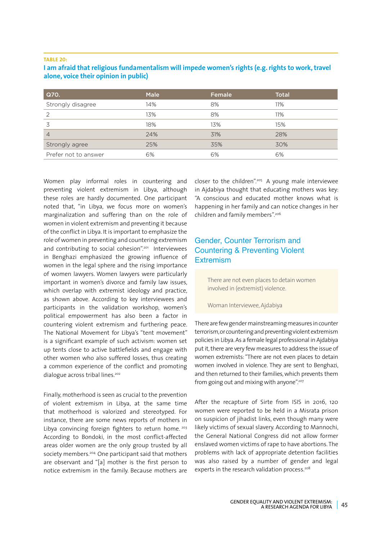#### **TABLE 20:**

#### **I am afraid that religious fundamentalism will impede women's rights (e.g.rights to work,travel alone, voice their opinion in public)**

| Q70.                 | <b>Male</b> | Female | <b>Total</b> |
|----------------------|-------------|--------|--------------|
| Strongly disagree    | 14%         | 8%     | 11%          |
| 2                    | 13%         | 8%     | 11%          |
| 3                    | 18%         | 13%    | 15%          |
| $\overline{4}$       | 24%         | 31%    | 28%          |
| Strongly agree       | 25%         | 35%    | 30%          |
| Prefer not to answer | 6%          | 6%     | 6%           |

Women play informal roles in countering and preventing violent extremism in Libya, although these roles are hardly documented. One participant noted that, "in Libya, we focus more on women's marginalization and suffering than on the role of women in violent extremism and preventing it because of the conflict in Libya. It is important to emphasize the role of women in preventing and countering extremism and contributing to social cohesion".<sup>201</sup> Interviewees in Benghazi emphasized the growing influence of women in the legal sphere and the rising importance of women lawyers. Women lawyers were particularly important in women's divorce and family law issues, which overlap with extremist ideology and practice, as shown above. According to key interviewees and participants in the validation workshop, women's political empowerment has also been a factor in countering violent extremism and furthering peace. The National Movement for Libya's "tent movement" is a significant example of such activism: women set up tents close to active battlefields and engage with other women who also suffered losses, thus creating a common experience of the conflict and promoting dialogue across tribal lines.<sup>202</sup>

Finally, motherhood is seen as crucial to the prevention of violent extremism in Libya, at the same time that motherhood is valorized and stereotyped. For instance, there are some news reports of mothers in Libya convincing foreign fighters to return home.<sup>203</sup> According to Bondoki, in the most conflict-affected areas older women are the only group trusted by all society members.<sup>204</sup> One participant said that mothers are observant and "[a] mother is the first person to notice extremism in the family. Because mothers are

closer to the children".205 A young male interviewee in Ajdabiya thought that educating mothers was key: "A conscious and educated mother knows what is happening in her family and can notice changes in her children and family members".206

#### Gender, Counter Terrorism and Countering & Preventing Violent **Extremism**

There are not even places to detain women involved in (extremist) violence.

#### Woman Interviewee, Ajdabiya

There are few gender mainstreaming measures in counter terrorism, or countering and preventing violent extremism policies in Libya. As a female legal professional in Ajdabiya put it, there are very few measures to address the issue of women extremists: "There are not even places to detain women involved in violence. They are sent to Benghazi, and then returned to their families, which prevents them from going out and mixing with anyone".207

After the recapture of Sirte from ISIS in 2016, 120 women were reported to be held in a Misrata prison on suspicion of jihadist links, even though many were likely victims of sexual slavery. According to Mannochi, the General National Congress did not allow former enslaved women victims of rape to have abortions. The problems with lack of appropriate detention facilities was also raised by a number of gender and legal experts in the research validation process.<sup>208</sup>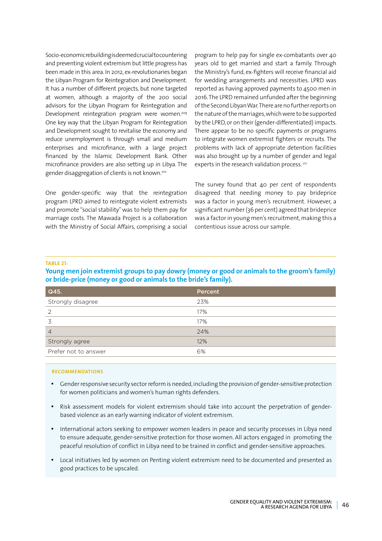Socio-economic rebuilding is deemed crucial to countering and preventing violent extremism but little progress has been made in this area. In 2012, ex-revolutionaries began the Libyan Program for Reintegration and Development. It has a number of different projects, but none targeted at women, although a majority of the 200 social advisors for the Libyan Program for Reintegration and Development reintegration program were women.<sup>209</sup> One key way that the Libyan Program for Reintegration and Development sought to revitalise the economy and reduce unemployment is through small and medium enterprises and microfinance, with a large project financed by the Islamic Development Bank. Other microfinance providers are also setting up in Libya. The gender disaggregation of clients is not known.210

One gender-specific way that the reintegration program LPRD aimed to reintegrate violent extremists and promote "social stability" was to help them pay for marriage costs. The Mawada Project is a collaboration with the Ministry of Social Affairs, comprising a social

program to help pay for single ex-combatants over 40 years old to get married and start a family. Through the Ministry's fund, ex-fighters will receive financial aid for wedding arrangements and necessities. LPRD was reported as having approved payments to 4500 men in 2016. The LPRD remained unfunded after the beginning of the Second Libyan War. There are no further reports on the nature of the marriages, which were to be supported by the LPRD, or on their (gender-differentiated) impacts. There appear to be no specific payments or programs to integrate women extremist fighters or recruits. The problems with lack of appropriate detention facilities was also brought up by a number of gender and legal experts in the research validation process.<sup>211</sup>

The survey found that 40 per cent of respondents disagreed that needing money to pay brideprice was a factor in young men's recruitment. However, a significant number (36 per cent) agreed that brideprice was a factor in young men's recruitment, making this a contentious issue across our sample.

#### **TABLE 21:**

#### **Young men join extremist groups to pay dowry (money or good or animals to the groom's family) or bride-price (money or good or animals to the bride's family).**

| Q45.                 | Percent |
|----------------------|---------|
| Strongly disagree    | 23%     |
| 2                    | 17%     |
| 3                    | 17%     |
| $\overline{4}$       | 24%     |
| Strongly agree       | 12%     |
| Prefer not to answer | 6%      |

#### **RECOMMENDATIONS**

- • Gender responsive security sector reform is needed, including the provision of gender-sensitive protection for women politicians and women's human rights defenders.
- • Risk assessment models for violent extremism should take into account the perpetration of genderbased violence as an early warning indicator of violent extremism.
- International actors seeking to empower women leaders in peace and security processes in Libya need to ensure adequate, gender-sensitive protection for those women. All actors engaged in promoting the peaceful resolution of conflict in Libya need to be trained in conflict and gender-sensitive approaches.
- • Local initiatives led by women on Penting violent extremism need to be documented and presented as good practices to be upscaled.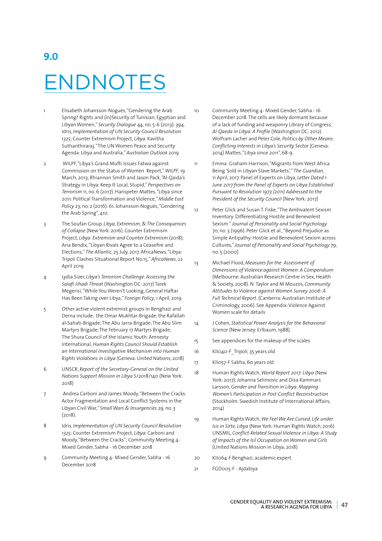## **9.0** ENDNOTES

- 1 Elisabeth Johansson-Nogués, "Gendering the Arab Spring? Rights and (in)Security of Tunisian, Egyptian and Libyan Women," *Security Dialogue* 44, no. 5-6 (2013): 394. Idris, *Implementation of UN Security Council Resolution 1325*; Counter Extremism Project, *Libya.* Kavitha Suthanthiraraj, "The UN Women Peace and Security Agenda: Libya and Australia," *Australian Outlook* 2019
- 2 WILPF, "Libya's Grand Mufti Issues Fatwa against Commission on the Status of Women Report," *WILPF*, 19 March, 2013; Rhiannon Smith and Jason Pack, "Al-Qaida's Strategy in Libya: Keep It Local, Stupid," *Perspectives on Terrorism* 11, no. 6 (2017). Hanspeter Mattes, "Libya since 2011: Political Transformation and Violence," *Middle East Policy* 23, no. 2 (2016): 61. Johansson-Nogués, "Gendering the Arab Spring", 410.
- 3 The Soufan Group, *Libya, Extremism, & The Consequences of Collapse* (New York: 2016). Counter Extremism Project, *Libya: Extremism and Counter Extremism* (2018); Aria Bendix, "Libyan Rivals Agree to a Ceasefire and Elections," *The Atlantic*, 25 July, 2017. AfricaNews, "Libya: Tripoli Clashes Situational Report No.15," *AfricaNews*, 22 April 2019
- 4 Lydia Sizer, *Libya's Terrorism Challenge: Assessing the Salafi-Jihadi Threat* (Washington DC: 2017) Tarek Megerisi, "While You Weren't Looking, General Haftar Has Been Taking over Libya," *Foreign Policy*, 1 April, 2019
- 5 Other active violent extremist groups in Benghazi and Derna include: the Omar Mukhtar-Brigade: the Rafallah al-Sahati-Brigade; The Abu Jarra-Brigade; The Abu Slim Martyrs Brigade; The February 17 Martyrs Brigade; The Shura Council of the Islamic Youth; Amnesty International, *Human Rights Council Should Establish an International Investigative Mechanism into Human Rights Violations in Libya* (Geneva: United Nations, 2018)
- 6 UNSCR, *Report of the Secretary-General on the United Nations Support Mission in Libya* S/2018/140 (New York: 2018)
- 7 Andrea Carboni and James Moody, "Between the Cracks: Actor Fragmentation and Local Conflict Systems in the Libyan Civil War," *Small Wars & Insurgencies* 29, no. 3 (2018).
- 8 Idris, *Implementation of UN Security Council Resolution 1325*; Counter Extremism Project, *Libya:* Carboni and Moody, "Between the Cracks"; Community Meeting 4- Mixed Gender, Sabha - 16 December 2018
- 9 Community Meeting 4- Mixed Gender, Sabha 16 December 2018

10 Community Meeting 4- Mixed Gender, Sabha - 16 December 2018. The cells are likely dormant because of a lack of funding and weaponry Library of Congress, *Al-Qaeda in Libya: A Profile* (Washington DC: 2012). Wolfram Lacher and Peter Cole, *Politics by Other Means: Conflicting Interests in Libya's Security Sector* (Geneva: 2014) Mattes, "Libya since 2011", 68-9.

11 Emma Graham-Harrison, "Migrants from West Africa Being 'Sold in Libyan Slave Markets'," *The Guardian*, 11 April, 2017. Panel of Experts on Libya, *Letter Dated 1 June 2017 from the Panel of Experts on Libya Established Pursuant to Resolution 1973 (2011) Addressed to the President of the Security Council* (New York: 2017)

- 12 Peter Glick and Susan T. Fiske, "The Ambivalent Sexism Inventory: Differentiating Hostile and Benevolent Sexism " *Journal of Personality and Social Psychology* 70, no. 3 (1996). Peter Glick et al., "Beyond Prejudice as Simple Antipathy: Hostile and Benevolent Sexism across Cultures," *Journal of Personality and Social Psychology* 79, no. 5 (2000)
- 13 Michael Flood, *Measures for the Assessment of Dimensions of Violence against Women: A Compendium* (Melbourne: Australian Research Centre in Sex, Health & Society, 2008). N Taylor and M Mouzos, *Community Attitudes to Violence against Women Survey 2006: A Full Technical Report.* (Canberra: Australian Institute of Criminology, 2006). See Appendix: Violence Against Women scale for details
- 14 J Cohen, *Statistical Power Analysis for the Behavioral Science* (New Jersey: Erlbaum, 1988).
- 15 See appendices for the makeup of the scales
- 16 KII040-F\_Tripoli, 35 years old
- 17 KII057-F Sabha, 60 years old
- 18 Human Rights Watch, *World Report 2017: Libya* (New York: 2017); Johanna Selimovic and Disa Kammars Larsson, *Gender and Transition in Libya: Mapping Women's Participation in Post-Conflict Reconstruction* (Stockholm: Swedish Institute of International Affairs, 2014)
- 19 Human Rights Watch, *We Feel We Are Cursed, Life under Isis in Sirte, Libya* (New York: Human Rights Watch, 2016) UNSMIL, *Conflict-Related Sexual Violence in Libya: A Study of Impacts of the Isil Occupation on Women and Girls*  (United Nations Mission in Libya, 2018)
- 20 KII064-F Benghazi, academic expert
- 21 FGD005-F Ajdabiya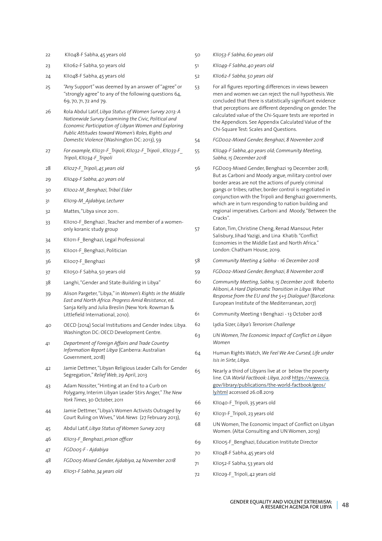- 22 KII048-F Sabha, 45 years old
- 23 KII062-F Sabha, 50 years old
- 24 KII048-F Sabha, 45 years old
- 25 "Any Support" was deemed by an answer of "agree" or "strongly agree" to any of the following questions 64, 69, 70, 71, 72 and 79.
- 26 Rola Abdul Latif, *Libya Status of Women Survey 2013: A Nationwide Survey Examining the Civic, Political and Economic Participation of Libyan Women and Exploring Public Attitudes toward Women's Roles, Rights and Domestic Violence* (Washington DC: 2013), 59
- 27 *For example, KII031-F\_Tripoli, KII032-F\_Tripoli , KII033-F\_ Tripoli, KII034-F\_Tripoli*
- 28 *KII027-F\_Tripoli, 45 years old*
- 29 *KII049-F Sabha, 40 years old*
- 30 *KII002-M\_Benghazi, Tribal Elder*
- 31 *KII019-M\_Ajdabiya, Lecturer*
- 32 Mattes, "Libya since 2011:.
- 33 KII010-F Benghazi , Teacher and member of a womenonly koranic study group
- 34 KII011-F Benghazi, Legal Professional
- 35 KII001-F\_Benghazi, Politician
- 36 KII007-F Benghazi
- 37 KII050-F Sabha, 50 years old
- 38 Langhi, "Gender and State-Building in Libya"
- 39 Alison Pargeter, "Libya," in *Women's Rights in the Middle East and North Africa: Progress Amid Resistance*, ed. Sanja Kelly and Julia Breslin (New York: Rowman & Littlefield International, 2010).
- 40 OECD (2014) Social Institutions and Gender Index: Libya. Washington DC: OECD Development Centre.
- 41 *Department of Foreign Affairs and Trade Country Information Report Libya* (Canberra: Australian Government, 2018)
- 42 Jamie Dettmer, "Libyan Religious Leader Calls for Gender Segregation," *Relief Web*, 29 April, 2013
- 43 Adam Nossiter, "Hinting at an End to a Curb on Polygamy, Interim Libyan Leader Stirs Anger," *The New York Times*, 30 October, 2011
- 44 Jamie Dettmer, "Libya's Women Activists Outraged by Court Ruling on Wives," *VoA News* (27 February 2013),
- 45 Abdul Latif, *Libya Status of Women Survey 2013*
- 46 *KII013-F\_Benghazi, prison officer*
- 47 *FGD005-F Ajdabiya*
- 48 *FGD005-Mixed Gender, Ajdabiya, 24 November 2018*
- 49 *KII051-F Sabha, 34 years old*
- 50 *KII053-F Sabha, 60 years old*
	- 51 *KII049-F Sabha, 40 years old*
	- 52 *KII062-F Sabha, 50 years old*
	- 53 For all figures reporting differences in views beween men and women we can reject the null hypothesis. We concluded that there is statistically significant evidence that perceptions are different depending on gender. The calculated value of the Chi-Square tests are reported in the Appendices. See Appendix Calculated Value of the Chi-Square Test: Scales and Questions.
	- 54 *FGD002-Mixed Gender, Benghazi, 8 November 2018*
	- 55 *KII049-F Sabha, 40 years old; Community Meeting, Sabha, 15 December 2018*
	- 56 FGD003-Mixed Gender, Benghazi 19 December 2018; But as Carboni and Moody argue, military control over border areas are not the actions of purely criminal gangs or tribes; rather, border control is negotiated in conjunction with the Tripoli and Benghazi governments, which are in turn responding to nation building and regional imperatives. Carboni and Moody, "Between the Cracks".
	- 57 Eaton, Tim, Christine Cheng, Renad Mansour, Peter Salisbury, Jihad Yazigi, and Lina Khatib. "Conflict Economies in the Middle East and North Africa." London: Chatham House, 2019.
	- 58 *Community Meeting 4 Sabha 16 December 2018*
	- 59 *FGD002-Mixed Gender, Benghazi, 8 November 2018*
	- 60 *Community Meeting, Sabha, 15 December 2018.* Roberto Aliboni, *A Hard Diplomatic Transition in Libya: What Response from the EU and the 5+5 Dialogue?* (Barcelona: European Institute of the Mediterranean, 2017)
	- 61 Community Meeting 1 Benghazi 13 October 2018
	- 62 Lydia Sizer, *Libya's Terrorism Challenge*
	- 63 *UN Women, The Economic Impact of Conflict on Libyan Women*
	- 64 Human Rights Watch, *We Feel We Are Cursed, Life under Isis in Sirte, Libya*.
	- 65 Nearly a third of Libyans live at or below the poverty line. CIA *World Factbook: Libya, 2018* https://www.cia. gov/library/publications/the-world-factbook/geos/ ly.html accessed 26.08.2019
	- 66 KII040-F\_Tripoli, 35 years old
	- 67 KII031-F\_Tripoli, 23 years old
	- 68 UN Women, The Economic Impact of Conflict on Libyan Women. (Altai Consulting and UN Women, 2019)
	- 69 KII005-F\_Benghazi, Education Institute Director
	- 70 KII048-F Sabha, 45 years old
	- 71 KII052-F Sabha, 53 years old
	- 72 KII029-F\_Tripoli, 42 years old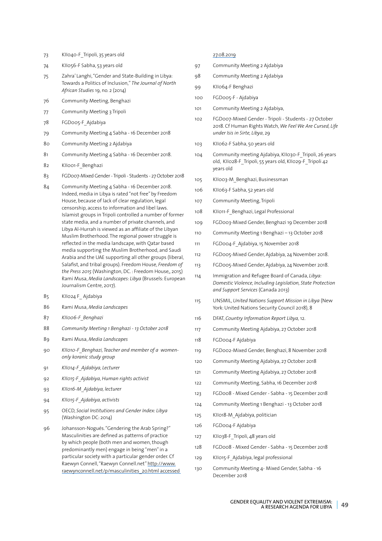- KII040-F\_Tripoli, 35 years old
- KII056-F Sabha, 53 years old
- Zahra' Langhi, "Gender and State-Building in Libya: Towards a Politics of Inclusion," *The Journal of North African Studies* 19, no. 2 (2014)
- Community Meeting, Benghazi
- Community Meeting 3 Tripoli
- FGD005-F\_Ajdabiya
- Community Meeting 4 Sabha 16 December 2018
- Community Meeting 2 Ajdabiya
- Community Meeting 4 Sabha 16 December 2018.
- 82 KII001-F Benghazi
- FGD007-Mixed Gender Tripoli Students 27 October 2018
- Community Meeting 4 Sabha 16 December 2018. Indeed, media in Libya is rated "not free" by Freedom House, because of lack of clear regulation, legal censorship, access to information and libel laws. Islamist groups in Tripoli controlled a number of former state media, and a number of private channels, and Libya Al-Hurrah is viewed as an affiliate of the Libyan Muslim Brotherhood. The regional power struggle is reflected in the media landscape, with Qatar based media supporting the Muslim Brotherhood, and Saudi Arabia and the UAE supporting all other groups (liberal, Salafist, and tribal groups). Freedom House, *Freedom of the Press 2015* (Washington, DC. : Freedom House,, 2015) Rami Musa, *Media Landscapes: Libya* (Brussels: European Journalism Centre, 2017).
- KII024 F\_ Ajdabiya
- Rami Musa, *Media Landscapes*
- *KII006-F\_Benghazi*
- *Community Meeting 1 Benghazi 13 October 2018*
- Rami Musa, *Media Landscapes*
- *KII010-F\_Benghazi, Teacher and member of a womenonly koranic study group*
- *KII014-F\_Ajdabiya, Lecturer*
- *KII015-F\_Ajdabiya, Human rights activist*
- *KII016-M\_Ajdabiya, lecturer*
- *KII015-F\_Ajdabiya, activists*
- OECD, *Social Institutions and Gender Index: Libya* (Washington DC: 2014)
- Johansson-Nogués. "Gendering the Arab Spring?" Masculinities are defined as patterns of practice by which people (both men and women, though predominantly men) engage in being "men" in a particular society with a particular gender order. Cf Raewyn Connell, "Raewyn Connell.net" http://www. raewynconnell.net/p/masculinities\_20.html accessed

#### 27.08.2019

- Community Meeting 2 Ajdabiya
- Community Meeting 2 Ajdabiya
- KII064-F Benghazi
- FGD005-F Ajdabiya
- Community Meeting 2 Ajdabiya,
- FGD007-Mixed Gender Tripoli Students 27 October 2018. Cf Human Rights Watch, *We Feel We Are Cursed, Life under Isis in Sirte, Libya*, 29
- KII062-F Sabha, 50 years old
- Community meeting Ajdabiya, KII030-F\_Tripoli, 26 years old, KII028-F Tripoli, 55 years old, KII029-F Tripoli 42 years old
- KII003-M\_Benghazi, Businessman
- KII063-F Sabha, 52 years old
- Community Meeting, Tripoli
- KII011-F\_Benghazi, Legal Professional
- FGD003-Mixed Gender, Benghazi 19 December 2018
- Community Meeting 1 Benghazi 13 October 2018
- FGD004-F\_Ajdabiya, 15 November 2018
- FGD005-Mixed Gender, Ajdabiya, 24 November 2018.
- FGD005-Mixed Gender, Ajdabiya, 24 November 2018.
- Immigration and Refugee Board of Canada, *Libya: Domestic Violence, Including Legislation, State Protection and Support Services* (Canada 2013)
- UNSMIL, *United Nations Support Mission in Libya* (New York: United Nations Security Council 2018), 8
- DFAT, *Country Information Report Libya,* 12.
- Community Meeting Ajdabiya, 27 October 2018
- FGD004-F Ajdabiya
- FGD002-Mixed Gender, Benghazi, 8 November 2018
- Community Meeting Ajdabiya, 27 October 2018
- Community Meeting Ajdabiya, 27 October 2018
- Community Meeting, Sabha, 16 December 2018
- FGD008 Mixed Gender Sabha 15 December 2018
- Community Meeting 1 Benghazi 13 October 2018
- KII018-M\_Ajdabiya, politician
- FGD004-F Ajdabiya
- KII038-F\_Tripoli, 48 years old
- FGD008 Mixed Gender Sabha 15 December 2018
- 129 KII015-F Ajdabiya, legal professional
- Community Meeting 4- Mixed Gender, Sabha 16 December 2018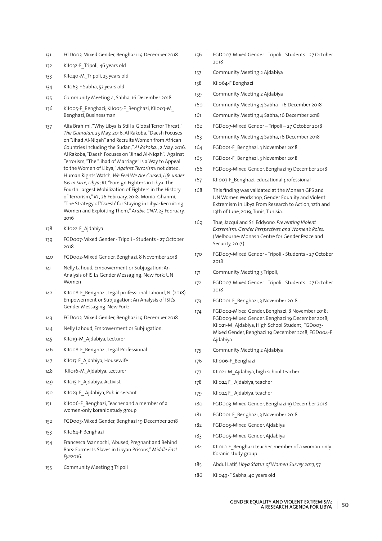- 131 FGD003-Mixed Gender, Benghazi 19 December 2018
- 132 KII032-F\_Tripoli, 46 years old
- 133 KII040-M\_Tripoli, 25 years old
- 134 KII063-F Sabha, 52 years old
- 135 Community Meeting 4, Sabha, 16 December 2018
- 136 KII005-F\_Benghazi; KII005-F\_Benghazi, KII003-M Benghazi, Businessman
- 137 Alia Brahimi, "Why Libya Is Still a Global Terror Threat," *The Guardian*, 25 May, 2016. Al Rakoba, "Daesh Focuses on "Jihad Al-Niqah" and Recruits Women from African Countries Including the Sudan," *Al Rakoba,* , 2 May, 2016. Al Rakoba, "Daesh Focuses on "Jihad Al-Niqah". Against Terrorism, "The "Jihad of Marriage" Is a Way to Appeal to the Women of Libya," *Against Terrorism*: not dated. Human Rights Watch, *We Feel We Are Cursed, Life under Isis in Sirte, Libya*; RT, "Foreign Fighters in Libya: The Fourth Largest Mobilization of Fighters in the History of Terrorism," *RT*, 26 February, 2018. Monia Ghanmi, "The Strategy of 'Daesh' for Staying in Libya: Recruiting Women and Exploiting Them," *Arabic CNN*, 23 February, 2016
- 138 KII022-F\_Ajdabiya
- 139 FGD007-Mixed Gender Tripoli Students 27 October 2018
- 140 FGD002-Mixed Gender, Benghazi, 8 November 2018
- 141 Nelly Lahoud, Empowerment or Subjugation: An Analysis of ISIL's Gender Messaging. New York: UN Women
- 142 KII008-F\_Benghazi, Legal professional Lahoud, N. (2018). Empowerment or Subjugation: An Analysis of ISIL's Gender Messaging. New York:
- 143 FGD003-Mixed Gender, Benghazi 19 December 2018
- 144 Nelly Lahoud, Empowerment or Subjugation.
- 145 KII019-M\_Ajdabiya, Lecturer
- 146 KII008-F Benghazi, Legal Professional
- 147 KII017-F Ajdabiya, Housewife
- 148 KII016-M\_Ajdabiya, Lecturer
- 149 KII015-F\_Ajdabiya, Activist
- 150 KII023-F\_ Ajdabiya, Public servant
- 151 KII006-F\_Benghazi, Teacher and a member of a women-only koranic study group
- 152 FGD003-Mixed Gender, Benghazi 19 December 2018
- 153 KII064-F Benghazi
- 154 Francesca Mannochi, "Abused, Pregnant and Behind Bars: Former Is Slaves in Libyan Prisons," *Middle East Eye*2016.
- 155 Community Meeting 3 Tripoli
- 156 FGD007-Mixed Gender Tripoli Students 27 October 2018
- 157 Community Meeting 2 Ajdabiya
- 158 KII064-F Benghazi
- 159 Community Meeting 2 Ajdabiya
- 160 Community Meeting 4 Sabha 16 December 2018
- 161 Community Meeting 4 Sabha, 16 December 2018
- 162 FGD007-Mixed Gender Tripoli 27 October 2018
- 163 Community Meeting 4 Sabha, 16 December 2018
- 164 FGD001-F Benghazi, 3 November 2018
- 165 FGD001-F\_Benghazi, 3 November 2018
- 166 FGD003-Mixed Gender, Benghazi 19 December 2018
- 167 KII007-F Benghazi, educational professional
- 168 This finding was validated at the Monash GPS and UN Women Workshop, Gender Equality and Violent Extremism in Libya From Research to Action, 12th and 13th of June, 2019, Tunis, Tunisia.
- 169 True, Jacqui and Sri Eddyono. *Preventing Violent Extremism: Gender Perspectives and Women's Roles.* (Melbourne: Monash Centre for Gender Peace and Security, 2017.)
- 170 FGD007-Mixed Gender Tripoli Students 27 October 2018
- 171 Community Meeting 3 Tripoli,
- 172 FGD007-Mixed Gender Tripoli Students 27 October 2018
- 173 FGD001-F\_Benghazi, 3 November 2018
- 174 FGD002-Mixed Gender, Benghazi, 8 November 2018; FGD003-Mixed Gender, Benghazi 19 December 2018; KII021-M Ajdabiya, High School Student; FGD003-Mixed Gender, Benghazi 19 December 2018; FGD004-F Ajdabiya
- 175 Community Meeting 2 Ajdabiya
- 176 KII006-F Benghazi
- 177 KII021-M Ajdabiya, high school teacher
- 178 KII024 F Ajdabiya, teacher
- 179 KII024 F Ajdabiya, teacher
- 180 FGD003-Mixed Gender, Benghazi 19 December 2018
- 181 FGD001-F Benghazi, 3 November 2018
- 182 FGD005-Mixed Gender, Ajdabiya
- 183 FGD005-Mixed Gender, Ajdabiya
- 184 KII010-F Benghazi teacher, member of a woman-only Koranic study group
- 185 Abdul Latif, *Libya Status of Women Survey 2013*, 57.
- 186 KII049-F Sabha, 40 years old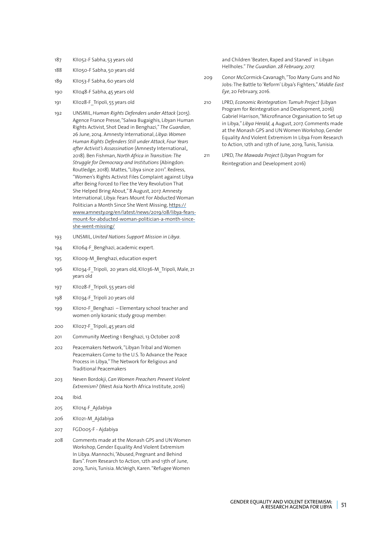- 187 KII052-F Sabha, 53 years old
- 188 KII050-F Sabha, 50 years old
- 189 KII053-F Sabha, 60 years old
- 190 KII048-F Sabha, 45 years old
- 191 KII028-F\_Tripoli, 55 years old
- 192 UNSMIL, *Human Rights Defenders under Attack* (2015). Agence France Presse, "Salwa Bugaighis, Libyan Human Rights Activist, Shot Dead in Benghazi," *The Guardian*, 26 June, 2014. Amnesty International, *Libya: Women Human Rights Defenders Still under Attack, Four Years after Activist's Assassination* (Amnesty International,, 2018). Ben Fishman, *North Africa in Transition: The Struggle for Democracy and Institutions* (Abingdon: Routledge, 2018). Mattes, "Libya since 2011". Redress, "Women's Rights Activist Files Complaint against Libya after Being Forced to Flee the Very Revolution That She Helped Bring About," 8 August, 2017. Amnesty International, Libya: Fears Mount For Abducted Woman Politician a Month Since She Went Missing, https:// www.amnesty.org/en/latest/news/2019/08/libya-fearsmount-for-abducted-woman-politician-a-month-sinceshe-went-missing/
- 193 UNSMIL, *United Nations Support Mission in Libya*.
- 194 KII064-F Benghazi, academic expert.
- 195 KII009-M\_Benghazi, education expert
- 196 KII034-F\_Tripoli, 20 years old, KII036-M\_Tripoli, Male, 21 years old
- 197 KII028-F\_Tripoli, 55 years old
- 198 KII034-F\_Tripoli 20 years old
- 199 KII010-F\_Benghazi Elementary school teacher and women only koranic study group member:
- 200 KII027-F\_Tripoli, 45 years old
- 201 Community Meeting 1 Benghazi, 13 October 2018
- 202 Peacemakers Network, "Libyan Tribal and Women Peacemakers Come to the U.S. To Advance the Peace Process in Libya," The Network for Religious and Traditional Peacemakers
- 203 Neven Bordokji, *Can Women Preachers Prevent Violent Extremism?* (West Asia North Africa Institute, 2016)
- 204 Ibid.
- 205 KII014-F\_Ajdabiya
- 206 KII021-M\_Ajdabiya
- 207 FGD005-F Ajdabiya
- 208 Comments made at the Monash GPS and UN Women Workshop, Gender Equality And Violent Extremism In Libya. Mannochi, "Abused, Pregnant and Behind Bars". From Research to Action, 12th and 13th of June, 2019, Tunis, Tunisia. McVeigh, Karen. "Refugee Women

and Children 'Beaten, Raped and Starved' in Libyan Hellholes." *The Guardian. 28 February, 2017.*

- 209 Conor McCormick-Cavanagh, "Too Many Guns and No Jobs: The Battle to 'Reform' Libya's Fighters," *Middle East Eye*, 20 February, 2016.
- 210 LPRD, *Economic Reintegration: Tumuh Project* (Libyan Program for Reintegration and Development, 2016) Gabriel Harrison, "Microfinance Organisation to Set up in Libya," *Libya Herald,* 4 August, 2017. Comments made at the Monash GPS and UN Women Workshop, Gender Equality And Violent Extremism In Libya From Research to Action, 12th and 13th of June, 2019, Tunis, Tunisia.
- 211 LPRD, *The Mawada Project* (Libyan Program for Reintegration and Development 2016)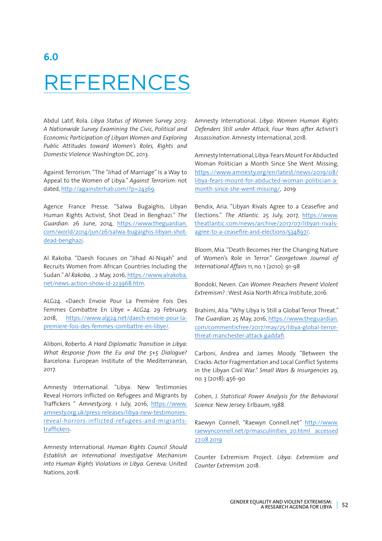### **6.0** REFERENCES

Abdul Latif, Rola. *Libya Status of Women Survey 2013: A Nationwide Survey Examining the Civic, Political and Economic Participation of Libyan Women and Exploring Public Attitudes toward Women's Roles, Rights and Domestic Violence*. Washington DC, 2013.

Against Terrorism. "The "Jihad of Marriage" Is a Way to Appeal to the Women of Libya." *Against Terrorism*: not dated, http://againsterhab.com/?p=24369.

Agence France Presse. "Salwa Bugaighis, Libyan Human Rights Activist, Shot Dead in Benghazi." *The Guardian*. 26 June, 2014, https://www.theguardian. com/world/2014/jun/26/salwa-bugaighis-libyan-shotdead-benghazi.

Al Rakoba. "Daesh Focuses on "Jihad Al-Niqah" and Recruits Women from African Countries Including the Sudan." *Al Rakoba,* . 2 May, 2016, https://www.alrakoba. net/news-action-show-id-223968.htm.

ALG24. «Daech Envoie Pour La Première Fois Des Femmes Combattre En Libye « *ALG24*. 29 February, 2018, https://www.alg24.net/daech-envoie-pour-lapremiere-fois-des-femmes-combattre-en-libye/.

Aliboni, Roberto. *A Hard Diplomatic Transition in Libya: What Response from the Eu and the 5+5 Dialogue?* Barcelona: European Institute of the Mediterranean, 2017.

Amnesty International. "Libya: New Testimonies Reveal Horrors Inflicted on Refugees and Migrants by Traffickers " *Amnesty.org*. 1 July, 2016, https://www. amnesty.org.uk/press-releases/libya-new-testimoniesreveal-horrors-inflicted-refugees-and-migrantstraffickers.

Amnesty International. *Human Rights Council Should Establish an International Investigative Mechanism into Human Rights Violations in Libya*. Geneva: United Nations, 2018.

Amnesty International. *Libya: Women Human Rights Defenders Still under Attack, Four Years after Activist's Assassination*. Amnesty International, 2018.

Amnesty International, Libya: Fears Mount For Abducted Woman Politician a Month Since She Went Missing, https://www.amnesty.org/en/latest/news/2019/08/ libya-fears-mount-for-abducted-woman-politician-amonth-since-she-went-missing/, 2019

Bendix, Aria. "Libyan Rivals Agree to a Ceasefire and Elections." *The Atlantic*. 25 July, 2017, https://www. theatlantic.com/news/archive/2017/07/libyan-rivalsagree-to-a-ceasefire-and-elections/534897/.

Bloom, Mia. "Death Becomes Her the Changing Nature of Women's Role in Terror." *Georgetown Journal of International Affairs* 11, no. 1 (2010): 91-98

Bondoki, Neven. *Can Women Preachers Prevent Violent Extremism?* : West Asia North Africa Institute, 2016.

Brahimi, Alia. "Why Libya Is Still a Global Terror Threat." *The Guardian*. 25 May, 2016, https://www.theguardian. com/commentisfree/2017/may/25/libya-global-terrorthreat-manchester-attack-gaddafi.

Carboni, Andrea and James Moody. "Between the Cracks: Actor Fragmentation and Local Conflict Systems in the Libyan Civil War." *Small Wars & Insurgencies* 29, no. 3 (2018): 456-90

Cohen, J. *Statistical Power Analysis for the Behavioral Science*. New Jersey: Erlbaum, 1988.

Raewyn Connell, "Raewyn Connell.net" http://www. raewynconnell.net/p/masculinities\_20.html accessed 27.08.2019

Counter Extremism Project. *Libya: Extremism and Counter Extremism*. 2018.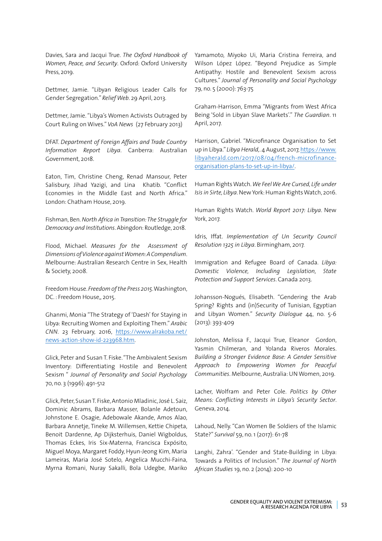Davies, Sara and Jacqui True. *The Oxford Handbook of Women, Peace, and Security*. Oxford: Oxford University Press, 2019.

Dettmer, Jamie. "Libyan Religious Leader Calls for Gender Segregation." *Relief Web*. 29 April, 2013.

Dettmer, Jamie. "Libya's Women Activists Outraged by Court Ruling on Wives." *VoA News* (27 February 2013)

DFAT. *Department of Foreign Affairs and Trade Country Information Report Libya*. Canberra: Australian Government, 2018.

Eaton, Tim, Christine Cheng, Renad Mansour, Peter Salisbury, Jihad Yazigi, and Lina Khatib. "Conflict Economies in the Middle East and North Africa." London: Chatham House, 2019.

Fishman, Ben. *North Africa in Transition: The Struggle for Democracy and Institutions*. Abingdon: Routledge, 2018.

Flood, Michael. *Measures for the Assessment of Dimensions of Violence against Women: A Compendium*. Melbourne: Australian Research Centre in Sex, Health & Society, 2008.

Freedom House. *Freedom of the Press 2015*. Washington, DC. : Freedom House,, 2015.

Ghanmi, Monia "The Strategy of 'Daesh' for Staying in Libya: Recruiting Women and Exploiting Them." *Arabic CNN*. 23 February, 2016, https://www.alrakoba.net/ news-action-show-id-223968.htm.

Glick, Peter and Susan T. Fiske. "The Ambivalent Sexism Inventory: Differentiating Hostile and Benevolent Sexism " *Journal of Personality and Social Psychology* 70, no. 3 (1996): 491-512

Glick, Peter, Susan T. Fiske, Antonio Mladinic, José L. Saiz, Dominic Abrams, Barbara Masser, Bolanle Adetoun, Johnstone E. Osagie, Adebowale Akande, Amos Alao, Barbara Annetje, Tineke M. Willemsen, Kettie Chipeta, Benoit Dardenne, Ap Dijksterhuis, Daniel Wigboldus, Thomas Eckes, Iris Six-Materna, Francisca Expósito, Miguel Moya, Margaret Foddy, Hyun-Jeong Kim, Maria Lameiras, Maria José Sotelo, Angelica Mucchi-Faina, Myrna Romani, Nuray Sakalli, Bola Udegbe, Mariko Yamamoto, Miyoko Ui, Maria Cristina Ferreira, and Wilson López López. "Beyond Prejudice as Simple Antipathy: Hostile and Benevolent Sexism across Cultures." *Journal of Personality and Social Psychology* 79, no. 5 (2000): 763-75

Graham-Harrison, Emma "Migrants from West Africa Being 'Sold in Libyan Slave Markets'." *The Guardian*. 11 April, 2017.

Harrison, Gabriel. "Microfinance Organisation to Set up in Libya." *Libya Herald,*. 4 August, 2017, https://www. libyaherald.com/2017/08/04/french-microfinanceorganisation-plans-to-set-up-in-libya/.

Human Rights Watch. *We Feel We Are Cursed, Life under Isis in Sirte, Libya*. New York: Human Rights Watch, 2016.

Human Rights Watch. *World Report 2017: Libya*. New York, 2017.

Idris, Iffat. *Implementation of Un Security Council Resolution 1325 in Libya*. Birmingham, 2017.

Immigration and Refugee Board of Canada. *Libya: Domestic Violence, Including Legislation, State Protection and Support Services*. Canada 2013.

Johansson-Nogués, Elisabeth. "Gendering the Arab Spring? Rights and (in)Security of Tunisian, Egyptian and Libyan Women." *Security Dialogue* 44, no. 5-6 (2013): 393-409

Johnston, Melissa F., Jacqui True, Eleanor Gordon, Yasmin Chilmeran, and Yolanda Riveros Morales. *Building a Stronger Evidence Base: A Gender Sensitive Approach to Empowering Women for Peaceful Communities*. Melbourne, Australia: UN Women, 2019.

Lacher, Wolfram and Peter Cole. *Politics by Other Means: Conflicting Interests in Libya's Security Sector*. Geneva, 2014.

Lahoud, Nelly. "Can Women Be Soldiers of the Islamic State?" *Survival* 59, no. 1 (2017): 61-78

Langhi, Zahra'. "Gender and State-Building in Libya: Towards a Politics of Inclusion." *The Journal of North African Studies* 19, no. 2 (2014): 200-10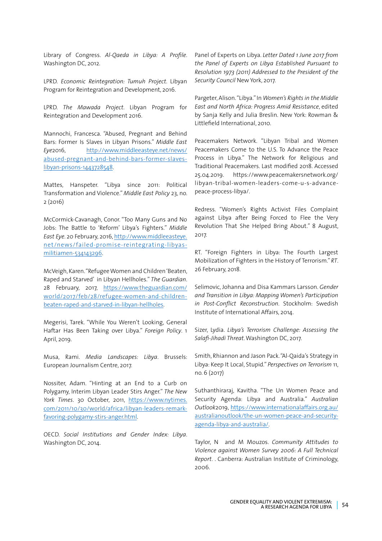Library of Congress. *Al-Qaeda in Libya: A Profile*. Washington DC, 2012.

LPRD. *Economic Reintegration: Tumuh Project*. Libyan Program for Reintegration and Development, 2016.

LPRD. *The Mawada Project*. Libyan Program for Reintegration and Development 2016.

Mannochi, Francesca. "Abused, Pregnant and Behind Bars: Former Is Slaves in Libyan Prisons." *Middle East Eye*2016, http://www.middleeasteye.net/news/ abused-pregnant-and-behind-bars-former-slaveslibyan-prisons-1443728548.

Mattes, Hanspeter. "Libya since 2011: Political Transformation and Violence." *Middle East Policy* 23, no. 2 (2016)

McCormick-Cavanagh, Conor. "Too Many Guns and No Jobs: The Battle to 'Reform' Libya's Fighters." *Middle East Eye*. 20 February, 2016, http://www.middleeasteye. net/news/failed-promise-reintegrating-libyasmilitiamen-534143296.

McVeigh, Karen. "Refugee Women and Children 'Beaten, Raped and Starved' in Libyan Hellholes." *The Guardian*. 28 February, 2017, https://www.theguardian.com/ world/2017/feb/28/refugee-women-and-childrenbeaten-raped-and-starved-in-libyan-hellholes.

Megerisi, Tarek. "While You Weren't Looking, General Haftar Has Been Taking over Libya." *Foreign Policy*. 1 April, 2019.

Musa, Rami. *Media Landscapes: Libya*. Brussels: European Journalism Centre, 2017.

Nossiter, Adam. "Hinting at an End to a Curb on Polygamy, Interim Libyan Leader Stirs Anger." *The New York Times*. 30 October, 2011, https://www.nytimes. com/2011/10/30/world/africa/libyan-leaders-remarkfavoring-polygamy-stirs-anger.html.

OECD. *Social Institutions and Gender Index: Libya*. Washington DC, 2014.

Panel of Experts on Libya. *Letter Dated 1 June 2017 from the Panel of Experts on Libya Established Pursuant to Resolution 1973 (2011) Addressed to the President of the Security Council* New York, 2017.

Pargeter, Alison. "Libya." In *Women's Rights in the Middle East and North Africa: Progress Amid Resistance*, edited by Sanja Kelly and Julia Breslin. New York: Rowman & Littlefield International, 2010.

Peacemakers Network. "Libyan Tribal and Women Peacemakers Come to the U.S. To Advance the Peace Process in Libya." The Network for Religious and Traditional Peacemakers. Last modified 2018. Accessed 25.04.2019. https://www.peacemakersnetwork.org/ libyan-tribal-women-leaders-come-u-s-advancepeace-process-libya/.

Redress. "Women's Rights Activist Files Complaint against Libya after Being Forced to Flee the Very Revolution That She Helped Bring About." 8 August, 2017.

RT. "Foreign Fighters in Libya: The Fourth Largest Mobilization of Fighters in the History of Terrorism." *RT*. 26 February, 2018.

Selimovic, Johanna and Disa Kammars Larsson. *Gender and Transition in Libya: Mapping Women's Participation in Post-Conflict Reconstruction*. Stockholm: Swedish Institute of International Affairs, 2014.

Sizer, Lydia. *Libya's Terrorism Challenge: Assessing the Salafi-Jihadi Threat*. Washington DC, 2017.

Smith, Rhiannon and Jason Pack. "Al-Qaida's Strategy in Libya: Keep It Local, Stupid." *Perspectives on Terrorism* 11, no. 6 (2017)

Suthanthiraraj, Kavitha. "The Un Women Peace and Security Agenda: Libya and Australia." *Australian Outlook*2019, https://www.internationalaffairs.org.au/ australianoutlook/the-un-women-peace-and-securityagenda-libya-and-australia/.

Taylor, N and M Mouzos. *Community Attitudes to Violence against Women Survey 2006: A Full Technical Report.* . Canberra: Australian Institute of Criminology, 2006.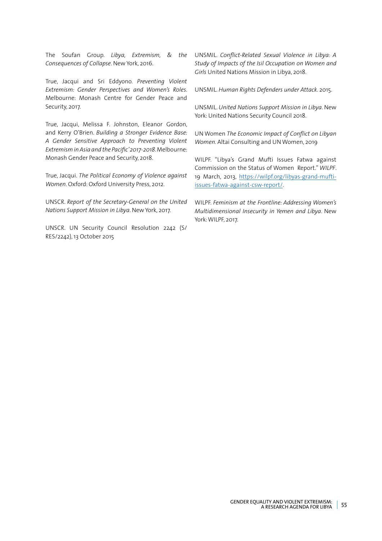The Soufan Group. *Libya, Extremism, & the Consequences of Collapse*. New York, 2016.

True, Jacqui and Sri Eddyono. *Preventing Violent Extremism: Gender Perspectives and Women's Roles*. Melbourne: Monash Centre for Gender Peace and Security, 2017.

True, Jacqui, Melissa F. Johnston, Eleanor Gordon, and Kerry O'Brien. *Building a Stronger Evidence Base: A Gender Sensitive Approach to Preventing Violent Extremism in Asia and the Pacific' 2017-2018*. Melbourne: Monash Gender Peace and Security, 2018.

True, Jacqui. *The Political Economy of Violence against Women*. Oxford: Oxford University Press, 2012.

UNSCR. *Report of the Secretary-General on the United Nations Support Mission in Libya*. New York, 2017.

UNSCR. UN Security Council Resolution 2242 (S/ RES/2242), 13 October 2015

UNSMIL. *Conflict-Related Sexual Violence in Libya: A Study of Impacts of the Isil Occupation on Women and Girls* United Nations Mission in Libya, 2018.

UNSMIL. *Human Rights Defenders under Attack*. 2015.

UNSMIL. *United Nations Support Mission in Libya*. New York: United Nations Security Council 2018.

UN Women *The Economic Impact of Conflict on Libyan Women.* Altai Consulting and UN Women, 2019

WILPF. "Libya's Grand Mufti Issues Fatwa against Commission on the Status of Women Report." *WILPF*. 19 March, 2013, https://wilpf.org/libyas-grand-muftiissues-fatwa-against-csw-report/.

WILPF. *Feminism at the Frontline: Addressing Women's Multidimensional Insecurity in Yemen and Libya*. New York: WILPF, 2017.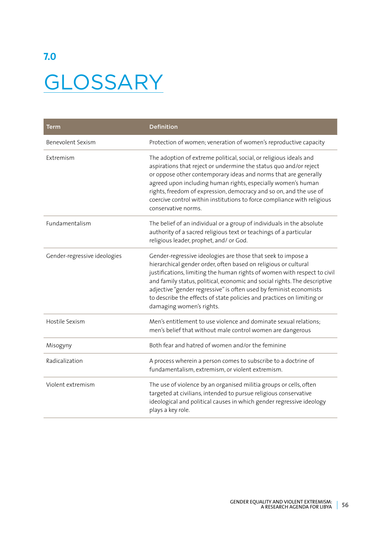# **7.0 GLOSSARY**

| Term                         | <b>Definition</b>                                                                                                                                                                                                                                                                                                                                                                                                                                                    |
|------------------------------|----------------------------------------------------------------------------------------------------------------------------------------------------------------------------------------------------------------------------------------------------------------------------------------------------------------------------------------------------------------------------------------------------------------------------------------------------------------------|
| Benevolent Sexism            | Protection of women; veneration of women's reproductive capacity                                                                                                                                                                                                                                                                                                                                                                                                     |
| Extremism                    | The adoption of extreme political, social, or religious ideals and<br>aspirations that reject or undermine the status quo and/or reject<br>or oppose other contemporary ideas and norms that are generally<br>agreed upon including human rights, especially women's human<br>rights, freedom of expression, democracy and so on, and the use of<br>coercive control within institutions to force compliance with religious<br>conservative norms.                   |
| Fundamentalism               | The belief of an individual or a group of individuals in the absolute<br>authority of a sacred religious text or teachings of a particular<br>religious leader, prophet, and/ or God.                                                                                                                                                                                                                                                                                |
| Gender-regressive ideologies | Gender-regressive ideologies are those that seek to impose a<br>hierarchical gender order, often based on religious or cultural<br>justifications, limiting the human rights of women with respect to civil<br>and family status, political, economic and social rights. The descriptive<br>adjective "gender regressive" is often used by feminist economists<br>to describe the effects of state policies and practices on limiting or<br>damaging women's rights. |
| Hostile Sexism               | Men's entitlement to use violence and dominate sexual relations;<br>men's belief that without male control women are dangerous                                                                                                                                                                                                                                                                                                                                       |
| Misogyny                     | Both fear and hatred of women and/or the feminine                                                                                                                                                                                                                                                                                                                                                                                                                    |
| Radicalization               | A process wherein a person comes to subscribe to a doctrine of<br>fundamentalism, extremism, or violent extremism.                                                                                                                                                                                                                                                                                                                                                   |
| Violent extremism            | The use of violence by an organised militia groups or cells, often<br>targeted at civilians, intended to pursue religious conservative<br>ideological and political causes in which gender regressive ideology<br>plays a key role.                                                                                                                                                                                                                                  |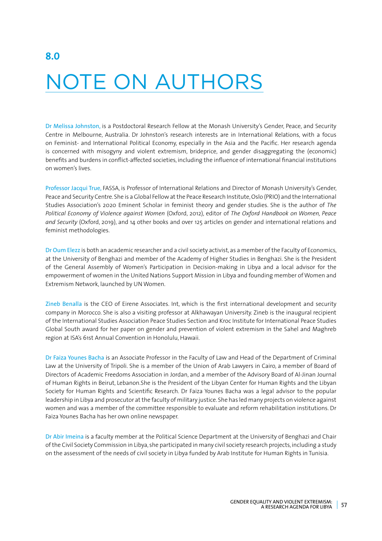# NOTE ON AUTHORS

Dr Melissa Johnston, is a Postdoctoral Research Fellow at the Monash University's Gender, Peace, and Security Centre in Melbourne, Australia. Dr Johnston's research interests are in International Relations, with a focus on Feminist- and International Political Economy, especially in the Asia and the Pacific. Her research agenda is concerned with misogyny and violent extremism, brideprice, and gender disaggregating the (economic) benefits and burdens in conflict-affected societies, including the influence of international financial institutions on women's lives.

Professor Jacqui True, FASSA, is Professor of International Relations and Director of Monash University's Gender, Peace and Security Centre. She is a Global Fellow at the Peace Research Institute, Oslo (PRIO) and the International Studies Association's 2020 Eminent Scholar in feminist theory and gender studies. She is the author of *The Political Economy of Violence against Women* (Oxford, 2012), editor of *The Oxford Handbook on Women, Peace and Security* (Oxford, 2019), and 14 other books and over 125 articles on gender and international relations and feminist methodologies.

Dr Oum Elezz is both an academic researcher and a civil society activist, as a member of the Faculty of Economics, at the University of Benghazi and member of the Academy of Higher Studies in Benghazi. She is the President of the General Assembly of Women's Participation in Decision-making in Libya and a local advisor for the empowerment of women in the United Nations Support Mission in Libya and founding member of Women and Extremism Network, launched by UN Women.

Zineb Benalla is the CEO of Eirene Associates. Int, which is the first international development and security company in Morocco. She is also a visiting professor at Alkhawayan University. Zineb is the inaugural recipient of the International Studies Association Peace Studies Section and Kroc Institute for International Peace Studies Global South award for her paper on gender and prevention of violent extremism in the Sahel and Maghreb region at ISA's 61st Annual Convention in Honolulu, Hawaii.

Dr Faiza Younes Bacha is an Associate Professor in the Faculty of Law and Head of the Department of Criminal Law at the University of Tripoli. She is a member of the Union of Arab Lawyers in Cairo, a member of Board of Directors of Academic Freedoms Association in Jordan, and a member of the Advisory Board of Al-Jinan Journal of Human Rights in Beirut, Lebanon.She is the President of the Libyan Center for Human Rights and the Libyan Society for Human Rights and Scientific Research. Dr Faiza Younes Bacha was a legal advisor to the popular leadership in Libya and prosecutor at the faculty of military justice. She has led many projects on violence against women and was a member of the committee responsible to evaluate and reform rehabilitation institutions. Dr Faiza Younes Bacha has her own online newspaper.

Dr Abir Imeina is a faculty member at the Political Science Department at the University of Benghazi and Chair of the Civil Society Commission in Libya, she participated in many civil society research projects, including a study on the assessment of the needs of civil society in Libya funded by Arab Institute for Human Rights in Tunisia.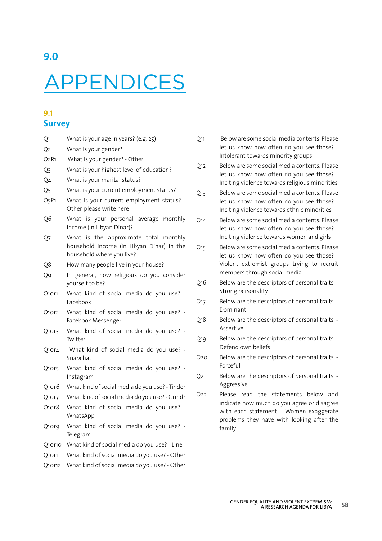# APPENDICES

#### **9.1 Survey**

| Q1                             | What is your age in years? (e.g. 25)                                                                            |  |  |  |  |  |  |
|--------------------------------|-----------------------------------------------------------------------------------------------------------------|--|--|--|--|--|--|
| Q <sub>2</sub>                 | What is your gender?                                                                                            |  |  |  |  |  |  |
| Q <sub>2</sub> R <sub>1</sub>  | What is your gender? - Other                                                                                    |  |  |  |  |  |  |
| Q3                             | What is your highest level of education?                                                                        |  |  |  |  |  |  |
| Q4                             | What is your marital status?                                                                                    |  |  |  |  |  |  |
| Q5                             | What is your current employment status?                                                                         |  |  |  |  |  |  |
| Q5R1                           | What is your current employment status? -<br>Other, please write here                                           |  |  |  |  |  |  |
| Q6                             | What is your personal average monthly<br>income (in Libyan Dinar)?                                              |  |  |  |  |  |  |
| Q7                             | What is the approximate total monthly<br>household income (in Libyan Dinar) in the<br>household where you live? |  |  |  |  |  |  |
| Q8                             | How many people live in your house?                                                                             |  |  |  |  |  |  |
| Q9                             | In general, how religious do you consider<br>yourself to be?                                                    |  |  |  |  |  |  |
| Q10r1                          | What kind of social media do you use? -<br>Facebook                                                             |  |  |  |  |  |  |
| Q10r2                          | What kind of social media do you use? -<br>Facebook Messenger                                                   |  |  |  |  |  |  |
| Q10r3                          | What kind of social media do you use? -<br>Twitter                                                              |  |  |  |  |  |  |
| Q10r4                          | What kind of social media do you use? -<br>Snapchat                                                             |  |  |  |  |  |  |
| Q10r5                          | What kind of social media do you use? -<br>Instagram                                                            |  |  |  |  |  |  |
| Q10r6                          | What kind of social media do you use? - Tinder                                                                  |  |  |  |  |  |  |
| Q10r7                          | What kind of social media do you use? - Grindr                                                                  |  |  |  |  |  |  |
| Q <sub>1</sub> or <sub>8</sub> | What kind of social media do you use? -<br>WhatsApp                                                             |  |  |  |  |  |  |
| Q10r9                          | What kind of social media do you use? -<br>Telegram                                                             |  |  |  |  |  |  |
| Q10r10                         | What kind of social media do you use? - Line                                                                    |  |  |  |  |  |  |
| Q10r11                         | What kind of social media do you use? - Other                                                                   |  |  |  |  |  |  |
| Q10r12                         | What kind of social media do you use? - Other                                                                   |  |  |  |  |  |  |

- Q11 Below are some social media contents. Please let us know how often do you see those? - Intolerant towards minority groups
- Q12 Below are some social media contents. Please let us know how often do you see those? - Inciting violence towards religious minorities
- Q13 Below are some social media contents. Please let us know how often do you see those? - Inciting violence towards ethnic minorities
- Q14 Below are some social media contents. Please let us know how often do you see those? - Inciting violence towards women and girls
- Q15 Below are some social media contents. Please let us know how often do you see those? - Violent extremist groups trying to recruit members through social media
- Q16 Below are the descriptors of personal traits. Strong personality
- Q17 Below are the descriptors of personal traits. Dominant
- Q18 Below are the descriptors of personal traits. Assertive
- Q19 Below are the descriptors of personal traits. Defend own beliefs
- Q20 Below are the descriptors of personal traits. Forceful
- Q21 Below are the descriptors of personal traits. Aggressive
- Q22 Please read the statements below and indicate how much do you agree or disagree with each statement. - Women exaggerate problems they have with looking after the family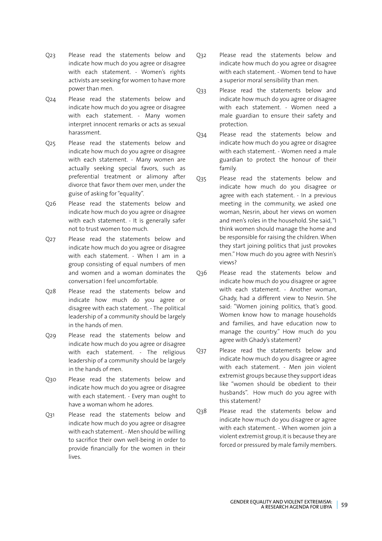- Q23 Please read the statements below and indicate how much do you agree or disagree with each statement. - Women's rights activists are seeking for women to have more power than men.
- Q24 Please read the statements below and indicate how much do you agree or disagree with each statement. - Many women interpret innocent remarks or acts as sexual harassment.
- Q25 Please read the statements below and indicate how much do you agree or disagree with each statement. - Many women are actually seeking special favors, such as preferential treatment or alimony after divorce that favor them over men, under the guise of asking for "equality".
- Q26 Please read the statements below and indicate how much do you agree or disagree with each statement. - It is generally safer not to trust women too much.
- Q27 Please read the statements below and indicate how much do you agree or disagree with each statement. - When I am in a group consisting of equal numbers of men and women and a woman dominates the conversation I feel uncomfortable.
- Q28 Please read the statements below and indicate how much do you agree or disagree with each statement. - The political leadership of a community should be largely in the hands of men.
- Q29 Please read the statements below and indicate how much do you agree or disagree with each statement. - The religious leadership of a community should be largely in the hands of men.
- Q30 Please read the statements below and indicate how much do you agree or disagree with each statement. - Every man ought to have a woman whom he adores.
- Q31 Please read the statements below and indicate how much do you agree or disagree with each statement. - Men should be willing to sacrifice their own well-being in order to provide financially for the women in their lives.
- Q32 Please read the statements below and indicate how much do you agree or disagree with each statement. - Women tend to have a superior moral sensibility than men.
- Q33 Please read the statements below and indicate how much do you agree or disagree with each statement. - Women need a male guardian to ensure their safety and protection.
- Q34 Please read the statements below and indicate how much do you agree or disagree with each statement. - Women need a male guardian to protect the honour of their family.
- Q35 Please read the statements below and indicate how much do you disagree or agree with each statement. - In a previous meeting in the community, we asked one woman, Nesrin, about her views on women and men's roles in the household. She said, "I think women should manage the home and be responsible for raising the children. When they start joining politics that just provokes men." How much do you agree with Nesrin's views?
- Q36 Please read the statements below and indicate how much do you disagree or agree with each statement. - Another woman, Ghady, had a different view to Nesrin. She said: "Women joining politics, that's good. Women know how to manage households and families, and have education now to manage the country." How much do you agree with Ghady's statement?
- Q37 Please read the statements below and indicate how much do you disagree or agree with each statement. - Men join violent extremist groups because they support ideas like "women should be obedient to their husbands". How much do you agree with this statement?
- Q38 Please read the statements below and indicate how much do you disagree or agree with each statement. - When women join a violent extremist group, it is because they are forced or pressured by male family members.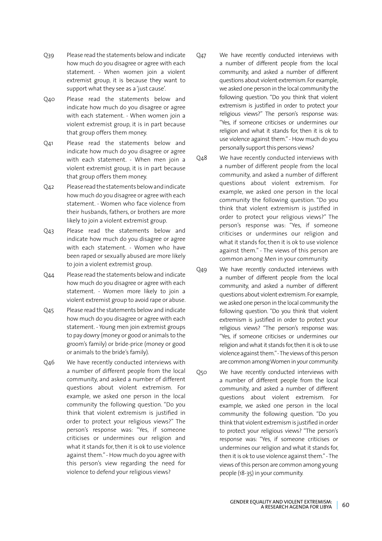- Q39 Please read the statements below and indicate how much do you disagree or agree with each statement. - When women join a violent extremist group, it is because they want to support what they see as a 'just cause'.
- Q40 Please read the statements below and indicate how much do you disagree or agree with each statement. - When women join a violent extremist group, it is in part because that group offers them money.
- Q41 Please read the statements below and indicate how much do you disagree or agree with each statement. - When men join a violent extremist group, it is in part because that group offers them money.
- Q42 Please read the statements below and indicate how much do you disagree or agree with each statement. - Women who face violence from their husbands, fathers, or brothers are more likely to join a violent extremist group.
- Q43 Please read the statements below and indicate how much do you disagree or agree with each statement. - Women who have been raped or sexually abused are more likely to join a violent extremist group.
- Q44 Please read the statements below and indicate how much do you disagree or agree with each statement. - Women more likely to join a violent extremist group to avoid rape or abuse.
- Q45 Please read the statements below and indicate how much do you disagree or agree with each statement. - Young men join extremist groups to pay dowry (money or good or animals to the groom's family) or bride-price (money or good or animals to the bride's family).
- Q46 We have recently conducted interviews with a number of different people from the local community, and asked a number of different questions about violent extremism. For example, we asked one person in the local community the following question. "Do you think that violent extremism is justified in order to protect your religious views?" The person's response was: "Yes, if someone criticises or undermines our religion and what it stands for, then it is ok to use violence against them." - How much do you agree with this person's view regarding the need for violence to defend your religious views?
- Q47 We have recently conducted interviews with a number of different people from the local community, and asked a number of different questions about violent extremism. For example, we asked one person in the local community the following question. "Do you think that violent extremism is justified in order to protect your religious views?" The person's response was: "Yes, if someone criticises or undermines our religion and what it stands for, then it is ok to use violence against them." - How much do you personally support this persons views?
- Q48 We have recently conducted interviews with a number of different people from the local community, and asked a number of different questions about violent extremism. For example, we asked one person in the local community the following question. "Do you think that violent extremism is justified in order to protect your religious views?" The person's response was: "Yes, if someone criticises or undermines our religion and what it stands for, then it is ok to use violence against them." - The views of this person are common among Men in your community.
- Q49 We have recently conducted interviews with a number of different people from the local community, and asked a number of different questions about violent extremism. For example, we asked one person in the local community the following question. "Do you think that violent extremism is justified in order to protect your religious views? "The person's response was: "Yes, if someone criticises or undermines our religion and what it stands for, then it is ok to use violence against them." - The views of this person are common among Women in your community.
- Q50 We have recently conducted interviews with a number of different people from the local community, and asked a number of different questions about violent extremism. For example, we asked one person in the local community the following question. "Do you think that violent extremism is justified in order to protect your religious views? "The person's response was: "Yes, if someone criticises or undermines our religion and what it stands for, then it is ok to use violence against them." - The views of this person are common among young people (18-35) in your community.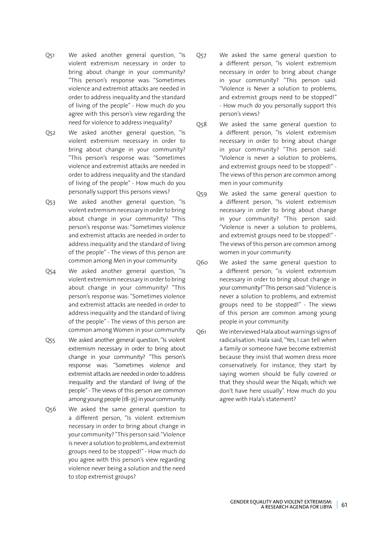- Q51 We asked another general question, "Is violent extremism necessary in order to bring about change in your community? "This person's response was: "Sometimes violence and extremist attacks are needed in order to address inequality and the standard of living of the people" - How much do you agree with this person's view regarding the need for violence to address inequality?
- Q52 We asked another general question, "Is violent extremism necessary in order to bring about change in your community? "This person's response was: "Sometimes violence and extremist attacks are needed in order to address inequality and the standard of living of the people" - How much do you personally support this persons views?
- Q53 We asked another general question, "Is violent extremism necessary in order to bring about change in your community? "This person's response was: "Sometimes violence and extremist attacks are needed in order to address inequality and the standard of living of the people" - The views of this person are common among Men in your community.
- Q54 We asked another general question, "Is violent extremism necessary in order to bring about change in your community? "This person's response was: "Sometimes violence and extremist attacks are needed in order to address inequality and the standard of living of the people" - The views of this person are common among Women in your community.
- Q55 We asked another general question, "Is violent extremism necessary in order to bring about change in your community? "This person's response was: "Sometimes violence and extremist attacks are needed in order to address inequality and the standard of living of the people" - The views of this person are common among young people (18-35) in your community.
- Q56 We asked the same general question to a different person, "Is violent extremism necessary in order to bring about change in your community? "This person said: "Violence is never a solution to problems, and extremist groups need to be stopped!" - How much do you agree with this person's view regarding violence never being a solution and the need to stop extremist groups?
- Q57 We asked the same general question to a different person, "Is violent extremism necessary in order to bring about change in your community? "This person said: "Violence is Never a solution to problems, and extremist groups need to be stopped!" - How much do you personally support this person's views?
- Q58 We asked the same general question to a different person, "Is violent extremism necessary in order to bring about change in your community? "This person said: "Violence is never a solution to problems, and extremist groups need to be stopped!" - The views of this person are common among men in your community.
- Q59 We asked the same general question to a different person, "Is violent extremism necessary in order to bring about change in your community? "This person said: "Violence is never a solution to problems, and extremist groups need to be stopped!" - The views of this person are common among women in your community.
- Q60 We asked the same general question to a different person; "is violent extremism necessary in order to bring about change in your community?" This person said: "Violence is never a solution to problems, and extremist groups need to be stopped!" - The views of this person are common among young people in your community.
- Q61 We interviewed Hala about warnings signs of radicalisation. Hala said, "Yes, I can tell when a family or someone have become extremist because they insist that women dress more conservatively. For instance, they start by saying women should be fully covered or that they should wear the Niqab, which we don't have here usually". How much do you agree with Hala's statement?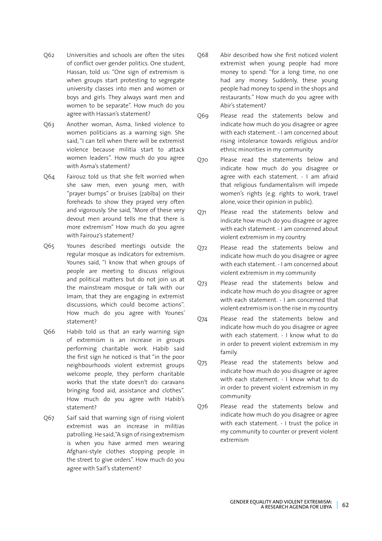- Q62 Universities and schools are often the sites of conflict over gender politics. One student, Hassan, told us: "One sign of extremism is when groups start protesting to segregate university classes into men and women or boys and girls. They always want men and women to be separate". How much do you agree with Hassan's statement?
- Q63 Another woman, Asma, linked violence to women politicians as a warning sign. She said, "I can tell when there will be extremist violence because militia start to attack women leaders". How much do you agree with Asma's statement?
- Q64 Fairouz told us that she felt worried when she saw men, even young men, with "prayer bumps" or bruises (zabîba) on their foreheads to show they prayed very often and vigorously. She said, "More of these very devout men around tells me that there is more extremism" How much do you agree with Fairouz's statement?
- Q65 Younes described meetings outside the regular mosque as indicators for extremism. Younes said, "I know that when groups of people are meeting to discuss religious and political matters but do not join us at the mainstream mosque or talk with our Imam, that they are engaging in extremist discussions, which could become actions". How much do you agree with Younes' statement?
- Q66 Habib told us that an early warning sign of extremism is an increase in groups performing charitable work. Habib said the first sign he noticed is that "in the poor neighbourhoods violent extremist groups welcome people, they perform charitable works that the state doesn't do: caravans bringing food aid, assistance and clothes". How much do you agree with Habib's statement?
- Q67 Saif said that warning sign of rising violent extremist was an increase in militias patrolling. He said, "A sign of rising extremism is when you have armed men wearing Afghani-style clothes stopping people in the street to give orders". How much do you agree with Saif's statement?
- Q68 Abir described how she first noticed violent extremist when young people had more money to spend: "for a long time, no one had any money. Suddenly, these young people had money to spend in the shops and restaurants." How much do you agree with Abir's statement?
- Q69 Please read the statements below and indicate how much do you disagree or agree with each statement. - I am concerned about rising intolerance towards religious and/or ethnic minorities in my community
- Q70 Please read the statements below and indicate how much do you disagree or agree with each statement. - I am afraid that religious fundamentalism will impede women's rights (e.g. rights to work, travel alone, voice their opinion in public).
- Q71 Please read the statements below and indicate how much do you disagree or agree with each statement. - I am concerned about violent extremism in my country.
- Q72 Please read the statements below and indicate how much do you disagree or agree with each statement. - I am concerned about violent extremism in my community
- Q73 Please read the statements below and indicate how much do you disagree or agree with each statement. - I am concerned that violent extremism is on the rise in my country.
- Q74 Please read the statements below and indicate how much do you disagree or agree with each statement. - I know what to do in order to prevent violent extremism in my family.
- Q75 Please read the statements below and indicate how much do you disagree or agree with each statement. - I know what to do in order to prevent violent extremism in my community
- Q76 Please read the statements below and indicate how much do you disagree or agree with each statement. - I trust the police in my community to counter or prevent violent extremism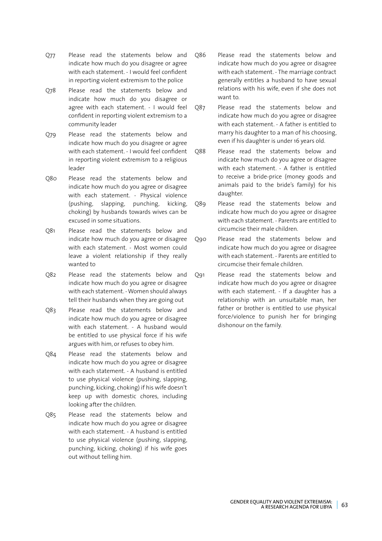- Q77 Please read the statements below and indicate how much do you disagree or agree with each statement. - I would feel confident in reporting violent extremism to the police
- Q78 Please read the statements below and indicate how much do you disagree or agree with each statement. - I would feel confident in reporting violent extremism to a community leader
- Q79 Please read the statements below and indicate how much do you disagree or agree with each statement. - I would feel confident in reporting violent extremism to a religious leader
- Q80 Please read the statements below and indicate how much do you agree or disagree with each statement. - Physical violence (pushing, slapping, punching, kicking, choking) by husbands towards wives can be excused in some situations.
- Q81 Please read the statements below and indicate how much do you agree or disagree with each statement. - Most women could leave a violent relationship if they really wanted to
- Q82 Please read the statements below and indicate how much do you agree or disagree with each statement. - Women should always tell their husbands when they are going out
- Q83 Please read the statements below and indicate how much do you agree or disagree with each statement. - A husband would be entitled to use physical force if his wife argues with him, or refuses to obey him.
- Q84 Please read the statements below and indicate how much do you agree or disagree with each statement. - A husband is entitled to use physical violence (pushing, slapping, punching, kicking, choking) if his wife doesn't keep up with domestic chores, including looking after the children.
- Q85 Please read the statements below and indicate how much do you agree or disagree with each statement. - A husband is entitled to use physical violence (pushing, slapping, punching, kicking, choking) if his wife goes out without telling him.
- Q86 Please read the statements below and indicate how much do you agree or disagree with each statement. - The marriage contract generally entitles a husband to have sexual relations with his wife, even if she does not want to.
- Q87 Please read the statements below and indicate how much do you agree or disagree with each statement. - A father is entitled to marry his daughter to a man of his choosing, even if his daughter is under 16 years old.
- Q88 Please read the statements below and indicate how much do you agree or disagree with each statement. - A father is entitled to receive a bride-price (money goods and animals paid to the bride's family) for his daughter.
- Q89 Please read the statements below and indicate how much do you agree or disagree with each statement. - Parents are entitled to circumcise their male children.
- Q90 Please read the statements below and indicate how much do you agree or disagree with each statement. - Parents are entitled to circumcise their female children.
- Q91 Please read the statements below and indicate how much do you agree or disagree with each statement. - If a daughter has a relationship with an unsuitable man, her father or brother is entitled to use physical force/violence to punish her for bringing dishonour on the family.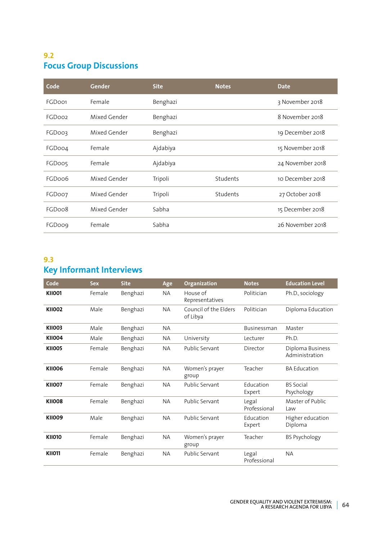#### **9.2 Focus Group Discussions**

| Code               | <b>Gender</b> | <b>Site</b> | <b>Notes</b> | <b>Date</b>      |
|--------------------|---------------|-------------|--------------|------------------|
| FGDoo1             | Female        | Benghazi    |              | 3 November 2018  |
| FGDoo <sub>2</sub> | Mixed Gender  | Benghazi    |              | 8 November 2018  |
| FGDoo3             | Mixed Gender  | Benghazi    |              | 19 December 2018 |
| FGDoo4             | Female        | Ajdabiya    |              | 15 November 2018 |
| FGDoo5             | Female        | Ajdabiya    |              | 24 November 2018 |
| FGDoo6             | Mixed Gender  | Tripoli     | Students     | 10 December 2018 |
| FGDoo7             | Mixed Gender  | Tripoli     | Students     | 27 October 2018  |
| FGDoo8             | Mixed Gender  | Sabha       |              | 15 December 2018 |
| <b>FGDoog</b>      | Female        | Sabha       |              | 26 November 2018 |

#### **9.3 Key Informant Interviews**

| Code          | <b>Sex</b> | <b>Site</b> | Age       | Organization                      | <b>Notes</b>          | <b>Education Level</b>             |
|---------------|------------|-------------|-----------|-----------------------------------|-----------------------|------------------------------------|
| <b>KII001</b> | Female     | Benghazi    | <b>NA</b> | House of<br>Representatives       | Politician            | Ph.D., sociology                   |
| <b>KII002</b> | Male       | Benghazi    | <b>NA</b> | Council of the Elders<br>of Libya | Politician            | Diploma Education                  |
| <b>KII003</b> | Male       | Benghazi    | <b>NA</b> |                                   | Businessman           | Master                             |
| <b>KII004</b> | Male       | Benghazi    | NА        | University                        | Lecturer              | Ph.D.                              |
| <b>KII005</b> | Female     | Benghazi    | <b>NA</b> | <b>Public Servant</b>             | Director              | Diploma Business<br>Administration |
| <b>KII006</b> | Female     | Benghazi    | <b>NA</b> | Women's prayer<br>group           | Teacher               | <b>BA Education</b>                |
| <b>KII007</b> | Female     | Benghazi    | <b>NA</b> | <b>Public Servant</b>             | Education<br>Expert   | <b>BS</b> Social<br>Psychology     |
| <b>KII008</b> | Female     | Benghazi    | <b>NA</b> | <b>Public Servant</b>             | Legal<br>Professional | Master of Public<br>Law            |
| <b>KII009</b> | Male       | Benghazi    | <b>NA</b> | <b>Public Servant</b>             | Education<br>Expert   | Higher education<br>Diploma        |
| <b>KII010</b> | Female     | Benghazi    | ΝA        | Women's prayer<br>group           | Teacher               | <b>BS Psychology</b>               |
| <b>KII011</b> | Female     | Benghazi    | <b>NA</b> | Public Servant                    | Legal<br>Professional | <b>NA</b>                          |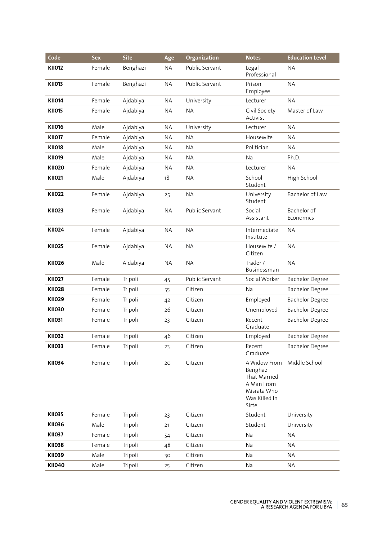| Code          | <b>Sex</b> | <b>Site</b> | Age       | Organization   | <b>Notes</b>                                                                                     | <b>Education Level</b>   |
|---------------|------------|-------------|-----------|----------------|--------------------------------------------------------------------------------------------------|--------------------------|
| <b>KII012</b> | Female     | Benghazi    | <b>NA</b> | Public Servant | Legal<br>Professional                                                                            | <b>NA</b>                |
| <b>KII013</b> | Female     | Benghazi    | <b>NA</b> | Public Servant | Prison<br>Employee                                                                               | <b>NA</b>                |
| <b>KII014</b> | Female     | Ajdabiya    | <b>NA</b> | University     | Lecturer                                                                                         | <b>NA</b>                |
| <b>KII015</b> | Female     | Ajdabiya    | <b>NA</b> | <b>NA</b>      | Civil Society<br>Activist                                                                        | Master of Law            |
| <b>KII016</b> | Male       | Ajdabiya    | <b>NA</b> | University     | Lecturer                                                                                         | <b>NA</b>                |
| <b>KII017</b> | Female     | Ajdabiya    | <b>NA</b> | <b>NA</b>      | Housewife                                                                                        | <b>NA</b>                |
| <b>KII018</b> | Male       | Ajdabiya    | <b>NA</b> | <b>NA</b>      | Politician                                                                                       | <b>NA</b>                |
| <b>KII019</b> | Male       | Ajdabiya    | <b>NA</b> | <b>NA</b>      | <b>Na</b>                                                                                        | Ph.D.                    |
| <b>KII020</b> | Female     | Ajdabiya    | <b>NA</b> | <b>NA</b>      | Lecturer                                                                                         | <b>NA</b>                |
| <b>KII021</b> | Male       | Ajdabiya    | 18        | <b>NA</b>      | School<br>Student                                                                                | High School              |
| <b>KII022</b> | Female     | Ajdabiya    | 25        | <b>NA</b>      | University<br>Student                                                                            | Bachelor of Law          |
| <b>KII023</b> | Female     | Ajdabiya    | <b>NA</b> | Public Servant | Social<br>Assistant                                                                              | Bachelor of<br>Economics |
| <b>KII024</b> | Female     | Ajdabiya    | <b>NA</b> | <b>NA</b>      | Intermediate<br>Institute                                                                        | <b>NA</b>                |
| <b>KII025</b> | Female     | Ajdabiya    | <b>NA</b> | <b>NA</b>      | Housewife /<br>Citizen                                                                           | <b>NA</b>                |
| <b>KII026</b> | Male       | Ajdabiya    | <b>NA</b> | <b>NA</b>      | Trader /<br>Businessman                                                                          | <b>NA</b>                |
| <b>KII027</b> | Female     | Tripoli     | 45        | Public Servant | Social Worker                                                                                    | <b>Bachelor Degree</b>   |
| <b>KII028</b> | Female     | Tripoli     | 55        | Citizen        | Na                                                                                               | <b>Bachelor Degree</b>   |
| <b>KII029</b> | Female     | Tripoli     | 42        | Citizen        | Employed                                                                                         | <b>Bachelor Degree</b>   |
| <b>KII030</b> | Female     | Tripoli     | 26        | Citizen        | Unemployed                                                                                       | <b>Bachelor Degree</b>   |
| <b>KII031</b> | Female     | Tripoli     | 23        | Citizen        | Recent<br>Graduate                                                                               | <b>Bachelor Degree</b>   |
| <b>KII032</b> | Female     | Tripoli     | 46        | Citizen        | Employed                                                                                         | <b>Bachelor Degree</b>   |
| <b>KII033</b> | Female     | Tripoli     | 23        | Citizen        | Recent<br>Graduate                                                                               | <b>Bachelor Degree</b>   |
| <b>KII034</b> | Female     | Tripoli     | 20        | Citizen        | A Widow From<br>Benghazi<br>That Married<br>A Man From<br>Misrata Who<br>Was Killed In<br>Sirte. | Middle School            |
| <b>KII035</b> | Female     | Tripoli     | 23        | Citizen        | Student                                                                                          | University               |
| <b>KII036</b> | Male       | Tripoli     | 21        | Citizen        | Student                                                                                          | University               |
| <b>KII037</b> | Female     | Tripoli     | 54        | Citizen        | Na                                                                                               | <b>NA</b>                |
| <b>KII038</b> | Female     | Tripoli     | 48        | Citizen        | Na                                                                                               | <b>NA</b>                |
| <b>KII039</b> | Male       | Tripoli     | 30        | Citizen        | Na                                                                                               | <b>NA</b>                |
| <b>KII040</b> | Male       | Tripoli     | 25        | Citizen        | Na                                                                                               | <b>ΝΑ</b>                |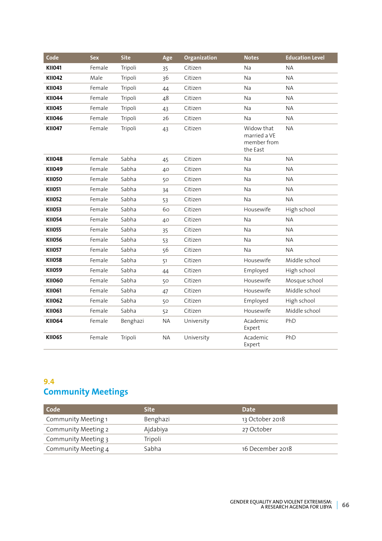| Code          | <b>Sex</b> | <b>Site</b> | Age       | Organization | <b>Notes</b>                                          | <b>Education Level</b> |
|---------------|------------|-------------|-----------|--------------|-------------------------------------------------------|------------------------|
| <b>KII041</b> | Female     | Tripoli     | 35        | Citizen      | <b>Na</b>                                             | <b>NA</b>              |
| <b>KII042</b> | Male       | Tripoli     | 36        | Citizen      | Na                                                    | <b>NA</b>              |
| <b>KII043</b> | Female     | Tripoli     | 44        | Citizen      | Na                                                    | <b>NA</b>              |
| <b>KII044</b> | Female     | Tripoli     | 48        | Citizen      | Na                                                    | <b>NA</b>              |
| <b>KII045</b> | Female     | Tripoli     | 43        | Citizen      | <b>Na</b>                                             | <b>NA</b>              |
| <b>KII046</b> | Female     | Tripoli     | 26        | Citizen      | Na                                                    | <b>NA</b>              |
| <b>KII047</b> | Female     | Tripoli     | 43        | Citizen      | Widow that<br>married a VE<br>member from<br>the East | <b>NA</b>              |
| <b>KII048</b> | Female     | Sabha       | 45        | Citizen      | Na                                                    | <b>NA</b>              |
| <b>KII049</b> | Female     | Sabha       | 40        | Citizen      | Na                                                    | <b>NA</b>              |
| <b>KII050</b> | Female     | Sabha       | 50        | Citizen      | Na                                                    | <b>NA</b>              |
| <b>KII051</b> | Female     | Sabha       | 34        | Citizen      | <b>Na</b>                                             | <b>NA</b>              |
| <b>KII052</b> | Female     | Sabha       | 53        | Citizen      | <b>Na</b>                                             | <b>NA</b>              |
| <b>KII053</b> | Female     | Sabha       | 60        | Citizen      | Housewife                                             | High school            |
| <b>KII054</b> | Female     | Sabha       | 40        | Citizen      | Na                                                    | <b>NA</b>              |
| <b>KII055</b> | Female     | Sabha       | 35        | Citizen      | <b>Na</b>                                             | <b>NA</b>              |
| <b>KII056</b> | Female     | Sabha       | 53        | Citizen      | Na                                                    | <b>NA</b>              |
| <b>KII057</b> | Female     | Sabha       | 56        | Citizen      | Na                                                    | <b>NA</b>              |
| <b>KII058</b> | Female     | Sabha       | 51        | Citizen      | Housewife                                             | Middle school          |
| <b>KII059</b> | Female     | Sabha       | 44        | Citizen      | Employed                                              | High school            |
| <b>KII060</b> | Female     | Sabha       | 50        | Citizen      | Housewife                                             | Mosque school          |
| <b>KII061</b> | Female     | Sabha       | 47        | Citizen      | Housewife                                             | Middle school          |
| <b>KII062</b> | Female     | Sabha       | 50        | Citizen      | Employed                                              | High school            |
| <b>KII063</b> | Female     | Sabha       | 52        | Citizen      | Housewife                                             | Middle school          |
| <b>KII064</b> | Female     | Benghazi    | <b>NA</b> | University   | Academic<br>Expert                                    | PhD                    |
| <b>KII065</b> | Female     | Tripoli     | <b>NA</b> | University   | Academic<br>Expert                                    | PhD                    |

#### **9.4 Community Meetings**

| Code                | <b>Site</b> | <b>Date</b>      |
|---------------------|-------------|------------------|
| Community Meeting 1 | Benghazi    | 13 October 2018  |
| Community Meeting 2 | Ajdabiya    | 27 October       |
| Community Meeting 3 | Tripoli     |                  |
| Community Meeting 4 | Sabha       | 16 December 2018 |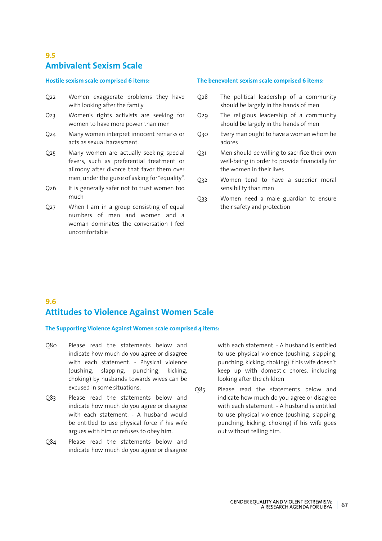#### **9.5 Ambivalent Sexism Scale**

#### **Hostile sexism scale comprised 6 items:**

- Q22 Women exaggerate problems they have with looking after the family
- Q23 Women's rights activists are seeking for women to have more power than men
- Q24 Many women interpret innocent remarks or acts as sexual harassment.
- Q25 Many women are actually seeking special fevers, such as preferential treatment or alimony after divorce that favor them over men, under the guise of asking for "equality".
- Q26 It is generally safer not to trust women too much
- Q27 When I am in a group consisting of equal numbers of men and women and a woman dominates the conversation I feel uncomfortable

#### **The benevolent sexism scale comprised 6 items:**

- Q28 The political leadership of a community should be largely in the hands of men
- Q29 The religious leadership of a community should be largely in the hands of men
- Q30 Every man ought to have a woman whom he adores
- Q31 Men should be willing to sacrifice their own well-being in order to provide financially for the women in their lives
- Q32 Women tend to have a superior moral sensibility than men
- Q33 Women need a male guardian to ensure their safety and protection

#### **9.6 Attitudes to Violence Against Women Scale**

**The Supporting Violence Against Women scale comprised 4 items:**

- Q80 Please read the statements below and indicate how much do you agree or disagree with each statement. - Physical violence (pushing, slapping, punching, kicking, choking) by husbands towards wives can be excused in some situations.
- Q83 Please read the statements below and indicate how much do you agree or disagree with each statement. - A husband would be entitled to use physical force if his wife argues with him or refuses to obey him.
- Q84 Please read the statements below and indicate how much do you agree or disagree

with each statement. - A husband is entitled to use physical violence (pushing, slapping, punching, kicking, choking) if his wife doesn't keep up with domestic chores, including looking after the children

Q85 Please read the statements below and indicate how much do you agree or disagree with each statement. - A husband is entitled to use physical violence (pushing, slapping, punching, kicking, choking) if his wife goes out without telling him.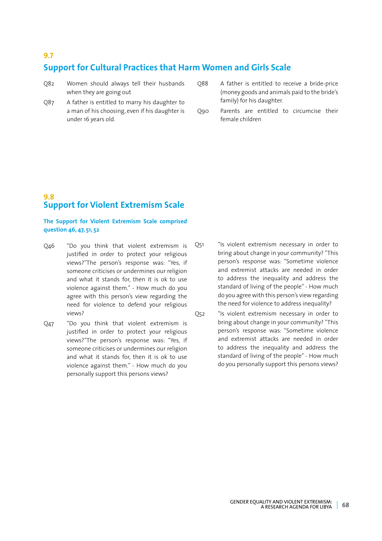#### **9.7**

#### **Support for Cultural Practices that Harm Women and Girls Scale**

- Q82 Women should always tell their husbands when they are going out
- Q87 A father is entitled to marry his daughter to a man of his choosing, even if his daughter is under 16 years old.
- Q88 A father is entitled to receive a bride-price (money goods and animals paid to the bride's family) for his daughter.
- Q90 Parents are entitled to circumcise their female children

#### **9.8 Support for Violent Extremism Scale**

**The Support for Violent Extremism Scale comprised question 46, 47, 51, 52**

- Q46 "Do you think that violent extremism is justified in order to protect your religious views?"The person's response was: "Yes, if someone criticises or undermines our religion and what it stands for, then it is ok to use violence against them." - How much do you agree with this person's view regarding the need for violence to defend your religious views?
- Q47 "Do you think that violent extremism is justified in order to protect your religious views?"The person's response was: "Yes, if someone criticises or undermines our religion and what it stands for, then it is ok to use violence against them." - How much do you personally support this persons views?
- Q51 "Is violent extremism necessary in order to bring about change in your community? "This person's response was: "Sometime violence and extremist attacks are needed in order to address the inequality and address the standard of living of the people" - How much do you agree with this person's view regarding the need for violence to address inequality?
- Q52 "Is violent extremism necessary in order to bring about change in your community? "This person's response was: "Sometime violence and extremist attacks are needed in order to address the inequality and address the standard of living of the people" - How much do you personally support this persons views?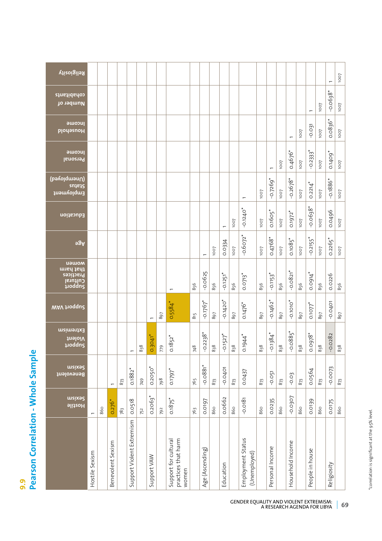# **9.9 Pearson Correlation - Whole Sample**

| Religiosity                                                  |                |     |                   |     |                           |     |                       |     |                                                      |     |                        |      |                        |      |                                   |      |                        |      |                          |           |                        |      | $\overline{ }$         | 1007        |
|--------------------------------------------------------------|----------------|-----|-------------------|-----|---------------------------|-----|-----------------------|-----|------------------------------------------------------|-----|------------------------|------|------------------------|------|-----------------------------------|------|------------------------|------|--------------------------|-----------|------------------------|------|------------------------|-------------|
| cohabitants<br>Number of                                     |                |     |                   |     |                           |     |                       |     |                                                      |     |                        |      |                        |      |                                   |      |                        |      |                          |           | $\overline{ }$         | 1007 | $-0.0638$ <sup>*</sup> | 1007        |
| <b>PUCOME</b><br><b>PlodesupH</b>                            |                |     |                   |     |                           |     |                       |     |                                                      |     |                        |      |                        |      |                                   |      |                        |      | $\overline{\phantom{0}}$ | 1007      | $-0.031$               | 1007 | $0.0836*$              | 1007        |
| <b>Juopul</b><br>Personal                                    |                |     |                   |     |                           |     |                       |     |                                                      |     |                        |      |                        |      |                                   |      | $\overline{ }$         | 1007 | 0.4676*                  | 1007      | $-0.2333$ <sup>*</sup> | 1007 | 0.1409*                | 1007        |
| (pəʌolqmənU)<br>sutate<br>լաթահօլժա                          |                |     |                   |     |                           |     |                       |     |                                                      |     |                        |      |                        |      |                                   | 1007 | $-0.7269$ *            | 1007 | $-0.2678$ <sup>*</sup>   | 1007      | $0.2214$ <sup>*</sup>  | 1007 | $-0.1886$ <sup>*</sup> | <b>Lool</b> |
| Education                                                    |                |     |                   |     |                           |     |                       |     |                                                      |     |                        |      | $\overline{ }$         | 1007 | $-0.1240$ <sup>*</sup>            | 1007 | $0.1605$ <sup>*</sup>  | 1007 | 0.1972*                  | 1007      | $-0.0638$ <sup>*</sup> | 1007 | 0.0496                 | 1007        |
| 98A                                                          |                |     |                   |     |                           |     |                       |     |                                                      |     | $\overline{ }$         | 1007 | 0.0334                 | 1007 | $-0.6072$ <sup>*</sup>            | 1007 | $0.4768*$              | 1007 | $0.1085$ <sup>*</sup>    | 1007      | $-0.2155$ <sup>*</sup> | 1007 | $0.2265$ <sup>*</sup>  | 1007        |
| uawom<br>that harm<br>Practices<br>Cultural<br><i>uoddns</i> |                |     |                   |     |                           |     |                       |     | $\overline{ }$                                       | 856 | $-0.0625$              | 856  | $-0.1251$ <sup>*</sup> | 856  | $0.0713$ <sup>*</sup>             | 856  | $-0.1153$ <sup>*</sup> | 856  | $-0.0821$ <sup>*</sup>   | 856       | 0.0914*                | 856  | 0.0226                 | 856         |
| WAV troqqu2                                                  |                |     |                   |     |                           |     | $\overline{ }$        | 897 | $0.5584*$                                            | 815 | $-0.1767$              | 168  | $-0.1420$ <sup>*</sup> | 897  | $0.1476*$                         | 897  | $-0.1462$ <sup>*</sup> | 897  | $-0.1010$ <sup>*</sup>   | <b>68</b> | 0.1077                 | 168  | $-0.0401$              | 897         |
| Extremism<br><b>Violent</b><br>poddng                        |                |     |                   |     |                           | 838 | $0.3041$ <sup>*</sup> | 779 | $0.1852$ <sup>*</sup>                                | 748 | $-0.2238$ *            | 838  | $-0.1527$ <sup>*</sup> | 838  | 0.1944*                           | 838  | $-0.1384$ <sup>*</sup> | 838  | $-0.0885$ *              | 838       | 0.0978*                | 838  | 0.0282                 | 838         |
| <b>THE</b><br>Benevolent                                     |                |     | $\overline{a}$    | 873 | $0.1882$ <sup>*</sup>     | 749 | $0.2050$ <sup>*</sup> | 798 | 0.1797*                                              | 765 | $-0.0881$ <sup>*</sup> | 873  | $-0.0401$              | 873  | 0.0437                            | 873  | $-0.051$               | 873  | $-0.03$                  | 873       | 0.0564                 | 873  | $-0.0073$              | 873         |
| meix92<br>Hostile                                            | $\overline{ }$ | 860 | $0.276*$          | 783 | 0.0518                    | 752 | $0.2063$ <sup>*</sup> | 792 | $0.1875$ <sup>*</sup>                                | 763 | 0.0197                 | 860  | 0.0662                 | 860  | $-0.0181$                         | 860  | 0.0235                 | 860  | $-0.0307$                | 860       | 0.0139                 | 860  | 0.0175                 | 860         |
|                                                              | Hostile Sexism |     | Benevolent Sexism |     | Support Violent Extremism |     | Support VAW           |     | practices that harm<br>Support for cultural<br>women |     | Age (Ascending)        |      | Education              |      | Employment Status<br>(Unemployed) |      | Personal Income        |      | Household Income         |           | People in house        |      | Religiosity            |             |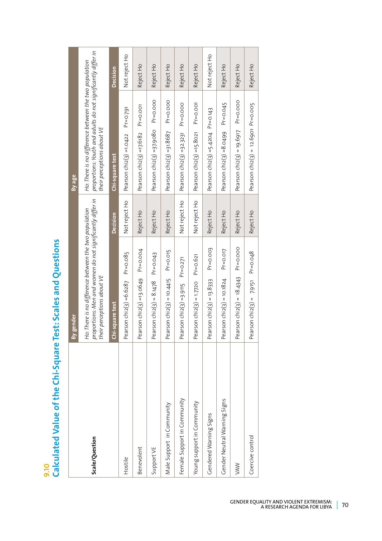9.10<br>Calculated Value of the Chi-Square Test: Scales and Questions **Calculated Value of the Chi-Square Test: Scales and Questions**

|                              | gender<br>Δ                                                                                                                                      |               | By age                                                                                                                                                |               |
|------------------------------|--------------------------------------------------------------------------------------------------------------------------------------------------|---------------|-------------------------------------------------------------------------------------------------------------------------------------------------------|---------------|
| Scale/Question               | proportions: Men and women do not significantly differ in<br>their perceptions about VE<br>Ho: There is no difference between the two population |               | proportions: Youth and adults do not significantly differ in<br>Ho: There is no difference between the two population<br>their perceptions about $VE$ |               |
|                              | Chi-square test                                                                                                                                  | Decision      | Chi-square test                                                                                                                                       | Decision      |
| Hostile                      | Pearson chiz(3) = $6.6287$ Pr= $0.085$                                                                                                           | Not reject Ho | $Pr = 0.791$<br>Pearson $chi(3) = 1.0422$                                                                                                             | Not reject Ho |
| Benevolent                   | Pearson chi2(3) =13.0649 $Pr=0.004$                                                                                                              | Reject Ho     | $Pr = 0.001$<br>Pearson chi $2(3)$ =17.6182                                                                                                           | Reject Ho     |
| Support VE                   | Pearson chi2(3) = $8.1478$ Pr=0.043                                                                                                              | Reject Ho     | $Pr = 0.000$<br>Pearson chi $2(3) = 37.9080$                                                                                                          | Reject Ho     |
| Male Support in Community    | $Pr = 0.015$<br>Pearson $\text{chi}(3) = 10.4415$                                                                                                | Reject Ho     | $Pr = 0.000$<br>Pearson $chi(3) = 31.8687$                                                                                                            | Reject Ho     |
| Female Support in Community  | $Pr = 0.271$<br>Pearson $chi(3) = 3.9115$                                                                                                        | Not reject Ho | $Pr = 0.000$<br>Pearson $chi(3) = 32.3231$                                                                                                            | Reject Ho     |
| Young support in Community   | Pearson chi2(3) = $1.7720$ Pr=0.621                                                                                                              | Not reject Ho | $Pr = 0.001$<br>Pearson $chi(3) = 15.8021$                                                                                                            | Reject Ho     |
| Gendered Warning Signs       | $Pr = 0.003$<br>Pearson $chi(3) = 13.8333$                                                                                                       | Reject Ho     | Pearson $chi(3) = 5.4204$ Pr=0.143                                                                                                                    | Not reject Ho |
| Gender Neutral Warning Signs | $Pr = 0.017$<br>Pearson $chiz(3) = 10.1824$                                                                                                      | Reject Ho     | $Pr = 0.045$<br>Pearson $chi(3) = 8.0499$                                                                                                             | Reject Ho     |
| <b>NAW</b>                   | Pr=0.000<br>Pearson chi2(3) = $18.4343$                                                                                                          | Reject Ho     | Pr=0.000<br>Pearson $\text{chiz}(3) = 19.6917$                                                                                                        | Reject Ho     |
| Coercive control             | $Pr = 0.048$<br>Pearson chi2(3) = $7.9151$                                                                                                       | Reject Ho     | Pearson chi $2(3) = 12.69$ o1 Pr=0.005                                                                                                                | Reject Ho     |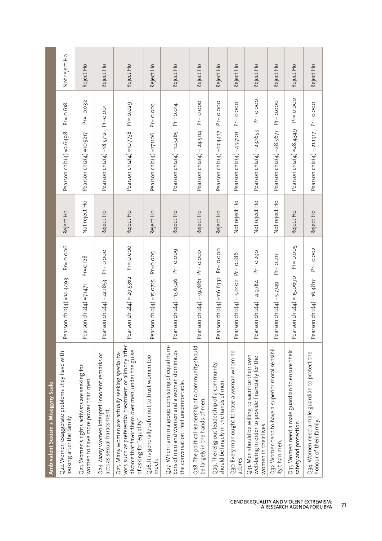| Ambivalent Sexism + Misogyny Scale                                                                                                                                                          |                                                   |               |                                             |               |
|---------------------------------------------------------------------------------------------------------------------------------------------------------------------------------------------|---------------------------------------------------|---------------|---------------------------------------------|---------------|
| Q22. Women exaggerate problems they have with<br>looking after the family                                                                                                                   | $Preo.$ oo6<br>Pearson chi2(4) =14.4493           | Reject Ho     | $Pr = 0.618$<br>Pearson $chi(4) = 2.6498$   | Not reject Ho |
| Q23. Women's rights activists are seeking for<br>women to have more power than men.                                                                                                         | $Pr = 0.128$<br>Pearson chi $2(4)$ =7.1471        | Not reject Ho | $Pr = 0.032$<br>Pearson $chi(4) = 10.5217$  | Reject Ho     |
| Q24. Many women interpret innocent remarks or<br>acts as sexual harassment.                                                                                                                 | $Pr = 0.000$<br>Pearson $chi(4) = 22.1853$        | Reject Ho     | $Pr = 0.001$<br>Pearson chi $2(4)$ =18.5712 | Reject Ho     |
| vors, such as preferential treatment or alimony after<br>divorce that favor them over men, under the guise<br>Q25. Many women are actually seeking special fa-<br>of asking for "equality". | $Pr = 0.000$<br>Pearson $chiz(4) = 29.5362$       | Reject Ho     | $Pr = 0.029$<br>Pearson chiz(4) =10.7738    | Reject Ho     |
| Q26. It is generally safer not to trust women too<br>much.                                                                                                                                  | $Pr = 0.005$<br>Pearson $chi(4) = 15.0725$        | Reject Ho     | $Pr = 0.002$<br>Pearson chi2(4) =17.1106    | Reject Ho     |
| Q27. When I am in a group consisting of equal num-<br>bers of men and women and a woman dominates<br>the conversation I feel uncomfortable.                                                 | $Pr = 0.009$<br>Pearson $chi(4) = 13.6346$        | Reject Ho     | $Pr = 0.014$<br>Pearson chi2(4) =12.5265    | Reject Ho     |
| Q28. The political leadership of a community should<br>be largely in the hands of men.                                                                                                      | $Pr = 0.000$<br>Pearson $\text{chi}(4) = 39.7861$ | Reject Ho     | $Pr = 0.000$<br>Pearson $Chi(4) = 24.5114$  | Reject Ho     |
| Q29. The religious leadership of a community<br>should be largely in the hands of men.                                                                                                      | $Pr = 0.000$<br>Pearson $chiz(4) = 116.6332$      | Reject Ho     | $Pr = 0.000$<br>Pearson $chiz(4) = 27.4437$ | Reject Ho     |
| Q30. Every man ought to have a woman whom he<br>adores.                                                                                                                                     | $Pr = 0.286$<br>Pearson chi $z(4)$ = 5.0102       | Not reject Ho | $Pr = 0.000$<br>Pearson chi $2(4)$ =43.7101 | Reject Ho     |
| Q31. Men should be willing to sacrifice their own<br>well-being in order to provide financially for the<br>women in their lives.                                                            | $Pr = 0.290$<br>Pearson chi2 $(4)$ =4.9784        | Not reject Ho | $Pr = 0.000$<br>Pearson $chi(4) = 23.1653$  | Reject Ho     |
| Q32. Women tend to have a superior moral sensibil-<br>ity than men.                                                                                                                         | $Pr = 0.217$<br>Pearson chi $2(4) = 5.7749$       | Not reject Ho | $Pr = 0.000$<br>Pearson chi2(4) = 28.5677   | Reject Ho     |
| Q33. Women need a male guardian to ensure their<br>safety and protection.                                                                                                                   | $Pr = 0.005$<br>Pearson $chi(4) = 15.0690$        | Reject Ho     | $Pr = 0.000$<br>Pearson chi2(4) = 28.4349   | Reject Ho     |
| Q34. Women need a male guardian to protect the<br>honour of their family.                                                                                                                   | $Pr = 0.002$<br>Pearson chi2(4) =16.4817          | Reject Ho     | $Pr = 0.000$<br>Pearson $chi(4) = 21.1917$  | Reject Ho     |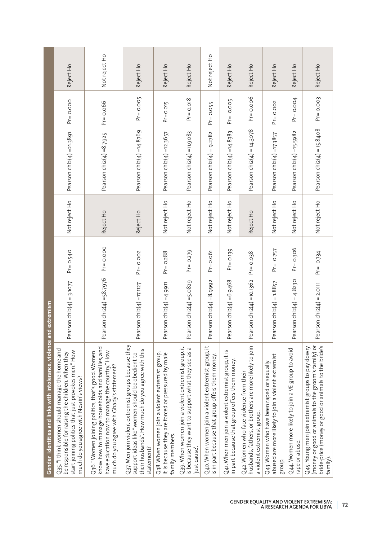|                                                                      | Reject Ho                                                                                                                                                                                            | Not reject Ho                                                                                                                                                                                      | Reject Ho                                                                                                                                                                | Reject Ho                                                                                                                | Reject Ho                                                                                                                          | Not reject Ho                                                                                          | Reject Ho                                                                                            | Reject Ho                                                                                                                       | Reject Ho                                                                                                  | Reject Ho                                                            | Reject Ho                                                                                                                                                        |
|----------------------------------------------------------------------|------------------------------------------------------------------------------------------------------------------------------------------------------------------------------------------------------|----------------------------------------------------------------------------------------------------------------------------------------------------------------------------------------------------|--------------------------------------------------------------------------------------------------------------------------------------------------------------------------|--------------------------------------------------------------------------------------------------------------------------|------------------------------------------------------------------------------------------------------------------------------------|--------------------------------------------------------------------------------------------------------|------------------------------------------------------------------------------------------------------|---------------------------------------------------------------------------------------------------------------------------------|------------------------------------------------------------------------------------------------------------|----------------------------------------------------------------------|------------------------------------------------------------------------------------------------------------------------------------------------------------------|
|                                                                      | $Pr = 0.000$                                                                                                                                                                                         | $Pr = 0.066$                                                                                                                                                                                       | $Pr = 0.005$                                                                                                                                                             | $Pr = 0.015$                                                                                                             | $Pr = 0.018$                                                                                                                       | $Pr = 0.055$                                                                                           | $Pr = 0.005$                                                                                         | $Pr = 0.006$                                                                                                                    | $Pr = 0.002$                                                                                               | $Pr = 0.004$                                                         | $Pr = 0.003$                                                                                                                                                     |
|                                                                      | Pearson $chi(4) = 21.3891$                                                                                                                                                                           | Pearson chi $2(4) = 8.7925$                                                                                                                                                                        | Pearson chi2(4) =14.8769                                                                                                                                                 | Pearson chi2(4) =12.3657                                                                                                 | Pearson chi $z(4)$ =11.9083                                                                                                        | Pearson $chi(4) = 9.2782$                                                                              | Pearson chi $2(4)$ =14.8383                                                                          | Pearson chi $2(4) = 14.3078$                                                                                                    | Pearson chi2(4) =17.3857                                                                                   | Pearson $chi(4) = 15.5982$                                           | Pearson $chi(4) = 15.8408$                                                                                                                                       |
|                                                                      | Not reject Ho                                                                                                                                                                                        | Reject Ho                                                                                                                                                                                          | Reject Ho                                                                                                                                                                | Not reject Ho                                                                                                            | Not reject Ho                                                                                                                      | Not reject Ho                                                                                          | Not reject Ho                                                                                        | Reject Ho                                                                                                                       | Not reject Ho                                                                                              | Not reject Ho                                                        | Not reject Ho                                                                                                                                                    |
|                                                                      | $Pr = 0.540$                                                                                                                                                                                         | $Pr = 0.000$                                                                                                                                                                                       | $Pr = 0.002$                                                                                                                                                             | $Pr = 0.288$                                                                                                             | $Pr = 0.279$                                                                                                                       | $Pr = 0.061$                                                                                           | $Pr = 0.139$                                                                                         | $Pr = 0.038$                                                                                                                    | $Pr = 0.757$                                                                                               | $Pr = 0.306$                                                         | $Pr = 0.734$                                                                                                                                                     |
|                                                                      | Pearson $chiz(4) = 3.1077$                                                                                                                                                                           | Pearson chi2(4) =58.7976                                                                                                                                                                           | Pearson chi2(4) =17.1127                                                                                                                                                 | Pearson $chiz(4) = 4.9911$                                                                                               | Pearson chiz(4) =5.0829                                                                                                            | Pearson chi $2(4) = 8.9992$                                                                            | Pearson $chi(4) = 6.9468$                                                                            | Pearson chi2(4) =10.1362                                                                                                        | Pearson $chiz(4) = 1.8857$                                                                                 | Pearson chi $2(4) = 4.823$ O                                         | Pearson chi $2(4)$ = 2.0111                                                                                                                                      |
| Gender identities and links with intolerance, violence and extremism | Q35."I think women should manage the home and<br>start joining politics that just provokes men." How<br>be responsible for raising the children. When they<br>much do you agree with Nesrin's views? | know how to manage households and families, and<br>have education now to manage the country." How<br>Q36. "Women joining politics, that's good. Women<br>much do you agree with Ghady's statement? | Q37. Men join violent extremist groups because they<br>their husbands". How much do you agree with this<br>support ideas like "women should be obedient to<br>statement? | Q38. When women join a violent extremist group,<br>it is because they are forced or pressured by male<br>family members. | Q39. When women join a violent extremist group, it<br>$\varpi$<br>is because they want to support what they see as<br>just cause'. | Q40. When women join a violent extremist group, it<br>is in part because that group offers them money. | Q41. When men join a violent extremist group, it is<br>in part because that group offers them money. | husbands, fathers, or brothers are more likely to join<br>Q42. Women who face violence from their<br>a violent extremist group. | abused are more likely to join a violent extremist<br>Q43. Women who have been raped or sexually<br>group. | Q44. Women more likely to join a VE group to avoid<br>rape or abuse. | (money or good or animals to the groom's family) or<br>bride-price (money or good or animals to the bride's<br>Q45. Young men join extremist groups to pay dowry |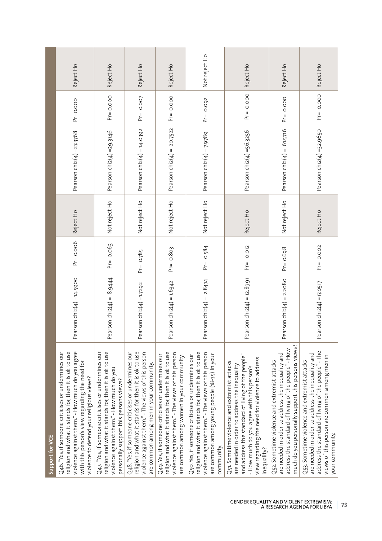|                 | Reject Ho                                                                                                                                                                                                                                                    | Reject Ho                                                                                                                                                                                          | Reject Ho                                                                                                                                                                                                    | Reject Ho                                                                                                                                                                                                     | Not reject Ho                                                                                                                                                                                                                   | Reject Ho                                                                                                                                                                                                                                                          | Reject Ho                                                                                                                                                                                                      | Reject Ho                                                                                                                                                                                                                   |
|-----------------|--------------------------------------------------------------------------------------------------------------------------------------------------------------------------------------------------------------------------------------------------------------|----------------------------------------------------------------------------------------------------------------------------------------------------------------------------------------------------|--------------------------------------------------------------------------------------------------------------------------------------------------------------------------------------------------------------|---------------------------------------------------------------------------------------------------------------------------------------------------------------------------------------------------------------|---------------------------------------------------------------------------------------------------------------------------------------------------------------------------------------------------------------------------------|--------------------------------------------------------------------------------------------------------------------------------------------------------------------------------------------------------------------------------------------------------------------|----------------------------------------------------------------------------------------------------------------------------------------------------------------------------------------------------------------|-----------------------------------------------------------------------------------------------------------------------------------------------------------------------------------------------------------------------------|
|                 | $Pr = 0.000$                                                                                                                                                                                                                                                 | $Pr = 0.000$                                                                                                                                                                                       | $Pr = O.OO7$                                                                                                                                                                                                 | $Pr = 0.000$                                                                                                                                                                                                  | $Pr = 0.092$                                                                                                                                                                                                                    | $Pr = 0.000$                                                                                                                                                                                                                                                       | $Pr = 0.000$                                                                                                                                                                                                   | $Pr = 0.000$                                                                                                                                                                                                                |
|                 | Pearson $\text{chi}(4) = 27.3768$                                                                                                                                                                                                                            | Pearson chiz(4) =29.3146                                                                                                                                                                           | Pearson $chiz(4) = 14.0392$                                                                                                                                                                                  | Pearson chi $2(4) = 20.7522$                                                                                                                                                                                  | Pearson chi $2(4) = 7.9789$                                                                                                                                                                                                     | Pearson chi2(4) =56.3256                                                                                                                                                                                                                                           | Pearson chi $2(4) = 61.5716$                                                                                                                                                                                   | Pearson $chi(4) = 32.9650$                                                                                                                                                                                                  |
|                 | Reject Ho                                                                                                                                                                                                                                                    | Not reject Ho                                                                                                                                                                                      | Not reject Ho                                                                                                                                                                                                | Not reject Ho                                                                                                                                                                                                 | Not reject Ho                                                                                                                                                                                                                   | Reject Ho                                                                                                                                                                                                                                                          | Not reject Ho                                                                                                                                                                                                  | Reject Ho                                                                                                                                                                                                                   |
|                 | $Pr = 0.006$                                                                                                                                                                                                                                                 | $Pr = 0.063$                                                                                                                                                                                       | $Pr = 0.785$                                                                                                                                                                                                 | $Pr = 0.803$                                                                                                                                                                                                  | $Pr = 0.584$                                                                                                                                                                                                                    | 0.012<br>$Pr_{\equiv}$                                                                                                                                                                                                                                             | $Pr = 0.698$                                                                                                                                                                                                   | $Pr = 0.002$                                                                                                                                                                                                                |
|                 | Pearson chi2(4) =14.5900                                                                                                                                                                                                                                     | Pearson chiz $(4) = 8.9444$                                                                                                                                                                        | Pearson chi2(4) =1.7292                                                                                                                                                                                      | earson chi $2(4) = 1.6342$<br>o.                                                                                                                                                                              | earson chi $2(4) = 2.8474$<br>o.                                                                                                                                                                                                | Pearson $\text{chi}(4) = 12.8991$                                                                                                                                                                                                                                  | Pearson $chi(4) = 2.2080$                                                                                                                                                                                      | Pearson chi2(4) =17.0517                                                                                                                                                                                                    |
| Support for VCE | Q46. "Yes, if someone criticises or undermines our<br>religion and what it stands for, then it is ok to use<br>violence against them." - How much do you agree<br>with this person's view regarding the need for<br>violence to defend your religious views? | Q47. "Yes, if someone criticises or undermines our<br>religion and what it stands for, then it is ok to use<br>violence against them." - How much do you<br>personally support this persons views? | Q48. "Yes, if someone criticises or undermines our<br>religion and what it stands for, then it is ok to use<br>violence against them." - The views of this person<br>are common among men in your community. | religion and what it stands for, then it is ok to use<br>violence against them." - The views of this person<br>Q49. Yes, if someone criticises or undermines our<br>are common among women in your community. | religion and what it stands for, then it is ok to use<br>violence against them." - The views of this person<br>are common among young people (18-35) in your<br>Q50. Yes, if someone criticises or undermines our<br>community. | and address the standard of living of the people"<br>view regarding the need for violence to address<br>Q51. Sometime violence and extremist attacks<br>are needed in order to address the inequality<br>- How much do you agree with this person's<br>inequality? | much do you personally support this persons views?<br>address the standard of living of the people" - How<br>are needed in order to address the inequality and<br>Q52. Sometime violence and extremist attacks | address the standard of living of the people" - The<br>are needed in order to address the inequality and<br>views of this person are common among men in<br>Q53. Sometime violence and extremist attacks<br>your community. |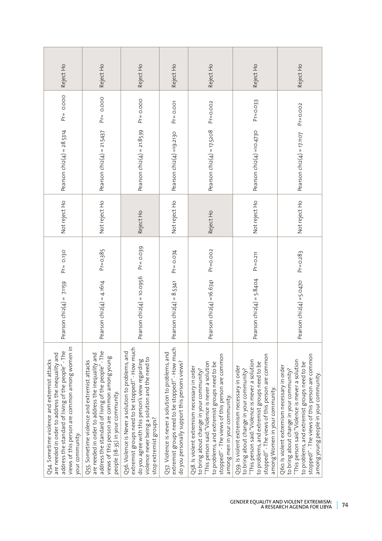| Reject Ho                                                                                                                                                                                                                     | Reject Ho                                                                                                                                                                                                                                    | Reject Ho                                                                                                                                                                                                                             | Reject Ho                                                                                                                                               | Reject Ho                                                                                                                                                                                                                                                                       | Reject Ho                                                                                                                                                                                                                                                                         | Reject Ho                                                                                                                                                                                                                                                                               |
|-------------------------------------------------------------------------------------------------------------------------------------------------------------------------------------------------------------------------------|----------------------------------------------------------------------------------------------------------------------------------------------------------------------------------------------------------------------------------------------|---------------------------------------------------------------------------------------------------------------------------------------------------------------------------------------------------------------------------------------|---------------------------------------------------------------------------------------------------------------------------------------------------------|---------------------------------------------------------------------------------------------------------------------------------------------------------------------------------------------------------------------------------------------------------------------------------|-----------------------------------------------------------------------------------------------------------------------------------------------------------------------------------------------------------------------------------------------------------------------------------|-----------------------------------------------------------------------------------------------------------------------------------------------------------------------------------------------------------------------------------------------------------------------------------------|
| $Pr = 0.000$                                                                                                                                                                                                                  | $Pr = 0.000$                                                                                                                                                                                                                                 | $Pr = 0.000$                                                                                                                                                                                                                          | $Pr = 0.001$                                                                                                                                            | $Pr = 0.002$                                                                                                                                                                                                                                                                    | $Pr = 0.033$                                                                                                                                                                                                                                                                      | $Pr = 0.002$                                                                                                                                                                                                                                                                            |
| Pearson chi $2(4) = 28.5314$                                                                                                                                                                                                  | Pearson chi $2(4) = 21.5437$                                                                                                                                                                                                                 | Pearson $chiz(4) = 21.8539$                                                                                                                                                                                                           | Pearson chiz(4) =19.2130                                                                                                                                | Pearson chi $2(4) = 17.5208$                                                                                                                                                                                                                                                    | Pearson chi2(4) =10.4730                                                                                                                                                                                                                                                          | Pearson $Chi(4) = 17.1107$                                                                                                                                                                                                                                                              |
| Not reject Ho                                                                                                                                                                                                                 | Not reject Ho                                                                                                                                                                                                                                | Reject Ho                                                                                                                                                                                                                             | Not reject Ho                                                                                                                                           | Reject Ho                                                                                                                                                                                                                                                                       | Not reject Ho                                                                                                                                                                                                                                                                     | Not reject Ho                                                                                                                                                                                                                                                                           |
| $Pr = 0.130$                                                                                                                                                                                                                  | $Pr = 0.385$                                                                                                                                                                                                                                 | $Pr = 0.039$                                                                                                                                                                                                                          | $Pr = 0.074$                                                                                                                                            | $Pr = 0.002$                                                                                                                                                                                                                                                                    | $Pr = 0.211$                                                                                                                                                                                                                                                                      | $Pr = 0.283$                                                                                                                                                                                                                                                                            |
| Pearson chi $2(4) = 7.1159$                                                                                                                                                                                                   | Pearson chi $2(4) = 4.1614$                                                                                                                                                                                                                  | Pearson $\text{chi}(4) = 10.0956$                                                                                                                                                                                                     | Pearson $chiz(4) = 8.5341$                                                                                                                              | Pearson $chiz(4) = 16.6741$                                                                                                                                                                                                                                                     | Pearson chi $2(4) = 5.8404$                                                                                                                                                                                                                                                       | Pearson chi2(4) =5.0470                                                                                                                                                                                                                                                                 |
| views of this person are common among women in<br>address the standard of living of the people" - The<br>are needed in order to address the inequality and<br>Q54. Sometime violence and extremist attacks<br>your community. | address the standard of living of the people" - The<br>are needed in order to address the inequality and<br>views of this person are common among young<br>Q55. Sometime violence and extremist attacks<br>people (18-35) in your community. | extremist groups need to be stopped!" - How much<br>Q56. Violence is Never a solution to problems, and<br>violence never being a solution and the need to<br>do you agree with this person's view regarding<br>stop extremist groups? | extremist groups need to be stopped!" - How much<br>Q57. Violence is never a solution to problems, and<br>do you personally support this persons views? | stopped!" - The views of this person are common<br>to problems, and extremist groups need to be<br>"This person said: "Violence is never a solution<br>Q58. Is violent extremism necessary in order<br>to bring about change in your community?<br>among men in your community. | stopped!" - The views of this person are common<br>"This person said: "Violence is mever a solution<br>to problems, and extremist groups need to be<br>Q59. Is violent extremism necessary in order<br>to bring about change in your community?<br>among Women in your community. | stopped!" - The views of this person are common<br>"This person said:"Violence is mever a solution<br>to problems, and extremist groups need to be<br>Q60. Is violent extremism necessary in order<br>to bring about change in your community?<br>among young people in your community. |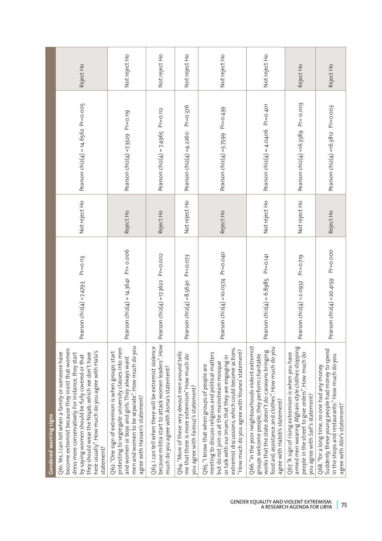| Gendered warning signs                                                                                                                                                                                                                                                                                                               |                                                       |               |                                              |               |
|--------------------------------------------------------------------------------------------------------------------------------------------------------------------------------------------------------------------------------------------------------------------------------------------------------------------------------------|-------------------------------------------------------|---------------|----------------------------------------------|---------------|
| become extremist because they insist that women<br>here usually". How much do you agree with Hala's<br>Q61. Yes, I can tell when a family or someone have<br>dress more conservatively. For instance, they start<br>they should wear the Niqab, which we don't have<br>by saying women should be fully covered or that<br>statement? | $Pr = 0.113$<br>Pearson chi $2(4) = 7.4793$           | Not reject Ho | Pearson $chi(4) = 14.6562$ Pr=0.005          | Reject Ho     |
| men and women to be separate". How much do you<br>protesting to segregate university classes into men<br>Q62. "One sign of extremism is when groups start<br>and women or boys and girls. They always want<br>agree with Hassan's statement?                                                                                         | Pearson $\frac{\text{chi}(4)}{4} = 14.3641$ Pr= 0.006 | Reject Ho     | Pearson chiz(4) =7.3329 Pr=0.119             | Not reject Ho |
| because militia start to attack women leaders". How<br>Q63.1 can tell when there will be extremist violence<br>much do you agree with Asma's statement?                                                                                                                                                                              | Pearson chi $2(4) = 17.3622$ Pr=0.002                 | Reject Ho     | Pearson chi2(4) = 7.4965 Pr=0.112            | Not reject Ho |
| Q64. "More of these very devout men around tells<br>me that there is more extremism" How much do<br>you agree with Fairouz's statement?                                                                                                                                                                                              | $Pr = 0.073$<br>Pearson $chi(4) = 8.563$ o            | Not reject Ho | $Pr = 0.376$<br>Pearson chi $z(4) = 4.226$ o | Not reject Ho |
| extremist discussions, which could become actions.<br>"How much do you agree with Younes' statement?<br>meeting to discuss religious and political matters<br>or talk with our Imam, that they are engaging in<br>but do not join us at the mainstream mosque<br>Q65."I know that when groups of people are                          | Pearson chi2(4) =10.0374 Pr=0.040                     | Reject Ho     | Pearson chiz(4) =3.7599 $Pr = 0.439$         | Not reject Ho |
| Q66. "In the poor neighbourhoods violent extremist<br>food aid, assistance and clothes". How much do you<br>works that the state doesn't do: caravans bringing<br>groups welcome people, they perform charitable<br>agree with Habib's statement?                                                                                    | $Pr = 0.141$<br>Pearson $chi(4) = 6.8985$             | Not reject Ho | Pearson chi2(4) = 4.0406 Pr=0.401            | Not reject Ho |
| armed men wearing Afghani-style clothes stopping<br>people in the street to give orders". How much do<br>Q67. "A sign of rising extremism is when you have<br>you agree with Saif's statement?                                                                                                                                       | $Pr = 0.719$<br>Pearson $chi(4) = 2.0932$             | Not reject Ho | $Pr = 0.003$<br>Pearson chi2(4) =16.3589     | Reject Ho     |
| Suddenly, these young people had money to spend<br>in the shops and restaurants." How much do you<br>Q68. "for a long time, no one had any money.<br>agree with Abir's statement?                                                                                                                                                    | $Pr = 0.000$<br>Pearson $chi(4) = 20.4159$            | Reject Ho     | Pearson chi2(4) =16.3812 Pr=0.003            | Reject Ho     |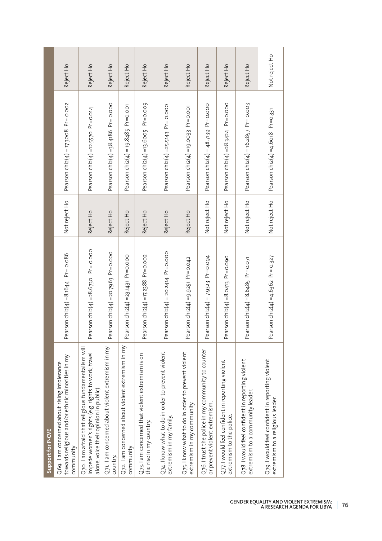| Support for P-CVE                                                                                                                                   |                                                      |               |                                                      |               |
|-----------------------------------------------------------------------------------------------------------------------------------------------------|------------------------------------------------------|---------------|------------------------------------------------------|---------------|
| towards religious and/or ethnic minorities in my<br>Q69. I am concerned about rising intolerance<br>community                                       | Pearson $\frac{\text{chi}}{2(4)} = 8.1644$ Pr= 0.086 | Not reject Ho | Pearson $\text{chi}(4) = 17.3008$ Pr= 0.002          | Reject Ho     |
| Q70. I am afraid that religious fundamentalism will<br>impede women's rights (e.g. rights to work, travel<br>alone, voice their opinion in public). | Pearson chiz(4) = $28.673$ O Pr= 0.000               | Reject Ho     | Pearson chi $2(4)$ =12.5570 Pr=0.014                 | Reject Ho     |
| Q71. I am concerned about violent extremism in my<br>country.                                                                                       | Pearson chi2(4) =20.7963 Pr=0.000                    | Reject Ho     | Pearson $\text{chi}(4) = 38.4186$ Pr= 0.000          | Reject Ho     |
| Q72. I am concerned about violent extremism in my<br>community                                                                                      | Pearson $\text{chi}(4) = 23.1431 \text{ Pr} = 0.000$ | Reject Ho     | Pearson $\text{chi}(4) = 19.8485$ Pr=0.001           | Reject Ho     |
| Q73.1 am concerned that violent extremism is on<br>the rise in my country.                                                                          | Pearson $\text{chi}(4) = 17.2388$ Pr=0.002           | Reject Ho     | Pearson chi2(4) =13.6005 Pr=0.009                    | Reject Ho     |
| Q74.1 know what to do in order to prevent violent<br>extremism in my family.                                                                        | earson chi $2(4)$ = 20.2414 Pr=0.000<br>டீ           | Reject Ho     | Pearson $chi(4) = 25.5143$ Pr= 0.000                 | Reject Ho     |
| Q75.1 know what to do in order to prevent violent<br>extremism in my community.                                                                     | Pearson $chiz(4) = 9.9251$ Pr=0.042                  | Reject Ho     | Pearson chi2(4) =19.0033 Pr=0.001                    | Reject Ho     |
| Q76.1 trust the police in my community to counter<br>or prevent violent extremism.                                                                  | Pearson chi2(4) = 7.9323 Pr=0.094                    | Not reject Ho | Pearson $chi(4) = 48.7139$ Pr=0.000                  | Reject Ho     |
| Q77. I would feel confident in reporting violent<br>extremism to the police.                                                                        | Pearson chi2(4) = 8.0413 Pr = 0.090                  | Not reject Ho | Pearson chiz(4) = 28.3424 Pr=0.000                   | Reject Ho     |
| Q78.1 would feel confident in reporting violent<br>extremism to a community leader.                                                                 | earson chiz(4) = 8.6485 Pr=0.071<br>உ                | Not reject Ho | Pearson chi $2(4)$ = 16.2857 Pr= 0.003               | Reject Ho     |
| Q79.1 would feel confident in reporting violent<br>extremism to a religious leader.                                                                 | Pearson chi2(4) =4.6362 Pr= 0.327                    | Not reject Ho | Pearson $\text{chi}(4) = 4.6 \text{ of } 8$ Pr=0.331 | Not reject Ho |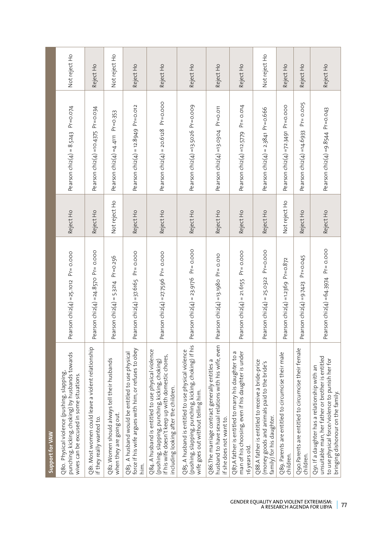| Support for VAW                                                                                                                                                                                      |                                                        |               |                                                   |               |
|------------------------------------------------------------------------------------------------------------------------------------------------------------------------------------------------------|--------------------------------------------------------|---------------|---------------------------------------------------|---------------|
| punching, kicking, choking) by husbands towards<br>Q80. Physical violence (pushing, slapping,<br>wives can be excused in some situations.                                                            | Pearson $chi(4) = 25.1012$ Pr= 0.000                   | Reject Ho     | Pearson chi $2(4) = 8.5243$ Pr=0.074              | Not reject Ho |
| Q81. Most women could leave a violent relationship<br>if they really wanted to.                                                                                                                      | Pearson $chi(4) = 24.857$ O Pr= 0.000                  | Reject Ho     | Pearson $chi(4) = 10.4375$ Pr=0.034               | Reject Ho     |
| Q82. Women should always tell their husbands<br>when they are going out.                                                                                                                             | $Pr = 0.256$<br>Pearson chi $2(4) = 5.3214$            | Not reject Ho | $Pr = 0.353$<br>Pearson chi $2(4)$ =4.4111        | Not reject Ho |
| force if his wife argues with him, or refuses to obey<br>Q83. A husband would be entitled to use physical<br>him.                                                                                    | Pearson $chi(4) = 37.6165$ Pr= 0.000                   | Reject Ho     | Pearson chi2(4) = $12.8949$ Pr=0.012              | Reject Ho     |
| Q84. A husband is entitled to use physical violence<br>if his wife doesn't keep up with domestic chores,<br>(pushing, slapping, punching, kicking, choking)<br>including looking after the children. | Pearson $chi(4) = 27.7596$ Pr= 0.000                   | Reject Ho     | $Pr = 0.000$<br>Pearson $\text{chi}(4) = 20.6128$ | Reject Ho     |
| (pushing, slapping, punching, kicking, choking) if his<br>Q85. A husband is entitled to use physical violence<br>wife goes out without telling him.                                                  | Pearson chi $2(4) = 23.9176$ Pr= 0.000                 | Reject Ho     | Pearson chi2(4) =13.5026 Pr=0.009                 | Reject Ho     |
| husband to have sexual relations with his wife, even<br>Q86.The marriage contract generally entitles a<br>if she does not want to.                                                                   | Pearson chi $2(4)$ =13.1980 Pr= 0.010                  | Reject Ho     | $Pr = 0.011$<br>Pearson $chi(4) = 13.0304$        | Reject Ho     |
| Q87.A father is entitled to marry his daughter to a<br>man of his choosing, even if his daughter is under<br>16 years old.                                                                           | $Pr = 0.000$<br>earson $\text{chi}(4) = 21.6155$<br>டீ | Reject Ho     | $Pr = 0.014$<br>Pearson chi $2(4)$ =12.5779       | Reject Ho     |
| Q88.A father is entitled to receive a bride-price<br>(money goods and animals paid to the bride's<br>family) for his daughter.                                                                       | $Pr = 0.000$<br>Pearson $chiz(4) = 25.0322$            | Reject Ho     | $Pr = 0.666$<br>Pearson $\text{chi}(4) = 2.3841$  | Not reject Ho |
| Q89. Parents are entitled to circumcise their male<br>children.                                                                                                                                      | arson chi $2(4)$ =1.2369 Pr=0.872<br>൧ഀ                | Not reject Ho | Pearson chi $2(4) = 72.3491$ Pr=0.000             | Reject Ho     |
| Ogo.Parents are entitled to circumcise their female<br>children.                                                                                                                                     | $Pr = 0.045$<br>Pearson chi $2(4) = 9.7423$            | Reject Ho     | $Pr = 0.005$<br>Pearson chi2(4) =14.6933          | Reject Ho     |
| unsuitable man, her father or brother is entitled<br>to use physical force/violence to punish her for<br>Q91. If a daughter has a relationship with an<br>bringing dishonour on the family.          | Pearson chi $2(4) = 64.3974$ Pr= 0.000                 | Reject Ho     | Pearson chi $2(4) = 9.8544$ Pr=0.043              | Reject Ho     |